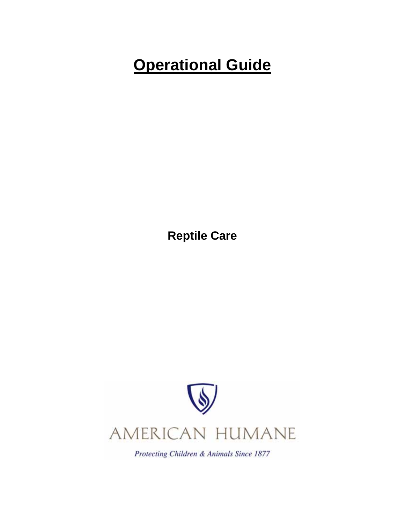# **Operational Guide**

**Reptile Care** 



Protecting Children & Animals Since 1877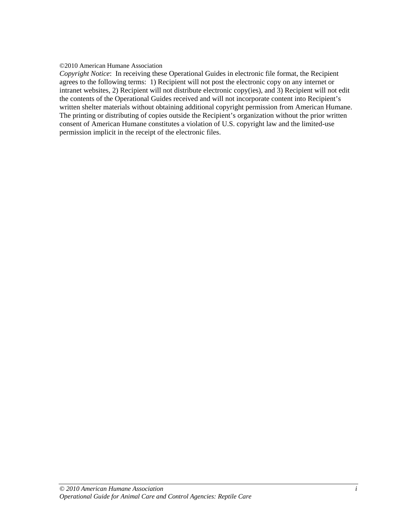#### ©2010 American Humane Association

*Copyright Notice*: In receiving these Operational Guides in electronic file format, the Recipient agrees to the following terms: 1) Recipient will not post the electronic copy on any internet or intranet websites, 2) Recipient will not distribute electronic copy(ies), and 3) Recipient will not edit the contents of the Operational Guides received and will not incorporate content into Recipient's written shelter materials without obtaining additional copyright permission from American Humane. The printing or distributing of copies outside the Recipient's organization without the prior written consent of American Humane constitutes a violation of U.S. copyright law and the limited-use permission implicit in the receipt of the electronic files.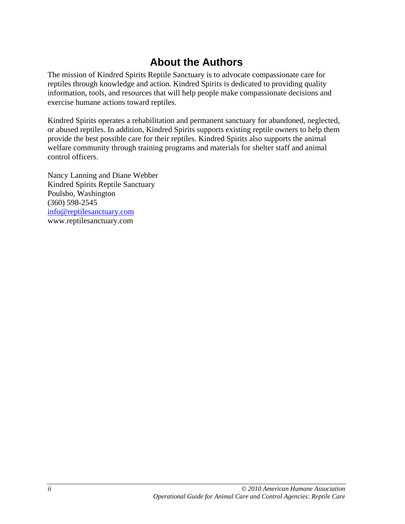# **About the Authors**

The mission of Kindred Spirits Reptile Sanctuary is to advocate compassionate care for reptiles through knowledge and action. Kindred Spirits is dedicated to providing quality information, tools, and resources that will help people make compassionate decisions and exercise humane actions toward reptiles.

Kindred Spirits operates a rehabilitation and permanent sanctuary for abandoned, neglected, or abused reptiles. In addition, Kindred Spirits supports existing reptile owners to help them provide the best possible care for their reptiles. Kindred Spirits also supports the animal welfare community through training programs and materials for shelter staff and animal control officers.

Nancy Lanning and Diane Webber Kindred Spirits Reptile Sanctuary Poulsbo, Washington (360) 598-2545 info@reptilesanctuary.com www.reptilesanctuary.com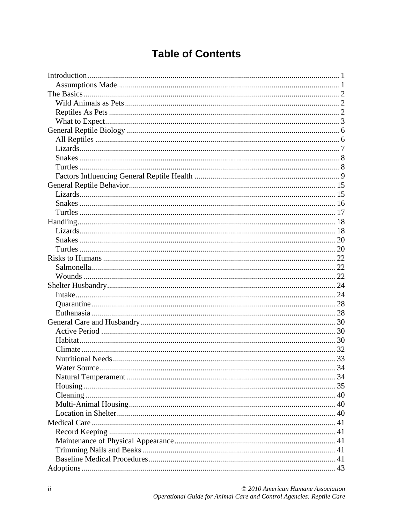# **Table of Contents**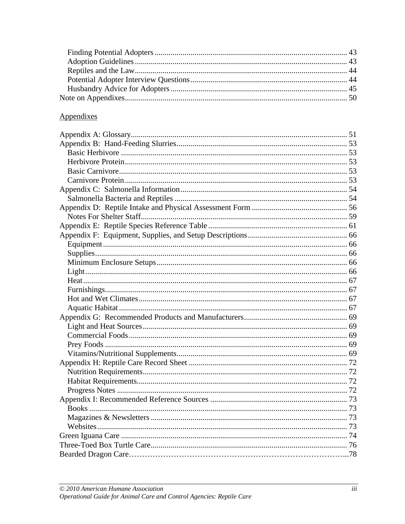# Appendixes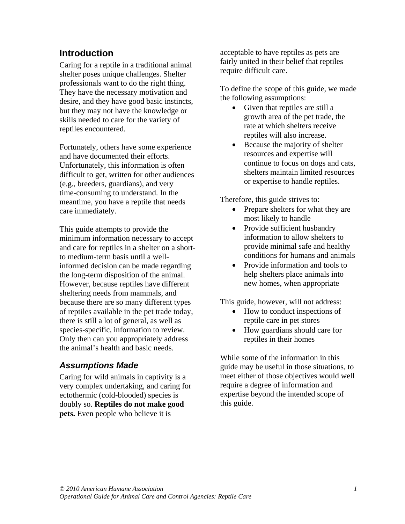# **Introduction**

Caring for a reptile in a traditional animal shelter poses unique challenges. Shelter professionals want to do the right thing. They have the necessary motivation and desire, and they have good basic instincts, but they may not have the knowledge or skills needed to care for the variety of reptiles encountered.

Fortunately, others have some experience and have documented their efforts. Unfortunately, this information is often difficult to get, written for other audiences (e.g., breeders, guardians), and very time-consuming to understand. In the meantime, you have a reptile that needs care immediately.

This guide attempts to provide the minimum information necessary to accept and care for reptiles in a shelter on a shortto medium-term basis until a wellinformed decision can be made regarding the long-term disposition of the animal. However, because reptiles have different sheltering needs from mammals, and because there are so many different types of reptiles available in the pet trade today, there is still a lot of general, as well as species-specific, information to review. Only then can you appropriately address the animal's health and basic needs.

# *Assumptions Made*

Caring for wild animals in captivity is a very complex undertaking, and caring for ectothermic (cold-blooded) species is doubly so. **Reptiles do not make good pets.** Even people who believe it is

acceptable to have reptiles as pets are fairly united in their belief that reptiles require difficult care.

To define the scope of this guide, we made the following assumptions:

- Given that reptiles are still a growth area of the pet trade, the rate at which shelters receive reptiles will also increase.
- Because the majority of shelter resources and expertise will continue to focus on dogs and cats, shelters maintain limited resources or expertise to handle reptiles.

Therefore, this guide strives to:

- Prepare shelters for what they are most likely to handle
- Provide sufficient husbandry information to allow shelters to provide minimal safe and healthy conditions for humans and animals
- Provide information and tools to help shelters place animals into new homes, when appropriate

This guide, however, will not address:

- How to conduct inspections of reptile care in pet stores
- How guardians should care for reptiles in their homes

While some of the information in this guide may be useful in those situations, to meet either of those objectives would well require a degree of information and expertise beyond the intended scope of this guide.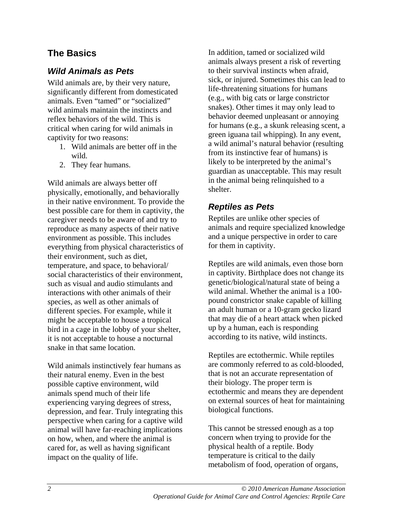# **The Basics**

# *Wild Animals as Pets*

Wild animals are, by their very nature, significantly different from domesticated animals. Even "tamed" or "socialized" wild animals maintain the instincts and reflex behaviors of the wild. This is critical when caring for wild animals in captivity for two reasons:

- 1. Wild animals are better off in the wild.
- 2. They fear humans.

Wild animals are always better off physically, emotionally, and behaviorally in their native environment. To provide the best possible care for them in captivity, the caregiver needs to be aware of and try to reproduce as many aspects of their native environment as possible. This includes everything from physical characteristics of their environment, such as diet, temperature, and space, to behavioral/ social characteristics of their environment, such as visual and audio stimulants and interactions with other animals of their species, as well as other animals of different species. For example, while it might be acceptable to house a tropical bird in a cage in the lobby of your shelter, it is not acceptable to house a nocturnal snake in that same location.

Wild animals instinctively fear humans as their natural enemy. Even in the best possible captive environment, wild animals spend much of their life experiencing varying degrees of stress, depression, and fear. Truly integrating this perspective when caring for a captive wild animal will have far-reaching implications on how, when, and where the animal is cared for, as well as having significant impact on the quality of life.

In addition, tamed or socialized wild animals always present a risk of reverting to their survival instincts when afraid, sick, or injured. Sometimes this can lead to life-threatening situations for humans (e.g., with big cats or large constrictor snakes). Other times it may only lead to behavior deemed unpleasant or annoying for humans (e.g., a skunk releasing scent, a green iguana tail whipping). In any event, a wild animal's natural behavior (resulting from its instinctive fear of humans) is likely to be interpreted by the animal's guardian as unacceptable. This may result in the animal being relinquished to a shelter.

# *Reptiles as Pets*

Reptiles are unlike other species of animals and require specialized knowledge and a unique perspective in order to care for them in captivity.

Reptiles are wild animals, even those born in captivity. Birthplace does not change its genetic/biological/natural state of being a wild animal. Whether the animal is a 100 pound constrictor snake capable of killing an adult human or a 10-gram gecko lizard that may die of a heart attack when picked up by a human, each is responding according to its native, wild instincts.

Reptiles are ectothermic. While reptiles are commonly referred to as cold-blooded, that is not an accurate representation of their biology. The proper term is ectothermic and means they are dependent on external sources of heat for maintaining biological functions.

This cannot be stressed enough as a top concern when trying to provide for the physical health of a reptile. Body temperature is critical to the daily metabolism of food, operation of organs,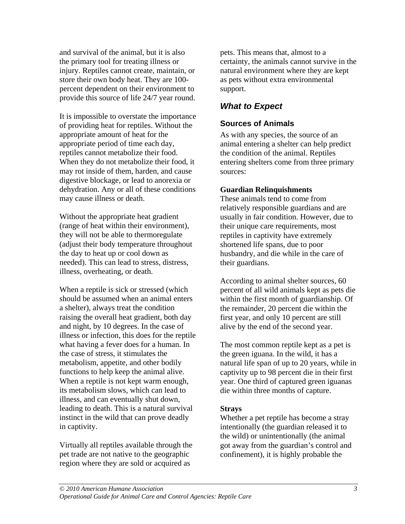and survival of the animal, but it is also the primary tool for treating illness or injury. Reptiles cannot create, maintain, or store their own body heat. They are 100 percent dependent on their environment to provide this source of life 24/7 year round.

It is impossible to overstate the importance of providing heat for reptiles. Without the appropriate amount of heat for the appropriate period of time each day, reptiles cannot metabolize their food. When they do not metabolize their food, it may rot inside of them, harden, and cause digestive blockage, or lead to anorexia or dehydration. Any or all of these conditions may cause illness or death.

Without the appropriate heat gradient (range of heat within their environment), they will not be able to thermoregulate (adjust their body temperature throughout the day to heat up or cool down as needed). This can lead to stress, distress, illness, overheating, or death.

When a reptile is sick or stressed (which should be assumed when an animal enters a shelter), always treat the condition raising the overall heat gradient, both day and night, by 10 degrees. In the case of illness or infection, this does for the reptile what having a fever does for a human. In the case of stress, it stimulates the metabolism, appetite, and other bodily functions to help keep the animal alive. When a reptile is not kept warm enough, its metabolism slows, which can lead to illness, and can eventually shut down, leading to death. This is a natural survival instinct in the wild that can prove deadly in captivity.

Virtually all reptiles available through the pet trade are not native to the geographic region where they are sold or acquired as

pets. This means that, almost to a certainty, the animals cannot survive in the natural environment where they are kept as pets without extra environmental support.

# *What to Expect*

# **Sources of Animals**

As with any species, the source of an animal entering a shelter can help predict the condition of the animal. Reptiles entering shelters come from three primary sources:

#### **Guardian Relinquishments**

These animals tend to come from relatively responsible guardians and are usually in fair condition. However, due to their unique care requirements, most reptiles in captivity have extremely shortened life spans, due to poor husbandry, and die while in the care of their guardians.

According to animal shelter sources, 60 percent of all wild animals kept as pets die within the first month of guardianship. Of the remainder, 20 percent die within the first year, and only 10 percent are still alive by the end of the second year.

The most common reptile kept as a pet is the green iguana. In the wild, it has a natural life span of up to 20 years, while in captivity up to 98 percent die in their first year. One third of captured green iguanas die within three months of capture.

#### **Strays**

Whether a pet reptile has become a stray intentionally (the guardian released it to the wild) or unintentionally (the animal got away from the guardian's control and confinement), it is highly probable the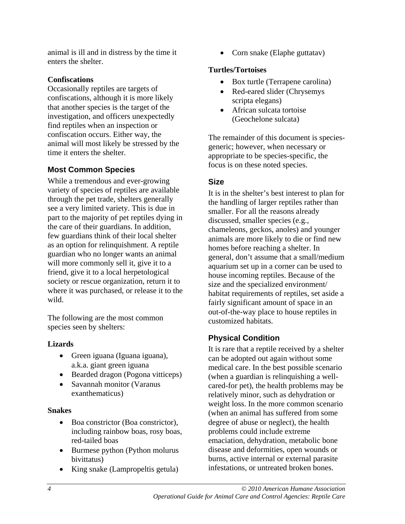animal is ill and in distress by the time it enters the shelter.

#### **Confiscations**

Occasionally reptiles are targets of confiscations, although it is more likely that another species is the target of the investigation, and officers unexpectedly find reptiles when an inspection or confiscation occurs. Either way, the animal will most likely be stressed by the time it enters the shelter.

# **Most Common Species**

While a tremendous and ever-growing variety of species of reptiles are available through the pet trade, shelters generally see a very limited variety. This is due in part to the majority of pet reptiles dying in the care of their guardians. In addition, few guardians think of their local shelter as an option for relinquishment. A reptile guardian who no longer wants an animal will more commonly sell it, give it to a friend, give it to a local herpetological society or rescue organization, return it to where it was purchased, or release it to the wild.

The following are the most common species seen by shelters:

### **Lizards**

- Green iguana (Iguana iguana), a.k.a. giant green iguana
- Bearded dragon (Pogona vitticeps)
- Savannah monitor (Varanus exanthematicus)

#### **Snakes**

- Boa constrictor (Boa constrictor), including rainbow boas, rosy boas, red-tailed boas
- Burmese python (Python molurus bivittatus)
- King snake (Lampropeltis getula)

• Corn snake (Elaphe guttatav)

#### **Turtles/Tortoises**

- Box turtle (Terrapene carolina)
- Red-eared slider (Chrysemys) scripta elegans)
- African sulcata tortoise (Geochelone sulcata)

The remainder of this document is speciesgeneric; however, when necessary or appropriate to be species-specific, the focus is on these noted species.

# **Size**

It is in the shelter's best interest to plan for the handling of larger reptiles rather than smaller. For all the reasons already discussed, smaller species (e.g., chameleons, geckos, anoles) and younger animals are more likely to die or find new homes before reaching a shelter. In general, don't assume that a small/medium aquarium set up in a corner can be used to house incoming reptiles. Because of the size and the specialized environment/ habitat requirements of reptiles, set aside a fairly significant amount of space in an out-of-the-way place to house reptiles in customized habitats.

# **Physical Condition**

It is rare that a reptile received by a shelter can be adopted out again without some medical care. In the best possible scenario (when a guardian is relinquishing a wellcared-for pet), the health problems may be relatively minor, such as dehydration or weight loss. In the more common scenario (when an animal has suffered from some degree of abuse or neglect), the health problems could include extreme emaciation, dehydration, metabolic bone disease and deformities, open wounds or burns, active internal or external parasite infestations, or untreated broken bones.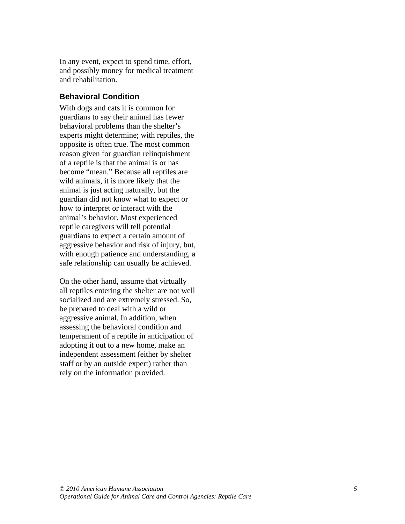In any event, expect to spend time, effort, and possibly money for medical treatment and rehabilitation.

# **Behavioral Condition**

With dogs and cats it is common for guardians to say their animal has fewer behavioral problems than the shelter's experts might determine; with reptiles, the opposite is often true. The most common reason given for guardian relinquishment of a reptile is that the animal is or has become "mean." Because all reptiles are wild animals, it is more likely that the animal is just acting naturally, but the guardian did not know what to expect or how to interpret or interact with the animal's behavior. Most experienced reptile caregivers will tell potential guardians to expect a certain amount of aggressive behavior and risk of injury, but, with enough patience and understanding, a safe relationship can usually be achieved.

On the other hand, assume that virtually all reptiles entering the shelter are not well socialized and are extremely stressed. So, be prepared to deal with a wild or aggressive animal. In addition, when assessing the behavioral condition and temperament of a reptile in anticipation of adopting it out to a new home, make an independent assessment (either by shelter staff or by an outside expert) rather than rely on the information provided.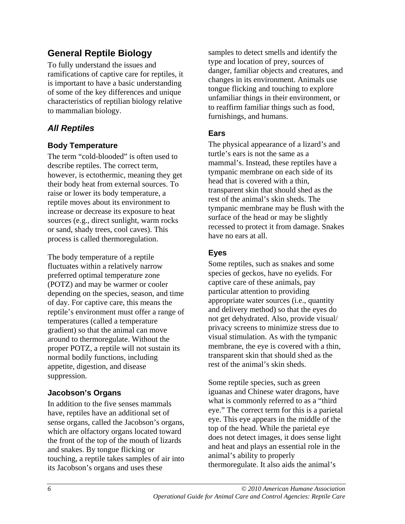# **General Reptile Biology**

To fully understand the issues and ramifications of captive care for reptiles, it is important to have a basic understanding of some of the key differences and unique characteristics of reptilian biology relative to mammalian biology.

# *All Reptiles*

# **Body Temperature**

The term "cold-blooded" is often used to describe reptiles. The correct term, however, is ectothermic, meaning they get their body heat from external sources. To raise or lower its body temperature, a reptile moves about its environment to increase or decrease its exposure to heat sources (e.g., direct sunlight, warm rocks or sand, shady trees, cool caves). This process is called thermoregulation.

The body temperature of a reptile fluctuates within a relatively narrow preferred optimal temperature zone (POTZ) and may be warmer or cooler depending on the species, season, and time of day. For captive care, this means the reptile's environment must offer a range of temperatures (called a temperature gradient) so that the animal can move around to thermoregulate. Without the proper POTZ, a reptile will not sustain its normal bodily functions, including appetite, digestion, and disease suppression.

# **Jacobson's Organs**

In addition to the five senses mammals have, reptiles have an additional set of sense organs, called the Jacobson's organs, which are olfactory organs located toward the front of the top of the mouth of lizards and snakes. By tongue flicking or touching, a reptile takes samples of air into its Jacobson's organs and uses these

samples to detect smells and identify the type and location of prey, sources of danger, familiar objects and creatures, and changes in its environment. Animals use tongue flicking and touching to explore unfamiliar things in their environment, or to reaffirm familiar things such as food, furnishings, and humans.

### **Ears**

The physical appearance of a lizard's and turtle's ears is not the same as a mammal's. Instead, these reptiles have a tympanic membrane on each side of its head that is covered with a thin, transparent skin that should shed as the rest of the animal's skin sheds. The tympanic membrane may be flush with the surface of the head or may be slightly recessed to protect it from damage. Snakes have no ears at all.

# **Eyes**

Some reptiles, such as snakes and some species of geckos, have no eyelids. For captive care of these animals, pay particular attention to providing appropriate water sources (i.e., quantity and delivery method) so that the eyes do not get dehydrated. Also, provide visual/ privacy screens to minimize stress due to visual stimulation. As with the tympanic membrane, the eye is covered with a thin, transparent skin that should shed as the rest of the animal's skin sheds.

Some reptile species, such as green iguanas and Chinese water dragons, have what is commonly referred to as a "third eye." The correct term for this is a parietal eye. This eye appears in the middle of the top of the head. While the parietal eye does not detect images, it does sense light and heat and plays an essential role in the animal's ability to properly thermoregulate. It also aids the animal's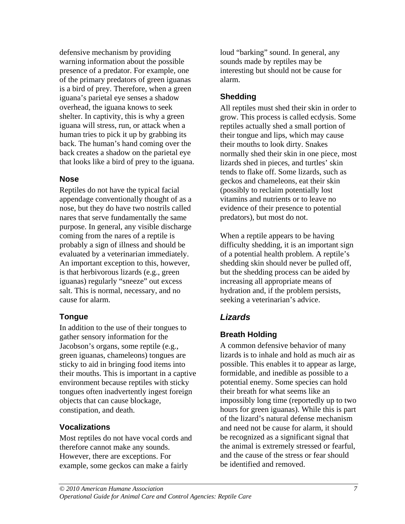defensive mechanism by providing warning information about the possible presence of a predator. For example, one of the primary predators of green iguanas is a bird of prey. Therefore, when a green iguana's parietal eye senses a shadow overhead, the iguana knows to seek shelter. In captivity, this is why a green iguana will stress, run, or attack when a human tries to pick it up by grabbing its back. The human's hand coming over the back creates a shadow on the parietal eye that looks like a bird of prey to the iguana.

#### **Nose**

Reptiles do not have the typical facial appendage conventionally thought of as a nose, but they do have two nostrils called nares that serve fundamentally the same purpose. In general, any visible discharge coming from the nares of a reptile is probably a sign of illness and should be evaluated by a veterinarian immediately. An important exception to this, however, is that herbivorous lizards (e.g., green iguanas) regularly "sneeze" out excess salt. This is normal, necessary, and no cause for alarm.

### **Tongue**

In addition to the use of their tongues to gather sensory information for the Jacobson's organs, some reptile (e.g., green iguanas, chameleons) tongues are sticky to aid in bringing food items into their mouths. This is important in a captive environment because reptiles with sticky tongues often inadvertently ingest foreign objects that can cause blockage, constipation, and death.

#### **Vocalizations**

Most reptiles do not have vocal cords and therefore cannot make any sounds. However, there are exceptions. For example, some geckos can make a fairly

loud "barking" sound. In general, any sounds made by reptiles may be interesting but should not be cause for alarm.

# **Shedding**

All reptiles must shed their skin in order to grow. This process is called ecdysis. Some reptiles actually shed a small portion of their tongue and lips, which may cause their mouths to look dirty. Snakes normally shed their skin in one piece, most lizards shed in pieces, and turtles' skin tends to flake off. Some lizards, such as geckos and chameleons, eat their skin (possibly to reclaim potentially lost vitamins and nutrients or to leave no evidence of their presence to potential predators), but most do not.

When a reptile appears to be having difficulty shedding, it is an important sign of a potential health problem. A reptile's shedding skin should never be pulled off, but the shedding process can be aided by increasing all appropriate means of hydration and, if the problem persists, seeking a veterinarian's advice.

# *Lizards*

### **Breath Holding**

A common defensive behavior of many lizards is to inhale and hold as much air as possible. This enables it to appear as large, formidable, and inedible as possible to a potential enemy. Some species can hold their breath for what seems like an impossibly long time (reportedly up to two hours for green iguanas). While this is part of the lizard's natural defense mechanism and need not be cause for alarm, it should be recognized as a significant signal that the animal is extremely stressed or fearful, and the cause of the stress or fear should be identified and removed.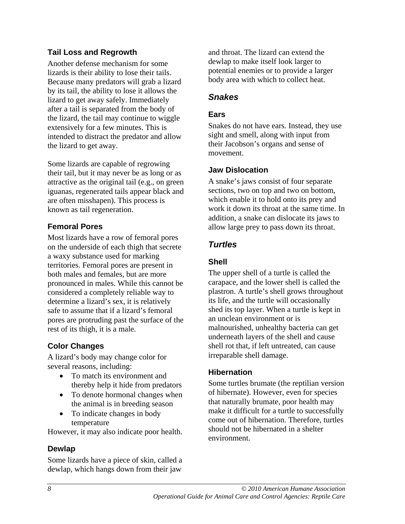# **Tail Loss and Regrowth**

Another defense mechanism for some lizards is their ability to lose their tails. Because many predators will grab a lizard by its tail, the ability to lose it allows the lizard to get away safely. Immediately after a tail is separated from the body of the lizard, the tail may continue to wiggle extensively for a few minutes. This is intended to distract the predator and allow the lizard to get away.

Some lizards are capable of regrowing their tail, but it may never be as long or as attractive as the original tail (e.g., on green iguanas, regenerated tails appear black and are often misshapen). This process is known as tail regeneration.

# **Femoral Pores**

Most lizards have a row of femoral pores on the underside of each thigh that secrete a waxy substance used for marking territories. Femoral pores are present in both males and females, but are more pronounced in males. While this cannot be considered a completely reliable way to determine a lizard's sex, it is relatively safe to assume that if a lizard's femoral pores are protruding past the surface of the rest of its thigh, it is a male.

# **Color Changes**

A lizard's body may change color for several reasons, including:

- To match its environment and thereby help it hide from predators
- To denote hormonal changes when the animal is in breeding season
- To indicate changes in body temperature

However, it may also indicate poor health.

### **Dewlap**

Some lizards have a piece of skin, called a dewlap, which hangs down from their jaw

and throat. The lizard can extend the dewlap to make itself look larger to potential enemies or to provide a larger body area with which to collect heat.

### *Snakes*

#### **Ears**

Snakes do not have ears. Instead, they use sight and smell, along with input from their Jacobson's organs and sense of movement.

#### **Jaw Dislocation**

A snake's jaws consist of four separate sections, two on top and two on bottom, which enable it to hold onto its prey and work it down its throat at the same time. In addition, a snake can dislocate its jaws to allow large prey to pass down its throat.

# *Turtles*

### **Shell**

The upper shell of a turtle is called the carapace, and the lower shell is called the plastron. A turtle's shell grows throughout its life, and the turtle will occasionally shed its top layer. When a turtle is kept in an unclean environment or is malnourished, unhealthy bacteria can get underneath layers of the shell and cause shell rot that, if left untreated, can cause irreparable shell damage.

### **Hibernation**

Some turtles brumate (the reptilian version of hibernate). However, even for species that naturally brumate, poor health may make it difficult for a turtle to successfully come out of hibernation. Therefore, turtles should not be hibernated in a shelter environment.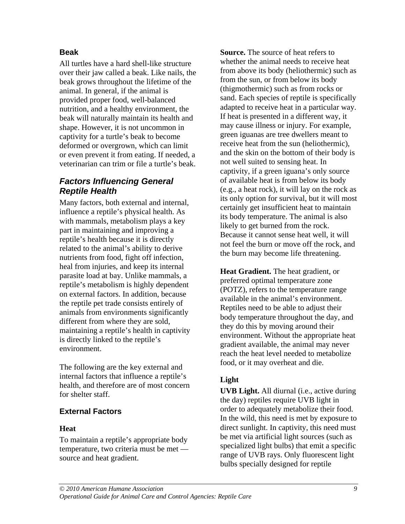### **Beak**

All turtles have a hard shell-like structure over their jaw called a beak. Like nails, the beak grows throughout the lifetime of the animal. In general, if the animal is provided proper food, well-balanced nutrition, and a healthy environment, the beak will naturally maintain its health and shape. However, it is not uncommon in captivity for a turtle's beak to become deformed or overgrown, which can limit or even prevent it from eating. If needed, a veterinarian can trim or file a turtle's beak.

# *Factors Influencing General Reptile Health*

Many factors, both external and internal, influence a reptile's physical health. As with mammals, metabolism plays a key part in maintaining and improving a reptile's health because it is directly related to the animal's ability to derive nutrients from food, fight off infection, heal from injuries, and keep its internal parasite load at bay. Unlike mammals, a reptile's metabolism is highly dependent on external factors. In addition, because the reptile pet trade consists entirely of animals from environments significantly different from where they are sold, maintaining a reptile's health in captivity is directly linked to the reptile's environment.

The following are the key external and internal factors that influence a reptile's health, and therefore are of most concern for shelter staff.

# **External Factors**

### **Heat**

To maintain a reptile's appropriate body temperature, two criteria must be met source and heat gradient.

**Source.** The source of heat refers to whether the animal needs to receive heat from above its body (heliothermic) such as from the sun, or from below its body (thigmothermic) such as from rocks or sand. Each species of reptile is specifically adapted to receive heat in a particular way. If heat is presented in a different way, it may cause illness or injury. For example, green iguanas are tree dwellers meant to receive heat from the sun (heliothermic), and the skin on the bottom of their body is not well suited to sensing heat. In captivity, if a green iguana's only source of available heat is from below its body (e.g., a heat rock), it will lay on the rock as its only option for survival, but it will most certainly get insufficient heat to maintain its body temperature. The animal is also likely to get burned from the rock. Because it cannot sense heat well, it will not feel the burn or move off the rock, and the burn may become life threatening.

**Heat Gradient.** The heat gradient, or preferred optimal temperature zone (POTZ), refers to the temperature range available in the animal's environment. Reptiles need to be able to adjust their body temperature throughout the day, and they do this by moving around their environment. Without the appropriate heat gradient available, the animal may never reach the heat level needed to metabolize food, or it may overheat and die.

# **Light**

**UVB Light.** All diurnal (i.e., active during the day) reptiles require UVB light in order to adequately metabolize their food. In the wild, this need is met by exposure to direct sunlight. In captivity, this need must be met via artificial light sources (such as specialized light bulbs) that emit a specific range of UVB rays. Only fluorescent light bulbs specially designed for reptile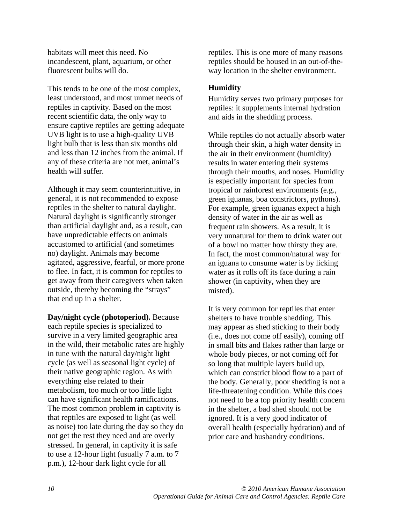habitats will meet this need. No incandescent, plant, aquarium, or other fluorescent bulbs will do.

This tends to be one of the most complex, least understood, and most unmet needs of reptiles in captivity. Based on the most recent scientific data, the only way to ensure captive reptiles are getting adequate UVB light is to use a high-quality UVB light bulb that is less than six months old and less than 12 inches from the animal. If any of these criteria are not met, animal's health will suffer.

Although it may seem counterintuitive, in general, it is not recommended to expose reptiles in the shelter to natural daylight. Natural daylight is significantly stronger than artificial daylight and, as a result, can have unpredictable effects on animals accustomed to artificial (and sometimes no) daylight. Animals may become agitated, aggressive, fearful, or more prone to flee. In fact, it is common for reptiles to get away from their caregivers when taken outside, thereby becoming the "strays" that end up in a shelter.

**Day/night cycle (photoperiod).** Because each reptile species is specialized to survive in a very limited geographic area in the wild, their metabolic rates are highly in tune with the natural day/night light cycle (as well as seasonal light cycle) of their native geographic region. As with everything else related to their metabolism, too much or too little light can have significant health ramifications. The most common problem in captivity is that reptiles are exposed to light (as well as noise) too late during the day so they do not get the rest they need and are overly stressed. In general, in captivity it is safe to use a 12-hour light (usually 7 a.m. to 7 p.m.), 12-hour dark light cycle for all

reptiles. This is one more of many reasons reptiles should be housed in an out-of-theway location in the shelter environment.

# **Humidity**

Humidity serves two primary purposes for reptiles: it supplements internal hydration and aids in the shedding process.

While reptiles do not actually absorb water through their skin, a high water density in the air in their environment (humidity) results in water entering their systems through their mouths, and noses. Humidity is especially important for species from tropical or rainforest environments (e.g., green iguanas, boa constrictors, pythons). For example, green iguanas expect a high density of water in the air as well as frequent rain showers. As a result, it is very unnatural for them to drink water out of a bowl no matter how thirsty they are. In fact, the most common/natural way for an iguana to consume water is by licking water as it rolls off its face during a rain shower (in captivity, when they are misted).

It is very common for reptiles that enter shelters to have trouble shedding. This may appear as shed sticking to their body (i.e., does not come off easily), coming off in small bits and flakes rather than large or whole body pieces, or not coming off for so long that multiple layers build up, which can constrict blood flow to a part of the body. Generally, poor shedding is not a life-threatening condition. While this does not need to be a top priority health concern in the shelter, a bad shed should not be ignored. It is a very good indicator of overall health (especially hydration) and of prior care and husbandry conditions.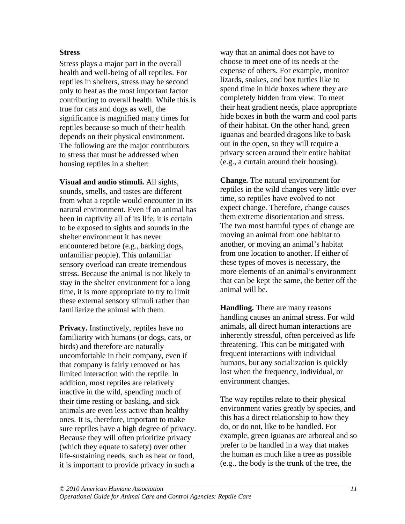#### **Stress**

Stress plays a major part in the overall health and well-being of all reptiles. For reptiles in shelters, stress may be second only to heat as the most important factor contributing to overall health. While this is true for cats and dogs as well, the significance is magnified many times for reptiles because so much of their health depends on their physical environment. The following are the major contributors to stress that must be addressed when housing reptiles in a shelter:

**Visual and audio stimuli.** All sights, sounds, smells, and tastes are different from what a reptile would encounter in its natural environment. Even if an animal has been in captivity all of its life, it is certain to be exposed to sights and sounds in the shelter environment it has never encountered before (e.g., barking dogs, unfamiliar people). This unfamiliar sensory overload can create tremendous stress. Because the animal is not likely to stay in the shelter environment for a long time, it is more appropriate to try to limit these external sensory stimuli rather than familiarize the animal with them.

**Privacy.** Instinctively, reptiles have no familiarity with humans (or dogs, cats, or birds) and therefore are naturally uncomfortable in their company, even if that company is fairly removed or has limited interaction with the reptile. In addition, most reptiles are relatively inactive in the wild, spending much of their time resting or basking, and sick animals are even less active than healthy ones. It is, therefore, important to make sure reptiles have a high degree of privacy. Because they will often prioritize privacy (which they equate to safety) over other life-sustaining needs, such as heat or food, it is important to provide privacy in such a

way that an animal does not have to choose to meet one of its needs at the expense of others. For example, monitor lizards, snakes, and box turtles like to spend time in hide boxes where they are completely hidden from view. To meet their heat gradient needs, place appropriate hide boxes in both the warm and cool parts of their habitat. On the other hand, green iguanas and bearded dragons like to bask out in the open, so they will require a privacy screen around their entire habitat (e.g., a curtain around their housing).

**Change.** The natural environment for reptiles in the wild changes very little over time, so reptiles have evolved to not expect change. Therefore, change causes them extreme disorientation and stress. The two most harmful types of change are moving an animal from one habitat to another, or moving an animal's habitat from one location to another. If either of these types of moves is necessary, the more elements of an animal's environment that can be kept the same, the better off the animal will be.

**Handling.** There are many reasons handling causes an animal stress. For wild animals, all direct human interactions are inherently stressful, often perceived as life threatening. This can be mitigated with frequent interactions with individual humans, but any socialization is quickly lost when the frequency, individual, or environment changes.

The way reptiles relate to their physical environment varies greatly by species, and this has a direct relationship to how they do, or do not, like to be handled. For example, green iguanas are arboreal and so prefer to be handled in a way that makes the human as much like a tree as possible (e.g., the body is the trunk of the tree, the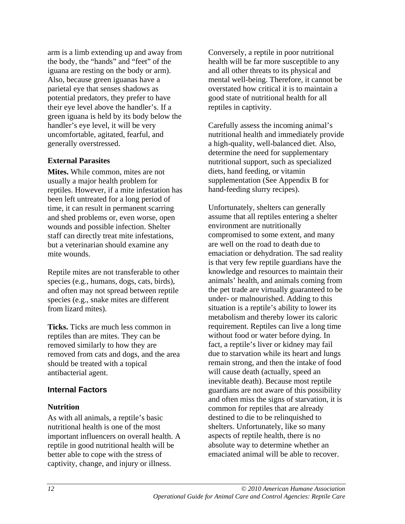arm is a limb extending up and away from the body, the "hands" and "feet" of the iguana are resting on the body or arm). Also, because green iguanas have a parietal eye that senses shadows as potential predators, they prefer to have their eye level above the handler's. If a green iguana is held by its body below the handler's eye level, it will be very uncomfortable, agitated, fearful, and generally overstressed.

#### **External Parasites**

**Mites.** While common, mites are not usually a major health problem for reptiles. However, if a mite infestation has been left untreated for a long period of time, it can result in permanent scarring and shed problems or, even worse, open wounds and possible infection. Shelter staff can directly treat mite infestations, but a veterinarian should examine any mite wounds.

Reptile mites are not transferable to other species (e.g., humans, dogs, cats, birds), and often may not spread between reptile species (e.g., snake mites are different from lizard mites).

**Ticks.** Ticks are much less common in reptiles than are mites. They can be removed similarly to how they are removed from cats and dogs, and the area should be treated with a topical antibacterial agent.

### **Internal Factors**

#### **Nutrition**

As with all animals, a reptile's basic nutritional health is one of the most important influencers on overall health. A reptile in good nutritional health will be better able to cope with the stress of captivity, change, and injury or illness.

Conversely, a reptile in poor nutritional health will be far more susceptible to any and all other threats to its physical and mental well-being. Therefore, it cannot be overstated how critical it is to maintain a good state of nutritional health for all reptiles in captivity.

Carefully assess the incoming animal's nutritional health and immediately provide a high-quality, well-balanced diet. Also, determine the need for supplementary nutritional support, such as specialized diets, hand feeding, or vitamin supplementation (See Appendix B for hand-feeding slurry recipes).

Unfortunately, shelters can generally assume that all reptiles entering a shelter environment are nutritionally compromised to some extent, and many are well on the road to death due to emaciation or dehydration. The sad reality is that very few reptile guardians have the knowledge and resources to maintain their animals' health, and animals coming from the pet trade are virtually guaranteed to be under- or malnourished. Adding to this situation is a reptile's ability to lower its metabolism and thereby lower its caloric requirement. Reptiles can live a long time without food or water before dying. In fact, a reptile's liver or kidney may fail due to starvation while its heart and lungs remain strong, and then the intake of food will cause death (actually, speed an inevitable death). Because most reptile guardians are not aware of this possibility and often miss the signs of starvation, it is common for reptiles that are already destined to die to be relinquished to shelters. Unfortunately, like so many aspects of reptile health, there is no absolute way to determine whether an emaciated animal will be able to recover.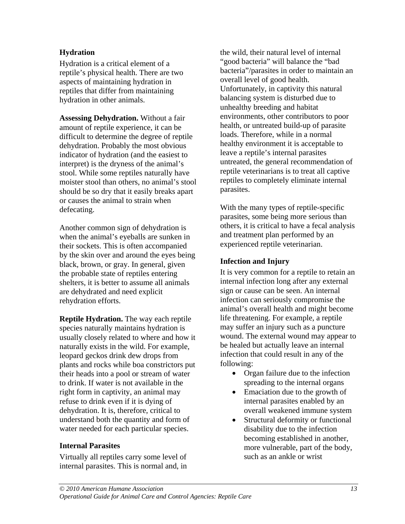### **Hydration**

Hydration is a critical element of a reptile's physical health. There are two aspects of maintaining hydration in reptiles that differ from maintaining hydration in other animals.

**Assessing Dehydration.** Without a fair amount of reptile experience, it can be difficult to determine the degree of reptile dehydration. Probably the most obvious indicator of hydration (and the easiest to interpret) is the dryness of the animal's stool. While some reptiles naturally have moister stool than others, no animal's stool should be so dry that it easily breaks apart or causes the animal to strain when defecating.

Another common sign of dehydration is when the animal's eyeballs are sunken in their sockets. This is often accompanied by the skin over and around the eyes being black, brown, or gray. In general, given the probable state of reptiles entering shelters, it is better to assume all animals are dehydrated and need explicit rehydration efforts.

**Reptile Hydration.** The way each reptile species naturally maintains hydration is usually closely related to where and how it naturally exists in the wild. For example, leopard geckos drink dew drops from plants and rocks while boa constrictors put their heads into a pool or stream of water to drink. If water is not available in the right form in captivity, an animal may refuse to drink even if it is dying of dehydration. It is, therefore, critical to understand both the quantity and form of water needed for each particular species.

### **Internal Parasites**

Virtually all reptiles carry some level of internal parasites. This is normal and, in the wild, their natural level of internal "good bacteria" will balance the "bad bacteria"/parasites in order to maintain an overall level of good health. Unfortunately, in captivity this natural balancing system is disturbed due to unhealthy breeding and habitat environments, other contributors to poor health, or untreated build-up of parasite loads. Therefore, while in a normal healthy environment it is acceptable to leave a reptile's internal parasites untreated, the general recommendation of reptile veterinarians is to treat all captive reptiles to completely eliminate internal parasites.

With the many types of reptile-specific parasites, some being more serious than others, it is critical to have a fecal analysis and treatment plan performed by an experienced reptile veterinarian.

#### **Infection and Injury**

It is very common for a reptile to retain an internal infection long after any external sign or cause can be seen. An internal infection can seriously compromise the animal's overall health and might become life threatening. For example, a reptile may suffer an injury such as a puncture wound. The external wound may appear to be healed but actually leave an internal infection that could result in any of the following:

- Organ failure due to the infection spreading to the internal organs
- Emaciation due to the growth of internal parasites enabled by an overall weakened immune system
- Structural deformity or functional disability due to the infection becoming established in another, more vulnerable, part of the body, such as an ankle or wrist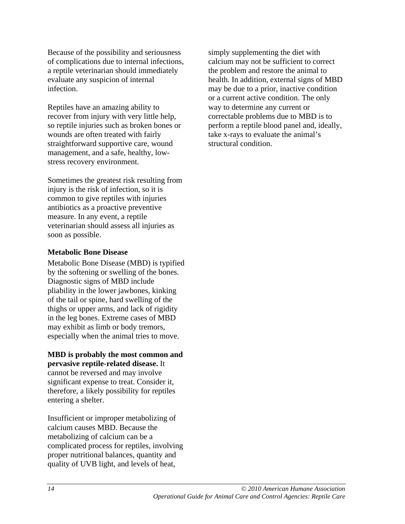Because of the possibility and seriousness of complications due to internal infections, a reptile veterinarian should immediately evaluate any suspicion of internal infection.

Reptiles have an amazing ability to recover from injury with very little help, so reptile injuries such as broken bones or wounds are often treated with fairly straightforward supportive care, wound management, and a safe, healthy, lowstress recovery environment.

Sometimes the greatest risk resulting from injury is the risk of infection, so it is common to give reptiles with injuries antibiotics as a proactive preventive measure. In any event, a reptile veterinarian should assess all injuries as soon as possible.

#### **Metabolic Bone Disease**

Metabolic Bone Disease (MBD) is typified by the softening or swelling of the bones. Diagnostic signs of MBD include pliability in the lower jawbones, kinking of the tail or spine, hard swelling of the thighs or upper arms, and lack of rigidity in the leg bones. Extreme cases of MBD may exhibit as limb or body tremors, especially when the animal tries to move.

#### **MBD is probably the most common and pervasive reptile-related disease.** It

cannot be reversed and may involve significant expense to treat. Consider it, therefore, a likely possibility for reptiles entering a shelter.

Insufficient or improper metabolizing of calcium causes MBD. Because the metabolizing of calcium can be a complicated process for reptiles, involving proper nutritional balances, quantity and quality of UVB light, and levels of heat,

simply supplementing the diet with calcium may not be sufficient to correct the problem and restore the animal to health. In addition, external signs of MBD may be due to a prior, inactive condition or a current active condition. The only way to determine any current or correctable problems due to MBD is to perform a reptile blood panel and, ideally, take x-rays to evaluate the animal's structural condition.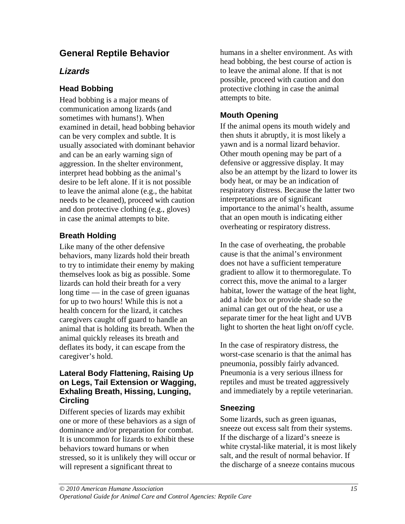# **General Reptile Behavior**

# *Lizards*

# **Head Bobbing**

Head bobbing is a major means of communication among lizards (and sometimes with humans!). When examined in detail, head bobbing behavior can be very complex and subtle. It is usually associated with dominant behavior and can be an early warning sign of aggression. In the shelter environment, interpret head bobbing as the animal's desire to be left alone. If it is not possible to leave the animal alone (e.g., the habitat needs to be cleaned), proceed with caution and don protective clothing (e.g., gloves) in case the animal attempts to bite.

# **Breath Holding**

Like many of the other defensive behaviors, many lizards hold their breath to try to intimidate their enemy by making themselves look as big as possible. Some lizards can hold their breath for a very long time — in the case of green iguanas for up to two hours! While this is not a health concern for the lizard, it catches caregivers caught off guard to handle an animal that is holding its breath. When the animal quickly releases its breath and deflates its body, it can escape from the caregiver's hold.

#### **Lateral Body Flattening, Raising Up on Legs, Tail Extension or Wagging, Exhaling Breath, Hissing, Lunging, Circling**

Different species of lizards may exhibit one or more of these behaviors as a sign of dominance and/or preparation for combat. It is uncommon for lizards to exhibit these behaviors toward humans or when stressed, so it is unlikely they will occur or will represent a significant threat to

humans in a shelter environment. As with head bobbing, the best course of action is to leave the animal alone. If that is not possible, proceed with caution and don protective clothing in case the animal attempts to bite.

# **Mouth Opening**

If the animal opens its mouth widely and then shuts it abruptly, it is most likely a yawn and is a normal lizard behavior. Other mouth opening may be part of a defensive or aggressive display. It may also be an attempt by the lizard to lower its body heat, or may be an indication of respiratory distress. Because the latter two interpretations are of significant importance to the animal's health, assume that an open mouth is indicating either overheating or respiratory distress.

In the case of overheating, the probable cause is that the animal's environment does not have a sufficient temperature gradient to allow it to thermoregulate. To correct this, move the animal to a larger habitat, lower the wattage of the heat light, add a hide box or provide shade so the animal can get out of the heat, or use a separate timer for the heat light and UVB light to shorten the heat light on/off cycle.

In the case of respiratory distress, the worst-case scenario is that the animal has pneumonia, possibly fairly advanced. Pneumonia is a very serious illness for reptiles and must be treated aggressively and immediately by a reptile veterinarian.

# **Sneezing**

Some lizards, such as green iguanas, sneeze out excess salt from their systems. If the discharge of a lizard's sneeze is white crystal-like material, it is most likely salt, and the result of normal behavior. If the discharge of a sneeze contains mucous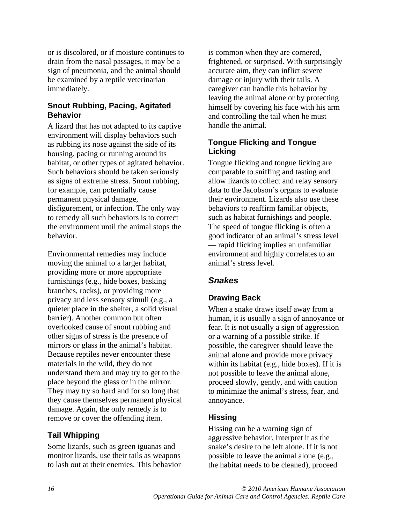or is discolored, or if moisture continues to drain from the nasal passages, it may be a sign of pneumonia, and the animal should be examined by a reptile veterinarian immediately.

### **Snout Rubbing, Pacing, Agitated Behavior**

A lizard that has not adapted to its captive environment will display behaviors such as rubbing its nose against the side of its housing, pacing or running around its habitat, or other types of agitated behavior. Such behaviors should be taken seriously as signs of extreme stress. Snout rubbing, for example, can potentially cause permanent physical damage, disfigurement, or infection. The only way to remedy all such behaviors is to correct the environment until the animal stops the behavior.

Environmental remedies may include moving the animal to a larger habitat, providing more or more appropriate furnishings (e.g., hide boxes, basking branches, rocks), or providing more privacy and less sensory stimuli (e.g., a quieter place in the shelter, a solid visual barrier). Another common but often overlooked cause of snout rubbing and other signs of stress is the presence of mirrors or glass in the animal's habitat. Because reptiles never encounter these materials in the wild, they do not understand them and may try to get to the place beyond the glass or in the mirror. They may try so hard and for so long that they cause themselves permanent physical damage. Again, the only remedy is to remove or cover the offending item.

# **Tail Whipping**

Some lizards, such as green iguanas and monitor lizards, use their tails as weapons to lash out at their enemies. This behavior is common when they are cornered, frightened, or surprised. With surprisingly accurate aim, they can inflict severe damage or injury with their tails. A caregiver can handle this behavior by leaving the animal alone or by protecting himself by covering his face with his arm and controlling the tail when he must handle the animal.

# **Tongue Flicking and Tongue Licking**

Tongue flicking and tongue licking are comparable to sniffing and tasting and allow lizards to collect and relay sensory data to the Jacobson's organs to evaluate their environment. Lizards also use these behaviors to reaffirm familiar objects, such as habitat furnishings and people. The speed of tongue flicking is often a good indicator of an animal's stress level — rapid flicking implies an unfamiliar environment and highly correlates to an animal's stress level.

# *Snakes*

# **Drawing Back**

When a snake draws itself away from a human, it is usually a sign of annoyance or fear. It is not usually a sign of aggression or a warning of a possible strike. If possible, the caregiver should leave the animal alone and provide more privacy within its habitat (e.g., hide boxes). If it is not possible to leave the animal alone, proceed slowly, gently, and with caution to minimize the animal's stress, fear, and annoyance.

# **Hissing**

Hissing can be a warning sign of aggressive behavior. Interpret it as the snake's desire to be left alone. If it is not possible to leave the animal alone (e.g., the habitat needs to be cleaned), proceed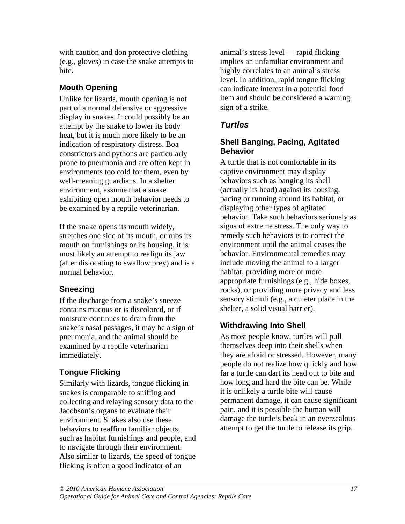with caution and don protective clothing (e.g., gloves) in case the snake attempts to bite.

# **Mouth Opening**

Unlike for lizards, mouth opening is not part of a normal defensive or aggressive display in snakes. It could possibly be an attempt by the snake to lower its body heat, but it is much more likely to be an indication of respiratory distress. Boa constrictors and pythons are particularly prone to pneumonia and are often kept in environments too cold for them, even by well-meaning guardians. In a shelter environment, assume that a snake exhibiting open mouth behavior needs to be examined by a reptile veterinarian.

If the snake opens its mouth widely, stretches one side of its mouth, or rubs its mouth on furnishings or its housing, it is most likely an attempt to realign its jaw (after dislocating to swallow prey) and is a normal behavior.

# **Sneezing**

If the discharge from a snake's sneeze contains mucous or is discolored, or if moisture continues to drain from the snake's nasal passages, it may be a sign of pneumonia, and the animal should be examined by a reptile veterinarian immediately.

# **Tongue Flicking**

Similarly with lizards, tongue flicking in snakes is comparable to sniffing and collecting and relaying sensory data to the Jacobson's organs to evaluate their environment. Snakes also use these behaviors to reaffirm familiar objects, such as habitat furnishings and people, and to navigate through their environment. Also similar to lizards, the speed of tongue flicking is often a good indicator of an

animal's stress level — rapid flicking implies an unfamiliar environment and highly correlates to an animal's stress level. In addition, rapid tongue flicking can indicate interest in a potential food item and should be considered a warning sign of a strike.

# *Turtles*

# **Shell Banging, Pacing, Agitated Behavior**

A turtle that is not comfortable in its captive environment may display behaviors such as banging its shell (actually its head) against its housing, pacing or running around its habitat, or displaying other types of agitated behavior. Take such behaviors seriously as signs of extreme stress. The only way to remedy such behaviors is to correct the environment until the animal ceases the behavior. Environmental remedies may include moving the animal to a larger habitat, providing more or more appropriate furnishings (e.g., hide boxes, rocks), or providing more privacy and less sensory stimuli (e.g., a quieter place in the shelter, a solid visual barrier).

# **Withdrawing Into Shell**

As most people know, turtles will pull themselves deep into their shells when they are afraid or stressed. However, many people do not realize how quickly and how far a turtle can dart its head out to bite and how long and hard the bite can be. While it is unlikely a turtle bite will cause permanent damage, it can cause significant pain, and it is possible the human will damage the turtle's beak in an overzealous attempt to get the turtle to release its grip.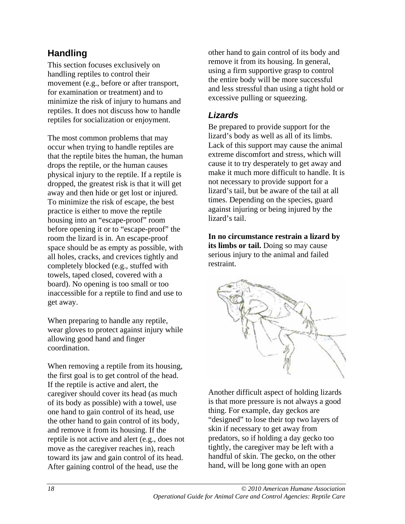# **Handling**

This section focuses exclusively on handling reptiles to control their movement (e.g., before or after transport, for examination or treatment) and to minimize the risk of injury to humans and reptiles. It does not discuss how to handle reptiles for socialization or enjoyment.

The most common problems that may occur when trying to handle reptiles are that the reptile bites the human, the human drops the reptile, or the human causes physical injury to the reptile. If a reptile is dropped, the greatest risk is that it will get away and then hide or get lost or injured. To minimize the risk of escape, the best practice is either to move the reptile housing into an "escape-proof" room before opening it or to "escape-proof" the room the lizard is in. An escape-proof space should be as empty as possible, with all holes, cracks, and crevices tightly and completely blocked (e.g., stuffed with towels, taped closed, covered with a board). No opening is too small or too inaccessible for a reptile to find and use to get away.

When preparing to handle any reptile, wear gloves to protect against injury while allowing good hand and finger coordination.

When removing a reptile from its housing, the first goal is to get control of the head. If the reptile is active and alert, the caregiver should cover its head (as much of its body as possible) with a towel, use one hand to gain control of its head, use the other hand to gain control of its body, and remove it from its housing. If the reptile is not active and alert (e.g., does not move as the caregiver reaches in), reach toward its jaw and gain control of its head. After gaining control of the head, use the

other hand to gain control of its body and remove it from its housing. In general, using a firm supportive grasp to control the entire body will be more successful and less stressful than using a tight hold or excessive pulling or squeezing.

# *Lizards*

Be prepared to provide support for the lizard's body as well as all of its limbs. Lack of this support may cause the animal extreme discomfort and stress, which will cause it to try desperately to get away and make it much more difficult to handle. It is not necessary to provide support for a lizard's tail, but be aware of the tail at all times. Depending on the species, guard against injuring or being injured by the lizard's tail.

**In no circumstance restrain a lizard by its limbs or tail.** Doing so may cause serious injury to the animal and failed restraint.



Another difficult aspect of holding lizards is that more pressure is not always a good thing. For example, day geckos are "designed" to lose their top two layers of skin if necessary to get away from predators, so if holding a day gecko too tightly, the caregiver may be left with a handful of skin. The gecko, on the other hand, will be long gone with an open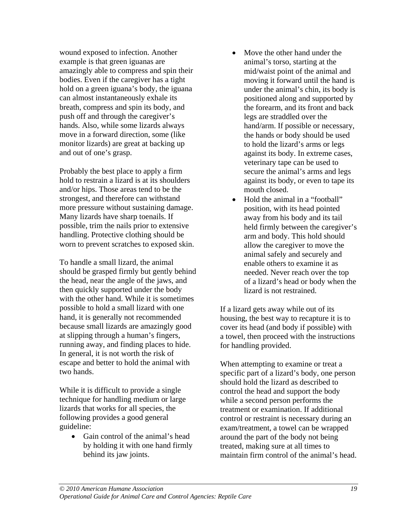wound exposed to infection. Another example is that green iguanas are amazingly able to compress and spin their bodies. Even if the caregiver has a tight hold on a green iguana's body, the iguana can almost instantaneously exhale its breath, compress and spin its body, and push off and through the caregiver's hands. Also, while some lizards always move in a forward direction, some (like monitor lizards) are great at backing up and out of one's grasp.

Probably the best place to apply a firm hold to restrain a lizard is at its shoulders and/or hips. Those areas tend to be the strongest, and therefore can withstand more pressure without sustaining damage. Many lizards have sharp toenails. If possible, trim the nails prior to extensive handling. Protective clothing should be worn to prevent scratches to exposed skin.

To handle a small lizard, the animal should be grasped firmly but gently behind the head, near the angle of the jaws, and then quickly supported under the body with the other hand. While it is sometimes possible to hold a small lizard with one hand, it is generally not recommended because small lizards are amazingly good at slipping through a human's fingers, running away, and finding places to hide. In general, it is not worth the risk of escape and better to hold the animal with two hands.

While it is difficult to provide a single technique for handling medium or large lizards that works for all species, the following provides a good general guideline:

• Gain control of the animal's head by holding it with one hand firmly behind its jaw joints.

- Move the other hand under the animal's torso, starting at the mid/waist point of the animal and moving it forward until the hand is under the animal's chin, its body is positioned along and supported by the forearm, and its front and back legs are straddled over the hand/arm. If possible or necessary, the hands or body should be used to hold the lizard's arms or legs against its body. In extreme cases, veterinary tape can be used to secure the animal's arms and legs against its body, or even to tape its mouth closed.
- Hold the animal in a "football" position, with its head pointed away from his body and its tail held firmly between the caregiver's arm and body. This hold should allow the caregiver to move the animal safely and securely and enable others to examine it as needed. Never reach over the top of a lizard's head or body when the lizard is not restrained.

If a lizard gets away while out of its housing, the best way to recapture it is to cover its head (and body if possible) with a towel, then proceed with the instructions for handling provided.

When attempting to examine or treat a specific part of a lizard's body, one person should hold the lizard as described to control the head and support the body while a second person performs the treatment or examination. If additional control or restraint is necessary during an exam/treatment, a towel can be wrapped around the part of the body not being treated, making sure at all times to maintain firm control of the animal's head.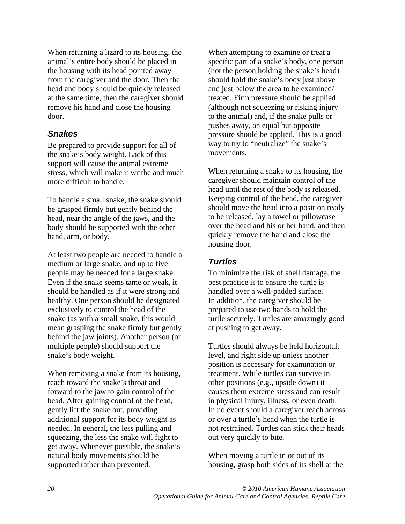When returning a lizard to its housing, the animal's entire body should be placed in the housing with its head pointed away from the caregiver and the door. Then the head and body should be quickly released at the same time, then the caregiver should remove his hand and close the housing door.

# *Snakes*

Be prepared to provide support for all of the snake's body weight. Lack of this support will cause the animal extreme stress, which will make it writhe and much more difficult to handle.

To handle a small snake, the snake should be grasped firmly but gently behind the head, near the angle of the jaws, and the body should be supported with the other hand, arm, or body.

At least two people are needed to handle a medium or large snake, and up to five people may be needed for a large snake. Even if the snake seems tame or weak, it should be handled as if it were strong and healthy. One person should be designated exclusively to control the head of the snake (as with a small snake, this would mean grasping the snake firmly but gently behind the jaw joints). Another person (or multiple people) should support the snake's body weight.

When removing a snake from its housing, reach toward the snake's throat and forward to the jaw to gain control of the head. After gaining control of the head, gently lift the snake out, providing additional support for its body weight as needed. In general, the less pulling and squeezing, the less the snake will fight to get away. Whenever possible, the snake's natural body movements should be supported rather than prevented.

When attempting to examine or treat a specific part of a snake's body, one person (not the person holding the snake's head) should hold the snake's body just above and just below the area to be examined/ treated. Firm pressure should be applied (although not squeezing or risking injury to the animal) and, if the snake pulls or pushes away, an equal but opposite pressure should be applied. This is a good way to try to "neutralize" the snake's movements.

When returning a snake to its housing, the caregiver should maintain control of the head until the rest of the body is released. Keeping control of the head, the caregiver should move the head into a position ready to be released, lay a towel or pillowcase over the head and his or her hand, and then quickly remove the hand and close the housing door.

# *Turtles*

To minimize the risk of shell damage, the best practice is to ensure the turtle is handled over a well-padded surface. In addition, the caregiver should be prepared to use two hands to hold the turtle securely. Turtles are amazingly good at pushing to get away.

Turtles should always be held horizontal, level, and right side up unless another position is necessary for examination or treatment. While turtles can survive in other positions (e.g., upside down) it causes them extreme stress and can result in physical injury, illness, or even death. In no event should a caregiver reach across or over a turtle's head when the turtle is not restrained. Turtles can stick their heads out very quickly to bite.

When moving a turtle in or out of its housing, grasp both sides of its shell at the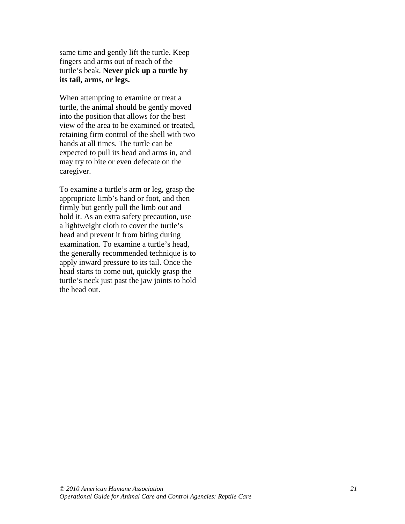same time and gently lift the turtle. Keep fingers and arms out of reach of the turtle's beak. **Never pick up a turtle by its tail, arms, or legs.**

When attempting to examine or treat a turtle, the animal should be gently moved into the position that allows for the best view of the area to be examined or treated, retaining firm control of the shell with two hands at all times. The turtle can be expected to pull its head and arms in, and may try to bite or even defecate on the caregiver.

To examine a turtle's arm or leg, grasp the appropriate limb's hand or foot, and then firmly but gently pull the limb out and hold it. As an extra safety precaution, use a lightweight cloth to cover the turtle's head and prevent it from biting during examination. To examine a turtle's head, the generally recommended technique is to apply inward pressure to its tail. Once the head starts to come out, quickly grasp the turtle's neck just past the jaw joints to hold the head out.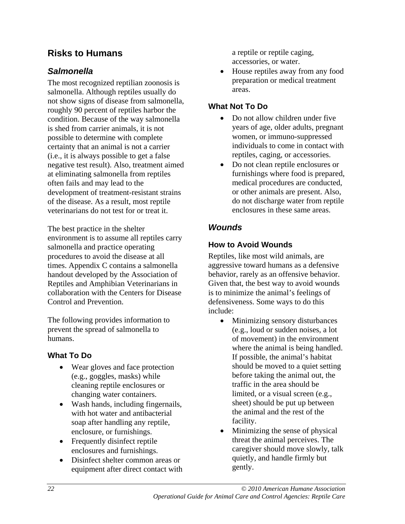# **Risks to Humans**

# *Salmonella*

The most recognized reptilian zoonosis is salmonella. Although reptiles usually do not show signs of disease from salmonella, roughly 90 percent of reptiles harbor the condition. Because of the way salmonella is shed from carrier animals, it is not possible to determine with complete certainty that an animal is not a carrier (i.e., it is always possible to get a false negative test result). Also, treatment aimed at eliminating salmonella from reptiles often fails and may lead to the development of treatment-resistant strains of the disease. As a result, most reptile veterinarians do not test for or treat it.

The best practice in the shelter environment is to assume all reptiles carry salmonella and practice operating procedures to avoid the disease at all times. Appendix C contains a salmonella handout developed by the Association of Reptiles and Amphibian Veterinarians in collaboration with the Centers for Disease Control and Prevention.

The following provides information to prevent the spread of salmonella to humans.

### **What To Do**

- Wear gloves and face protection (e.g., goggles, masks) while cleaning reptile enclosures or changing water containers.
- Wash hands, including fingernails, with hot water and antibacterial soap after handling any reptile, enclosure, or furnishings.
- Frequently disinfect reptile enclosures and furnishings.
- Disinfect shelter common areas or equipment after direct contact with

a reptile or reptile caging, accessories, or water.

• House reptiles away from any food preparation or medical treatment areas.

# **What Not To Do**

- Do not allow children under five years of age, older adults, pregnant women, or immuno-suppressed individuals to come in contact with reptiles, caging, or accessories.
- Do not clean reptile enclosures or furnishings where food is prepared, medical procedures are conducted, or other animals are present. Also, do not discharge water from reptile enclosures in these same areas.

# *Wounds*

# **How to Avoid Wounds**

Reptiles, like most wild animals, are aggressive toward humans as a defensive behavior, rarely as an offensive behavior. Given that, the best way to avoid wounds is to minimize the animal's feelings of defensiveness. Some ways to do this include:

- Minimizing sensory disturbances (e.g., loud or sudden noises, a lot of movement) in the environment where the animal is being handled. If possible, the animal's habitat should be moved to a quiet setting before taking the animal out, the traffic in the area should be limited, or a visual screen (e.g., sheet) should be put up between the animal and the rest of the facility.
- Minimizing the sense of physical threat the animal perceives. The caregiver should move slowly, talk quietly, and handle firmly but gently.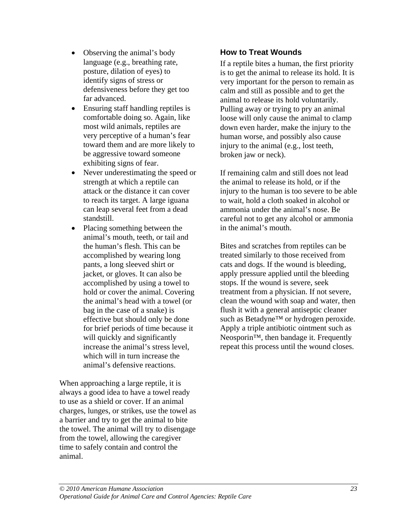- Observing the animal's body language (e.g., breathing rate, posture, dilation of eyes) to identify signs of stress or defensiveness before they get too far advanced.
- Ensuring staff handling reptiles is comfortable doing so. Again, like most wild animals, reptiles are very perceptive of a human's fear toward them and are more likely to be aggressive toward someone exhibiting signs of fear.
- Never underestimating the speed or strength at which a reptile can attack or the distance it can cover to reach its target. A large iguana can leap several feet from a dead standstill.
- Placing something between the animal's mouth, teeth, or tail and the human's flesh. This can be accomplished by wearing long pants, a long sleeved shirt or jacket, or gloves. It can also be accomplished by using a towel to hold or cover the animal. Covering the animal's head with a towel (or bag in the case of a snake) is effective but should only be done for brief periods of time because it will quickly and significantly increase the animal's stress level, which will in turn increase the animal's defensive reactions.

When approaching a large reptile, it is always a good idea to have a towel ready to use as a shield or cover. If an animal charges, lunges, or strikes, use the towel as a barrier and try to get the animal to bite the towel. The animal will try to disengage from the towel, allowing the caregiver time to safely contain and control the animal.

# **How to Treat Wounds**

If a reptile bites a human, the first priority is to get the animal to release its hold. It is very important for the person to remain as calm and still as possible and to get the animal to release its hold voluntarily. Pulling away or trying to pry an animal loose will only cause the animal to clamp down even harder, make the injury to the human worse, and possibly also cause injury to the animal (e.g., lost teeth, broken jaw or neck).

If remaining calm and still does not lead the animal to release its hold, or if the injury to the human is too severe to be able to wait, hold a cloth soaked in alcohol or ammonia under the animal's nose. Be careful not to get any alcohol or ammonia in the animal's mouth.

Bites and scratches from reptiles can be treated similarly to those received from cats and dogs. If the wound is bleeding, apply pressure applied until the bleeding stops. If the wound is severe, seek treatment from a physician. If not severe, clean the wound with soap and water, then flush it with a general antiseptic cleaner such as Betadyne™ or hydrogen peroxide. Apply a triple antibiotic ointment such as Neosporin<sup>™</sup>, then bandage it. Frequently repeat this process until the wound closes.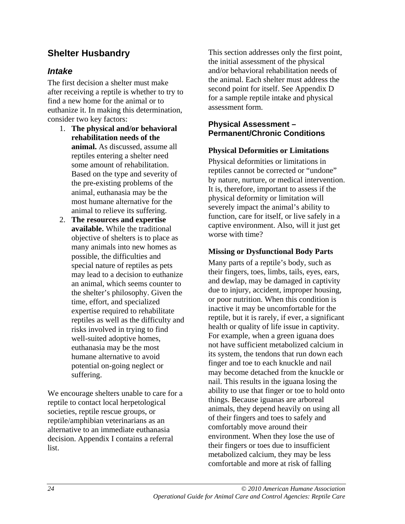# **Shelter Husbandry**

# *Intake*

The first decision a shelter must make after receiving a reptile is whether to try to find a new home for the animal or to euthanize it. In making this determination, consider two key factors:

- 1. **The physical and/or behavioral rehabilitation needs of the animal.** As discussed, assume all reptiles entering a shelter need some amount of rehabilitation. Based on the type and severity of the pre-existing problems of the animal, euthanasia may be the most humane alternative for the animal to relieve its suffering.
- 2. **The resources and expertise available.** While the traditional objective of shelters is to place as many animals into new homes as possible, the difficulties and special nature of reptiles as pets may lead to a decision to euthanize an animal, which seems counter to the shelter's philosophy. Given the time, effort, and specialized expertise required to rehabilitate reptiles as well as the difficulty and risks involved in trying to find well-suited adoptive homes, euthanasia may be the most humane alternative to avoid potential on-going neglect or suffering.

We encourage shelters unable to care for a reptile to contact local herpetological societies, reptile rescue groups, or reptile/amphibian veterinarians as an alternative to an immediate euthanasia decision. Appendix I contains a referral list.

This section addresses only the first point, the initial assessment of the physical and/or behavioral rehabilitation needs of the animal. Each shelter must address the second point for itself. See Appendix D for a sample reptile intake and physical assessment form.

#### **Physical Assessment – Permanent/Chronic Conditions**

#### **Physical Deformities or Limitations**

Physical deformities or limitations in reptiles cannot be corrected or "undone" by nature, nurture, or medical intervention. It is, therefore, important to assess if the physical deformity or limitation will severely impact the animal's ability to function, care for itself, or live safely in a captive environment. Also, will it just get worse with time?

#### **Missing or Dysfunctional Body Parts**

Many parts of a reptile's body, such as their fingers, toes, limbs, tails, eyes, ears, and dewlap, may be damaged in captivity due to injury, accident, improper housing, or poor nutrition. When this condition is inactive it may be uncomfortable for the reptile, but it is rarely, if ever, a significant health or quality of life issue in captivity. For example, when a green iguana does not have sufficient metabolized calcium in its system, the tendons that run down each finger and toe to each knuckle and nail may become detached from the knuckle or nail. This results in the iguana losing the ability to use that finger or toe to hold onto things. Because iguanas are arboreal animals, they depend heavily on using all of their fingers and toes to safely and comfortably move around their environment. When they lose the use of their fingers or toes due to insufficient metabolized calcium, they may be less comfortable and more at risk of falling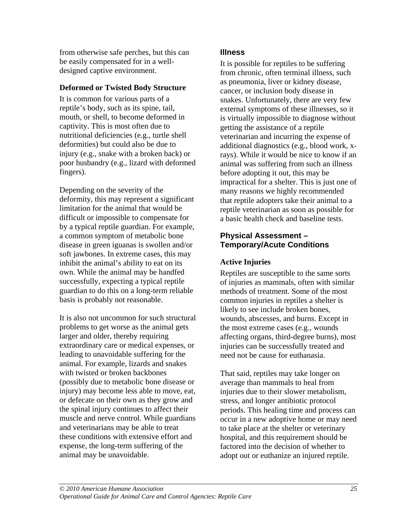from otherwise safe perches, but this can be easily compensated for in a welldesigned captive environment.

#### **Deformed or Twisted Body Structure**

It is common for various parts of a reptile's body, such as its spine, tail, mouth, or shell, to become deformed in captivity. This is most often due to nutritional deficiencies (e.g., turtle shell deformities) but could also be due to injury (e.g., snake with a broken back) or poor husbandry (e.g., lizard with deformed fingers).

Depending on the severity of the deformity, this may represent a significant limitation for the animal that would be difficult or impossible to compensate for by a typical reptile guardian. For example, a common symptom of metabolic bone disease in green iguanas is swollen and/or soft jawbones. In extreme cases, this may inhibit the animal's ability to eat on its own. While the animal may be handfed successfully, expecting a typical reptile guardian to do this on a long-term reliable basis is probably not reasonable.

It is also not uncommon for such structural problems to get worse as the animal gets larger and older, thereby requiring extraordinary care or medical expenses, or leading to unavoidable suffering for the animal. For example, lizards and snakes with twisted or broken backbones (possibly due to metabolic bone disease or injury) may become less able to move, eat, or defecate on their own as they grow and the spinal injury continues to affect their muscle and nerve control. While guardians and veterinarians may be able to treat these conditions with extensive effort and expense, the long-term suffering of the animal may be unavoidable.

# **Illness**

It is possible for reptiles to be suffering from chronic, often terminal illness, such as pneumonia, liver or kidney disease, cancer, or inclusion body disease in snakes. Unfortunately, there are very few external symptoms of these illnesses, so it is virtually impossible to diagnose without getting the assistance of a reptile veterinarian and incurring the expense of additional diagnostics (e.g., blood work, xrays). While it would be nice to know if an animal was suffering from such an illness before adopting it out, this may be impractical for a shelter. This is just one of many reasons we highly recommended that reptile adopters take their animal to a reptile veterinarian as soon as possible for a basic health check and baseline tests.

# **Physical Assessment – Temporary/Acute Conditions**

# **Active Injuries**

Reptiles are susceptible to the same sorts of injuries as mammals, often with similar methods of treatment. Some of the most common injuries in reptiles a shelter is likely to see include broken bones, wounds, abscesses, and burns. Except in the most extreme cases (e.g., wounds affecting organs, third-degree burns), most injuries can be successfully treated and need not be cause for euthanasia.

That said, reptiles may take longer on average than mammals to heal from injuries due to their slower metabolism, stress, and longer antibiotic protocol periods. This healing time and process can occur in a new adoptive home or may need to take place at the shelter or veterinary hospital, and this requirement should be factored into the decision of whether to adopt out or euthanize an injured reptile.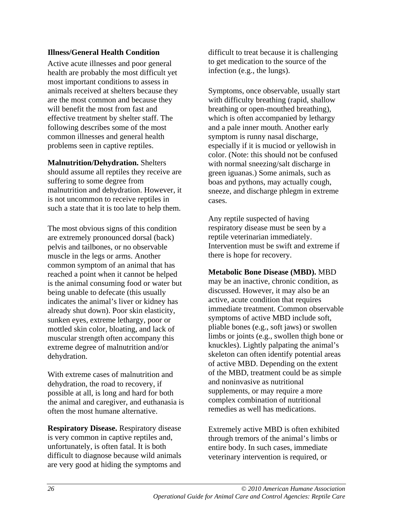#### **Illness/General Health Condition**

Active acute illnesses and poor general health are probably the most difficult yet most important conditions to assess in animals received at shelters because they are the most common and because they will benefit the most from fast and effective treatment by shelter staff. The following describes some of the most common illnesses and general health problems seen in captive reptiles.

**Malnutrition/Dehydration.** Shelters should assume all reptiles they receive are suffering to some degree from malnutrition and dehydration. However, it is not uncommon to receive reptiles in such a state that it is too late to help them.

The most obvious signs of this condition are extremely pronounced dorsal (back) pelvis and tailbones, or no observable muscle in the legs or arms. Another common symptom of an animal that has reached a point when it cannot be helped is the animal consuming food or water but being unable to defecate (this usually indicates the animal's liver or kidney has already shut down). Poor skin elasticity, sunken eyes, extreme lethargy, poor or mottled skin color, bloating, and lack of muscular strength often accompany this extreme degree of malnutrition and/or dehydration.

With extreme cases of malnutrition and dehydration, the road to recovery, if possible at all, is long and hard for both the animal and caregiver, and euthanasia is often the most humane alternative.

**Respiratory Disease.** Respiratory disease is very common in captive reptiles and, unfortunately, is often fatal. It is both difficult to diagnose because wild animals are very good at hiding the symptoms and difficult to treat because it is challenging to get medication to the source of the infection (e.g., the lungs).

Symptoms, once observable, usually start with difficulty breathing (rapid, shallow breathing or open-mouthed breathing), which is often accompanied by lethargy and a pale inner mouth. Another early symptom is runny nasal discharge, especially if it is muciod or yellowish in color. (Note: this should not be confused with normal sneezing/salt discharge in green iguanas.) Some animals, such as boas and pythons, may actually cough, sneeze, and discharge phlegm in extreme cases.

Any reptile suspected of having respiratory disease must be seen by a reptile veterinarian immediately. Intervention must be swift and extreme if there is hope for recovery.

#### **Metabolic Bone Disease (MBD).** MBD

may be an inactive, chronic condition, as discussed. However, it may also be an active, acute condition that requires immediate treatment. Common observable symptoms of active MBD include soft, pliable bones (e.g., soft jaws) or swollen limbs or joints (e.g., swollen thigh bone or knuckles). Lightly palpating the animal's skeleton can often identify potential areas of active MBD. Depending on the extent of the MBD, treatment could be as simple and noninvasive as nutritional supplements, or may require a more complex combination of nutritional remedies as well has medications.

Extremely active MBD is often exhibited through tremors of the animal's limbs or entire body. In such cases, immediate veterinary intervention is required, or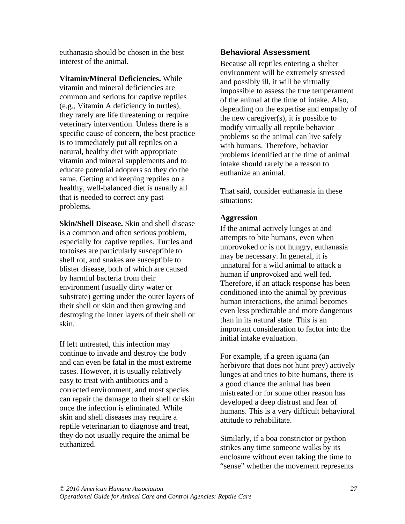euthanasia should be chosen in the best interest of the animal.

**Vitamin/Mineral Deficiencies.** While vitamin and mineral deficiencies are common and serious for captive reptiles (e.g., Vitamin A deficiency in turtles), they rarely are life threatening or require veterinary intervention. Unless there is a specific cause of concern, the best practice is to immediately put all reptiles on a natural, healthy diet with appropriate vitamin and mineral supplements and to educate potential adopters so they do the same. Getting and keeping reptiles on a healthy, well-balanced diet is usually all that is needed to correct any past problems.

**Skin/Shell Disease.** Skin and shell disease is a common and often serious problem, especially for captive reptiles. Turtles and tortoises are particularly susceptible to shell rot, and snakes are susceptible to blister disease, both of which are caused by harmful bacteria from their environment (usually dirty water or substrate) getting under the outer layers of their shell or skin and then growing and destroying the inner layers of their shell or skin.

If left untreated, this infection may continue to invade and destroy the body and can even be fatal in the most extreme cases. However, it is usually relatively easy to treat with antibiotics and a corrected environment, and most species can repair the damage to their shell or skin once the infection is eliminated. While skin and shell diseases may require a reptile veterinarian to diagnose and treat, they do not usually require the animal be euthanized.

# **Behavioral Assessment**

Because all reptiles entering a shelter environment will be extremely stressed and possibly ill, it will be virtually impossible to assess the true temperament of the animal at the time of intake. Also, depending on the expertise and empathy of the new caregiver(s), it is possible to modify virtually all reptile behavior problems so the animal can live safely with humans. Therefore, behavior problems identified at the time of animal intake should rarely be a reason to euthanize an animal.

That said, consider euthanasia in these situations:

### **Aggression**

If the animal actively lunges at and attempts to bite humans, even when unprovoked or is not hungry, euthanasia may be necessary. In general, it is unnatural for a wild animal to attack a human if unprovoked and well fed. Therefore, if an attack response has been conditioned into the animal by previous human interactions, the animal becomes even less predictable and more dangerous than in its natural state. This is an important consideration to factor into the initial intake evaluation.

For example, if a green iguana (an herbivore that does not hunt prey) actively lunges at and tries to bite humans, there is a good chance the animal has been mistreated or for some other reason has developed a deep distrust and fear of humans. This is a very difficult behavioral attitude to rehabilitate.

Similarly, if a boa constrictor or python strikes any time someone walks by its enclosure without even taking the time to "sense" whether the movement represents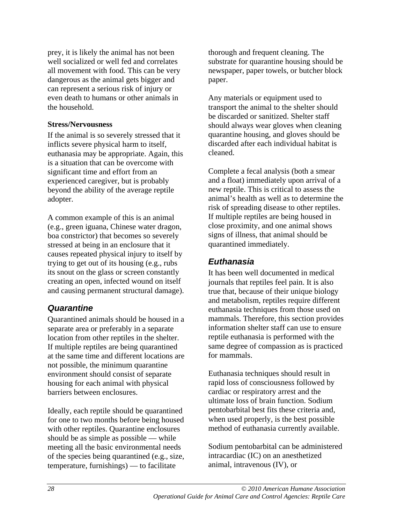prey, it is likely the animal has not been well socialized or well fed and correlates all movement with food. This can be very dangerous as the animal gets bigger and can represent a serious risk of injury or even death to humans or other animals in the household.

#### **Stress/Nervousness**

If the animal is so severely stressed that it inflicts severe physical harm to itself, euthanasia may be appropriate. Again, this is a situation that can be overcome with significant time and effort from an experienced caregiver, but is probably beyond the ability of the average reptile adopter.

A common example of this is an animal (e.g., green iguana, Chinese water dragon, boa constrictor) that becomes so severely stressed at being in an enclosure that it causes repeated physical injury to itself by trying to get out of its housing (e.g., rubs its snout on the glass or screen constantly creating an open, infected wound on itself and causing permanent structural damage).

# *Quarantine*

Quarantined animals should be housed in a separate area or preferably in a separate location from other reptiles in the shelter. If multiple reptiles are being quarantined at the same time and different locations are not possible, the minimum quarantine environment should consist of separate housing for each animal with physical barriers between enclosures.

Ideally, each reptile should be quarantined for one to two months before being housed with other reptiles. Quarantine enclosures should be as simple as possible — while meeting all the basic environmental needs of the species being quarantined (e.g., size, temperature, furnishings) — to facilitate

thorough and frequent cleaning. The substrate for quarantine housing should be newspaper, paper towels, or butcher block paper.

Any materials or equipment used to transport the animal to the shelter should be discarded or sanitized. Shelter staff should always wear gloves when cleaning quarantine housing, and gloves should be discarded after each individual habitat is cleaned.

Complete a fecal analysis (both a smear and a float) immediately upon arrival of a new reptile. This is critical to assess the animal's health as well as to determine the risk of spreading disease to other reptiles. If multiple reptiles are being housed in close proximity, and one animal shows signs of illness, that animal should be quarantined immediately.

# *Euthanasia*

It has been well documented in medical journals that reptiles feel pain. It is also true that, because of their unique biology and metabolism, reptiles require different euthanasia techniques from those used on mammals. Therefore, this section provides information shelter staff can use to ensure reptile euthanasia is performed with the same degree of compassion as is practiced for mammals.

Euthanasia techniques should result in rapid loss of consciousness followed by cardiac or respiratory arrest and the ultimate loss of brain function. Sodium pentobarbital best fits these criteria and, when used properly, is the best possible method of euthanasia currently available.

Sodium pentobarbital can be administered intracardiac (IC) on an anesthetized animal, intravenous (IV), or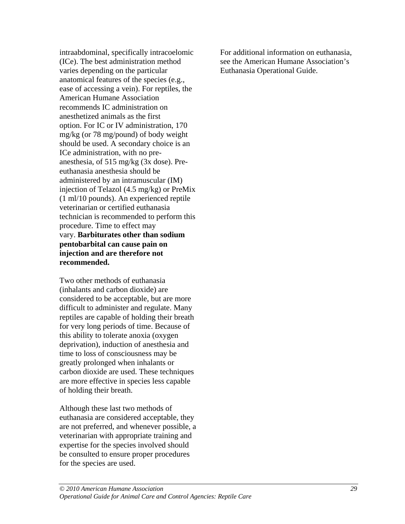intraabdominal, specifically intracoelomic (ICe). The best administration method varies depending on the particular anatomical features of the species (e.g., ease of accessing a vein). For reptiles, the American Humane Association recommends IC administration on anesthetized animals as the first option. For IC or IV administration, 170 mg/kg (or 78 mg/pound) of body weight should be used. A secondary choice is an ICe administration, with no preanesthesia, of 515 mg/kg (3x dose). Preeuthanasia anesthesia should be administered by an intramuscular (IM) injection of Telazol (4.5 mg/kg) or PreMix (1 ml/10 pounds). An experienced reptile veterinarian or certified euthanasia technician is recommended to perform this procedure. Time to effect may vary. **Barbiturates other than sodium pentobarbital can cause pain on injection and are therefore not recommended.** 

Two other methods of euthanasia (inhalants and carbon dioxide) are considered to be acceptable, but are more difficult to administer and regulate. Many reptiles are capable of holding their breath for very long periods of time. Because of this ability to tolerate anoxia (oxygen deprivation), induction of anesthesia and time to loss of consciousness may be greatly prolonged when inhalants or carbon dioxide are used. These techniques are more effective in species less capable of holding their breath.

Although these last two methods of euthanasia are considered acceptable, they are not preferred, and whenever possible, a veterinarian with appropriate training and expertise for the species involved should be consulted to ensure proper procedures for the species are used.

For additional information on euthanasia, see the American Humane Association's Euthanasia Operational Guide.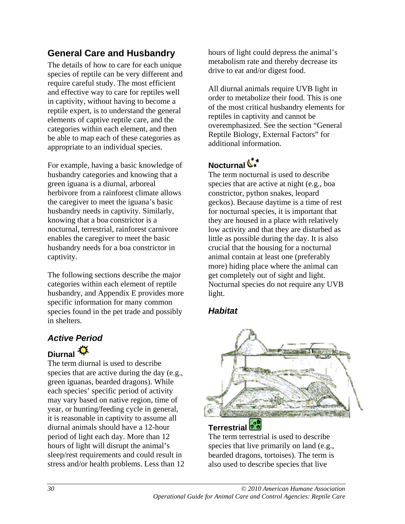## **General Care and Husbandry**

The details of how to care for each unique species of reptile can be very different and require careful study. The most efficient and effective way to care for reptiles well in captivity, without having to become a reptile expert, is to understand the general elements of captive reptile care, and the categories within each element, and then be able to map each of these categories as appropriate to an individual species.

For example, having a basic knowledge of husbandry categories and knowing that a green iguana is a diurnal, arboreal herbivore from a rainforest climate allows the caregiver to meet the iguana's basic husbandry needs in captivity. Similarly, knowing that a boa constrictor is a nocturnal, terrestrial, rainforest carnivore enables the caregiver to meet the basic husbandry needs for a boa constrictor in captivity.

The following sections describe the major categories within each element of reptile husbandry, and Appendix E provides more specific information for many common species found in the pet trade and possibly in shelters.

## *Active Period*

## **Diurnal**<sup>秋</sup>

The term diurnal is used to describe species that are active during the day (e.g., green iguanas, bearded dragons). While each species' specific period of activity may vary based on native region, time of year, or hunting/feeding cycle in general, it is reasonable in captivity to assume all diurnal animals should have a 12-hour period of light each day. More than 12 hours of light will disrupt the animal's sleep/rest requirements and could result in stress and/or health problems. Less than 12 hours of light could depress the animal's metabolism rate and thereby decrease its drive to eat and/or digest food.

All diurnal animals require UVB light in order to metabolize their food. This is one of the most critical husbandry elements for reptiles in captivity and cannot be overemphasized. See the section "General Reptile Biology, External Factors" for additional information.

## **Nocturnal**

The term nocturnal is used to describe species that are active at night (e.g., boa constrictor, python snakes, leopard geckos). Because daytime is a time of rest for nocturnal species, it is important that they are housed in a place with relatively low activity and that they are disturbed as little as possible during the day. It is also crucial that the housing for a nocturnal animal contain at least one (preferably more) hiding place where the animal can get completely out of sight and light. Nocturnal species do not require any UVB light.

#### *Habitat*



## **Terrestrial**

The term terrestrial is used to describe species that live primarily on land (e.g., bearded dragons, tortoises). The term is also used to describe species that live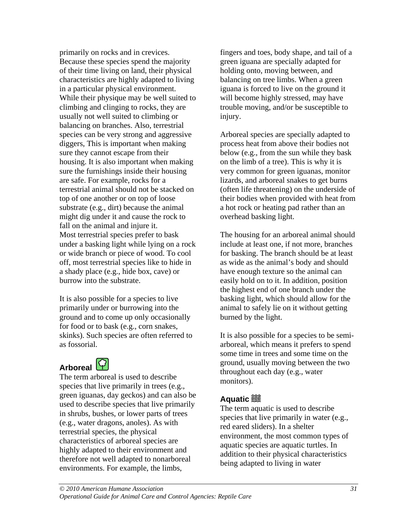primarily on rocks and in crevices. Because these species spend the majority of their time living on land, their physical characteristics are highly adapted to living in a particular physical environment. While their physique may be well suited to climbing and clinging to rocks, they are usually not well suited to climbing or balancing on branches. Also, terrestrial species can be very strong and aggressive diggers, This is important when making sure they cannot escape from their housing. It is also important when making sure the furnishings inside their housing are safe. For example, rocks for a terrestrial animal should not be stacked on top of one another or on top of loose substrate (e.g., dirt) because the animal might dig under it and cause the rock to fall on the animal and injure it. Most terrestrial species prefer to bask under a basking light while lying on a rock or wide branch or piece of wood. To cool off, most terrestrial species like to hide in a shady place (e.g., hide box, cave) or burrow into the substrate.

It is also possible for a species to live primarily under or burrowing into the ground and to come up only occasionally for food or to bask (e.g., corn snakes, skinks). Such species are often referred to as fossorial.

## **Arboreal**



The term arboreal is used to describe species that live primarily in trees (e.g., green iguanas, day geckos) and can also be used to describe species that live primarily in shrubs, bushes, or lower parts of trees (e.g., water dragons, anoles). As with terrestrial species, the physical characteristics of arboreal species are highly adapted to their environment and therefore not well adapted to nonarboreal environments. For example, the limbs,

fingers and toes, body shape, and tail of a green iguana are specially adapted for holding onto, moving between, and balancing on tree limbs. When a green iguana is forced to live on the ground it will become highly stressed, may have trouble moving, and/or be susceptible to injury.

Arboreal species are specially adapted to process heat from above their bodies not below (e.g., from the sun while they bask on the limb of a tree). This is why it is very common for green iguanas, monitor lizards, and arboreal snakes to get burns (often life threatening) on the underside of their bodies when provided with heat from a hot rock or heating pad rather than an overhead basking light.

The housing for an arboreal animal should include at least one, if not more, branches for basking. The branch should be at least as wide as the animal's body and should have enough texture so the animal can easily hold on to it. In addition, position the highest end of one branch under the basking light, which should allow for the animal to safely lie on it without getting burned by the light.

It is also possible for a species to be semiarboreal, which means it prefers to spend some time in trees and some time on the ground, usually moving between the two throughout each day (e.g., water monitors).

#### **Aquatic**<sup>28</sup>

The term aquatic is used to describe species that live primarily in water (e.g., red eared sliders). In a shelter environment, the most common types of aquatic species are aquatic turtles. In addition to their physical characteristics being adapted to living in water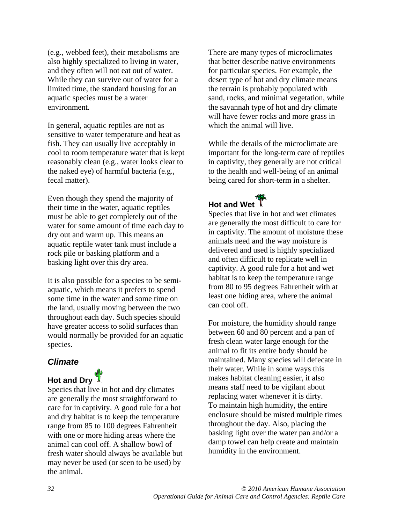(e.g., webbed feet), their metabolisms are also highly specialized to living in water, and they often will not eat out of water. While they can survive out of water for a limited time, the standard housing for an aquatic species must be a water environment.

In general, aquatic reptiles are not as sensitive to water temperature and heat as fish. They can usually live acceptably in cool to room temperature water that is kept reasonably clean (e.g., water looks clear to the naked eye) of harmful bacteria (e.g., fecal matter).

Even though they spend the majority of their time in the water, aquatic reptiles must be able to get completely out of the water for some amount of time each day to dry out and warm up. This means an aquatic reptile water tank must include a rock pile or basking platform and a basking light over this dry area.

It is also possible for a species to be semiaquatic, which means it prefers to spend some time in the water and some time on the land, usually moving between the two throughout each day. Such species should have greater access to solid surfaces than would normally be provided for an aquatic species.

#### *Climate*

# Hot and Dry

Species that live in hot and dry climates are generally the most straightforward to care for in captivity. A good rule for a hot and dry habitat is to keep the temperature range from 85 to 100 degrees Fahrenheit with one or more hiding areas where the animal can cool off. A shallow bowl of fresh water should always be available but may never be used (or seen to be used) by the animal.

There are many types of microclimates that better describe native environments for particular species. For example, the desert type of hot and dry climate means the terrain is probably populated with sand, rocks, and minimal vegetation, while the savannah type of hot and dry climate will have fewer rocks and more grass in which the animal will live.

While the details of the microclimate are important for the long-term care of reptiles in captivity, they generally are not critical to the health and well-being of an animal being cared for short-term in a shelter.

**Hot and Wet** Species that live in hot and wet climates are generally the most difficult to care for in captivity. The amount of moisture these animals need and the way moisture is delivered and used is highly specialized and often difficult to replicate well in captivity. A good rule for a hot and wet habitat is to keep the temperature range from 80 to 95 degrees Fahrenheit with at least one hiding area, where the animal can cool off.

For moisture, the humidity should range between 60 and 80 percent and a pan of fresh clean water large enough for the animal to fit its entire body should be maintained. Many species will defecate in their water. While in some ways this makes habitat cleaning easier, it also means staff need to be vigilant about replacing water whenever it is dirty. To maintain high humidity, the entire enclosure should be misted multiple times throughout the day. Also, placing the basking light over the water pan and/or a damp towel can help create and maintain humidity in the environment.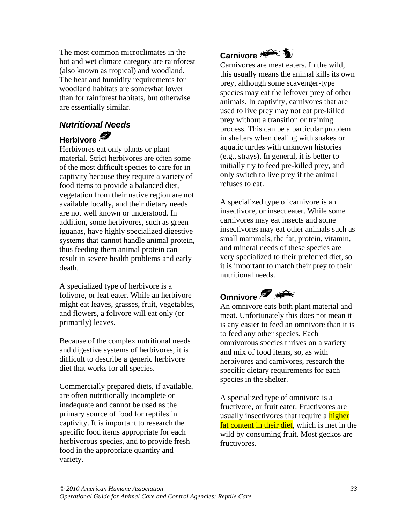The most common microclimates in the hot and wet climate category are rainforest (also known as tropical) and woodland. The heat and humidity requirements for woodland habitats are somewhat lower than for rainforest habitats, but otherwise are essentially similar.

### *Nutritional Needs*

## **Herbivore**

Herbivores eat only plants or plant material. Strict herbivores are often some of the most difficult species to care for in captivity because they require a variety of food items to provide a balanced diet, vegetation from their native region are not available locally, and their dietary needs are not well known or understood. In addition, some herbivores, such as green iguanas, have highly specialized digestive systems that cannot handle animal protein, thus feeding them animal protein can result in severe health problems and early death.

A specialized type of herbivore is a folivore, or leaf eater. While an herbivore might eat leaves, grasses, fruit, vegetables, and flowers, a folivore will eat only (or primarily) leaves.

Because of the complex nutritional needs and digestive systems of herbivores, it is difficult to describe a generic herbivore diet that works for all species.

Commercially prepared diets, if available, are often nutritionally incomplete or inadequate and cannot be used as the primary source of food for reptiles in captivity. It is important to research the specific food items appropriate for each herbivorous species, and to provide fresh food in the appropriate quantity and variety.

## **Carnivore**

Carnivores are meat eaters. In the wild, this usually means the animal kills its own prey, although some scavenger-type species may eat the leftover prey of other animals. In captivity, carnivores that are used to live prey may not eat pre-killed prey without a transition or training process. This can be a particular problem in shelters when dealing with snakes or aquatic turtles with unknown histories (e.g., strays). In general, it is better to initially try to feed pre-killed prey, and only switch to live prey if the animal refuses to eat.

A specialized type of carnivore is an insectivore, or insect eater. While some carnivores may eat insects and some insectivores may eat other animals such as small mammals, the fat, protein, vitamin, and mineral needs of these species are very specialized to their preferred diet, so it is important to match their prey to their nutritional needs.

## **Omnivore**

An omnivore eats both plant material and meat. Unfortunately this does not mean it is any easier to feed an omnivore than it is to feed any other species. Each omnivorous species thrives on a variety and mix of food items, so, as with herbivores and carnivores, research the specific dietary requirements for each species in the shelter.

A specialized type of omnivore is a fructivore, or fruit eater. Fructivores are usually insectivores that require a higher fat content in their diet, which is met in the wild by consuming fruit. Most geckos are fructivores.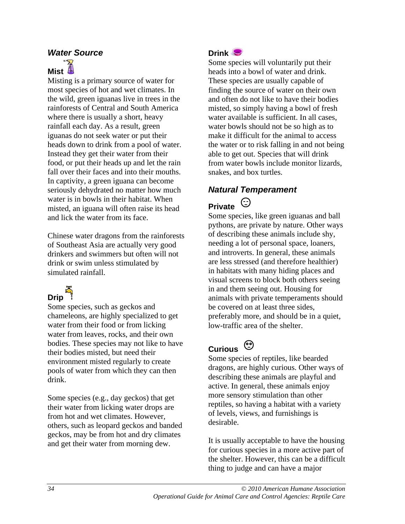#### *Water Source*

## **Mist**

Misting is a primary source of water for most species of hot and wet climates. In the wild, green iguanas live in trees in the rainforests of Central and South America where there is usually a short, heavy rainfall each day. As a result, green iguanas do not seek water or put their heads down to drink from a pool of water. Instead they get their water from their food, or put their heads up and let the rain fall over their faces and into their mouths. In captivity, a green iguana can become seriously dehydrated no matter how much water is in bowls in their habitat. When misted, an iguana will often raise its head and lick the water from its face.

Chinese water dragons from the rainforests of Southeast Asia are actually very good drinkers and swimmers but often will not drink or swim unless stimulated by simulated rainfall.

# مبر<br>Prip

Some species, such as geckos and chameleons, are highly specialized to get water from their food or from licking water from leaves, rocks, and their own bodies. These species may not like to have their bodies misted, but need their environment misted regularly to create pools of water from which they can then drink.

Some species (e.g., day geckos) that get their water from licking water drops are from hot and wet climates. However, others, such as leopard geckos and banded geckos, may be from hot and dry climates and get their water from morning dew.

#### **Drink**

Some species will voluntarily put their heads into a bowl of water and drink. These species are usually capable of finding the source of water on their own and often do not like to have their bodies misted, so simply having a bowl of fresh water available is sufficient. In all cases, water bowls should not be so high as to make it difficult for the animal to access the water or to risk falling in and not being able to get out. Species that will drink from water bowls include monitor lizards, snakes, and box turtles.

### *Natural Temperament*

## **Private**

Some species, like green iguanas and ball pythons, are private by nature. Other ways of describing these animals include shy, needing a lot of personal space, loaners, and introverts. In general, these animals are less stressed (and therefore healthier) in habitats with many hiding places and visual screens to block both others seeing in and them seeing out. Housing for animals with private temperaments should be covered on at least three sides, preferably more, and should be in a quiet, low-traffic area of the shelter.

## **Curious**

Some species of reptiles, like bearded dragons, are highly curious. Other ways of describing these animals are playful and active. In general, these animals enjoy more sensory stimulation than other reptiles, so having a habitat with a variety of levels, views, and furnishings is desirable.

It is usually acceptable to have the housing for curious species in a more active part of the shelter. However, this can be a difficult thing to judge and can have a major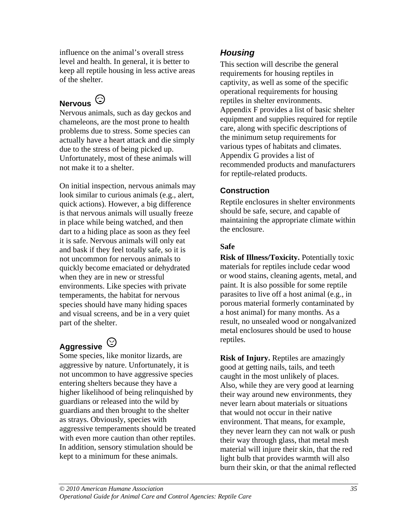influence on the animal's overall stress level and health. In general, it is better to keep all reptile housing in less active areas of the shelter.

## **Nervous**

Nervous animals, such as day geckos and chameleons, are the most prone to health problems due to stress. Some species can actually have a heart attack and die simply due to the stress of being picked up. Unfortunately, most of these animals will not make it to a shelter.

On initial inspection, nervous animals may look similar to curious animals (e.g., alert, quick actions). However, a big difference is that nervous animals will usually freeze in place while being watched, and then dart to a hiding place as soon as they feel it is safe. Nervous animals will only eat and bask if they feel totally safe, so it is not uncommon for nervous animals to quickly become emaciated or dehydrated when they are in new or stressful environments. Like species with private temperaments, the habitat for nervous species should have many hiding spaces and visual screens, and be in a very quiet part of the shelter.

## **Aggressive**

Some species, like monitor lizards, are aggressive by nature. Unfortunately, it is not uncommon to have aggressive species entering shelters because they have a higher likelihood of being relinquished by guardians or released into the wild by guardians and then brought to the shelter as strays. Obviously, species with aggressive temperaments should be treated with even more caution than other reptiles. In addition, sensory stimulation should be kept to a minimum for these animals.

### *Housing*

This section will describe the general requirements for housing reptiles in captivity, as well as some of the specific operational requirements for housing reptiles in shelter environments. Appendix F provides a list of basic shelter equipment and supplies required for reptile care, along with specific descriptions of the minimum setup requirements for various types of habitats and climates. Appendix G provides a list of recommended products and manufacturers for reptile-related products.

#### **Construction**

Reptile enclosures in shelter environments should be safe, secure, and capable of maintaining the appropriate climate within the enclosure.

#### **Safe**

**Risk of Illness/Toxicity.** Potentially toxic materials for reptiles include cedar wood or wood stains, cleaning agents, metal, and paint. It is also possible for some reptile parasites to live off a host animal (e.g., in porous material formerly contaminated by a host animal) for many months. As a result, no unsealed wood or nongalvanized metal enclosures should be used to house reptiles.

**Risk of Injury.** Reptiles are amazingly good at getting nails, tails, and teeth caught in the most unlikely of places. Also, while they are very good at learning their way around new environments, they never learn about materials or situations that would not occur in their native environment. That means, for example, they never learn they can not walk or push their way through glass, that metal mesh material will injure their skin, that the red light bulb that provides warmth will also burn their skin, or that the animal reflected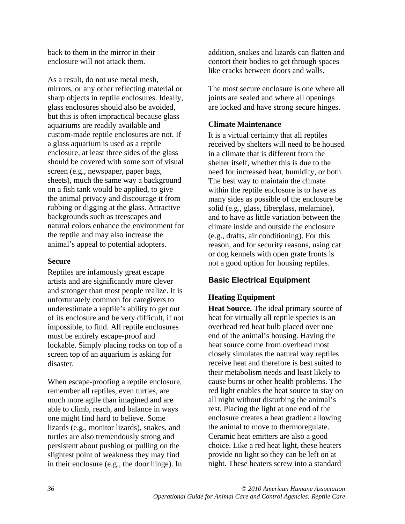back to them in the mirror in their enclosure will not attack them.

As a result, do not use metal mesh, mirrors, or any other reflecting material or sharp objects in reptile enclosures. Ideally, glass enclosures should also be avoided, but this is often impractical because glass aquariums are readily available and custom-made reptile enclosures are not. If a glass aquarium is used as a reptile enclosure, at least three sides of the glass should be covered with some sort of visual screen (e.g., newspaper, paper bags, sheets), much the same way a background on a fish tank would be applied, to give the animal privacy and discourage it from rubbing or digging at the glass. Attractive backgrounds such as treescapes and natural colors enhance the environment for the reptile and may also increase the animal's appeal to potential adopters.

#### **Secure**

Reptiles are infamously great escape artists and are significantly more clever and stronger than most people realize. It is unfortunately common for caregivers to underestimate a reptile's ability to get out of its enclosure and be very difficult, if not impossible, to find. All reptile enclosures must be entirely escape-proof and lockable. Simply placing rocks on top of a screen top of an aquarium is asking for disaster.

When escape-proofing a reptile enclosure, remember all reptiles, even turtles, are much more agile than imagined and are able to climb, reach, and balance in ways one might find hard to believe. Some lizards (e.g., monitor lizards), snakes, and turtles are also tremendously strong and persistent about pushing or pulling on the slightest point of weakness they may find in their enclosure (e.g., the door hinge). In addition, snakes and lizards can flatten and contort their bodies to get through spaces like cracks between doors and walls.

The most secure enclosure is one where all joints are sealed and where all openings are locked and have strong secure hinges.

#### **Climate Maintenance**

It is a virtual certainty that all reptiles received by shelters will need to be housed in a climate that is different from the shelter itself, whether this is due to the need for increased heat, humidity, or both. The best way to maintain the climate within the reptile enclosure is to have as many sides as possible of the enclosure be solid (e.g., glass, fiberglass, melamine), and to have as little variation between the climate inside and outside the enclosure (e.g., drafts, air conditioning). For this reason, and for security reasons, using cat or dog kennels with open grate fronts is not a good option for housing reptiles.

#### **Basic Electrical Equipment**

#### **Heating Equipment**

**Heat Source.** The ideal primary source of heat for virtually all reptile species is an overhead red heat bulb placed over one end of the animal's housing. Having the heat source come from overhead most closely simulates the natural way reptiles receive heat and therefore is best suited to their metabolism needs and least likely to cause burns or other health problems. The red light enables the heat source to stay on all night without disturbing the animal's rest. Placing the light at one end of the enclosure creates a heat gradient allowing the animal to move to thermoregulate. Ceramic heat emitters are also a good choice. Like a red heat light, these heaters provide no light so they can be left on at night. These heaters screw into a standard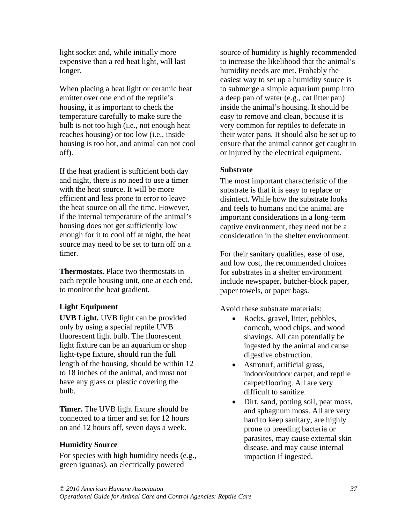light socket and, while initially more expensive than a red heat light, will last longer.

When placing a heat light or ceramic heat emitter over one end of the reptile's housing, it is important to check the temperature carefully to make sure the bulb is not too high (i.e., not enough heat reaches housing) or too low (i.e., inside housing is too hot, and animal can not cool off).

If the heat gradient is sufficient both day and night, there is no need to use a timer with the heat source. It will be more efficient and less prone to error to leave the heat source on all the time. However, if the internal temperature of the animal's housing does not get sufficiently low enough for it to cool off at night, the heat source may need to be set to turn off on a timer.

**Thermostats.** Place two thermostats in each reptile housing unit, one at each end, to monitor the heat gradient.

#### **Light Equipment**

**UVB Light.** UVB light can be provided only by using a special reptile UVB fluorescent light bulb. The fluorescent light fixture can be an aquarium or shop light-type fixture, should run the full length of the housing, should be within 12 to 18 inches of the animal, and must not have any glass or plastic covering the bulb.

**Timer.** The UVB light fixture should be connected to a timer and set for 12 hours on and 12 hours off, seven days a week.

#### **Humidity Source**

For species with high humidity needs (e.g., green iguanas), an electrically powered

source of humidity is highly recommended to increase the likelihood that the animal's humidity needs are met. Probably the easiest way to set up a humidity source is to submerge a simple aquarium pump into a deep pan of water (e.g., cat litter pan) inside the animal's housing. It should be easy to remove and clean, because it is very common for reptiles to defecate in their water pans. It should also be set up to ensure that the animal cannot get caught in or injured by the electrical equipment.

#### **Substrate**

The most important characteristic of the substrate is that it is easy to replace or disinfect. While how the substrate looks and feels to humans and the animal are important considerations in a long-term captive environment, they need not be a consideration in the shelter environment.

For their sanitary qualities, ease of use, and low cost, the recommended choices for substrates in a shelter environment include newspaper, butcher-block paper, paper towels, or paper bags.

Avoid these substrate materials:

- Rocks, gravel, litter, pebbles, corncob, wood chips, and wood shavings. All can potentially be ingested by the animal and cause digestive obstruction.
- Astroturf, artificial grass, indoor/outdoor carpet, and reptile carpet/flooring. All are very difficult to sanitize.
- Dirt, sand, potting soil, peat moss, and sphagnum moss. All are very hard to keep sanitary, are highly prone to breeding bacteria or parasites, may cause external skin disease, and may cause internal impaction if ingested.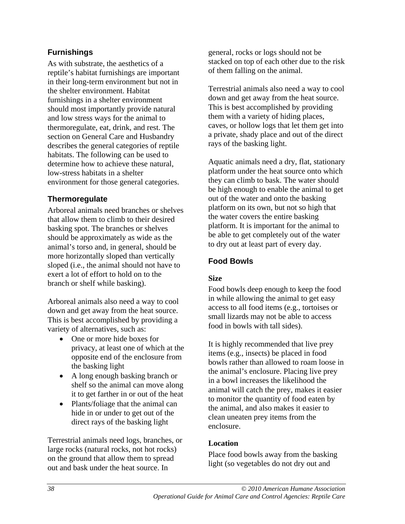#### **Furnishings**

As with substrate, the aesthetics of a reptile's habitat furnishings are important in their long-term environment but not in the shelter environment. Habitat furnishings in a shelter environment should most importantly provide natural and low stress ways for the animal to thermoregulate, eat, drink, and rest. The section on General Care and Husbandry describes the general categories of reptile habitats. The following can be used to determine how to achieve these natural, low-stress habitats in a shelter environment for those general categories.

#### **Thermoregulate**

Arboreal animals need branches or shelves that allow them to climb to their desired basking spot. The branches or shelves should be approximately as wide as the animal's torso and, in general, should be more horizontally sloped than vertically sloped (i.e., the animal should not have to exert a lot of effort to hold on to the branch or shelf while basking).

Arboreal animals also need a way to cool down and get away from the heat source. This is best accomplished by providing a variety of alternatives, such as:

- One or more hide boxes for privacy, at least one of which at the opposite end of the enclosure from the basking light
- A long enough basking branch or shelf so the animal can move along it to get farther in or out of the heat
- Plants/foliage that the animal can hide in or under to get out of the direct rays of the basking light

Terrestrial animals need logs, branches, or large rocks (natural rocks, not hot rocks) on the ground that allow them to spread out and bask under the heat source. In

general, rocks or logs should not be stacked on top of each other due to the risk of them falling on the animal.

Terrestrial animals also need a way to cool down and get away from the heat source. This is best accomplished by providing them with a variety of hiding places, caves, or hollow logs that let them get into a private, shady place and out of the direct rays of the basking light.

Aquatic animals need a dry, flat, stationary platform under the heat source onto which they can climb to bask. The water should be high enough to enable the animal to get out of the water and onto the basking platform on its own, but not so high that the water covers the entire basking platform. It is important for the animal to be able to get completely out of the water to dry out at least part of every day.

#### **Food Bowls**

#### **Size**

Food bowls deep enough to keep the food in while allowing the animal to get easy access to all food items (e.g., tortoises or small lizards may not be able to access food in bowls with tall sides).

It is highly recommended that live prey items (e.g., insects) be placed in food bowls rather than allowed to roam loose in the animal's enclosure. Placing live prey in a bowl increases the likelihood the animal will catch the prey, makes it easier to monitor the quantity of food eaten by the animal, and also makes it easier to clean uneaten prey items from the enclosure.

#### **Location**

Place food bowls away from the basking light (so vegetables do not dry out and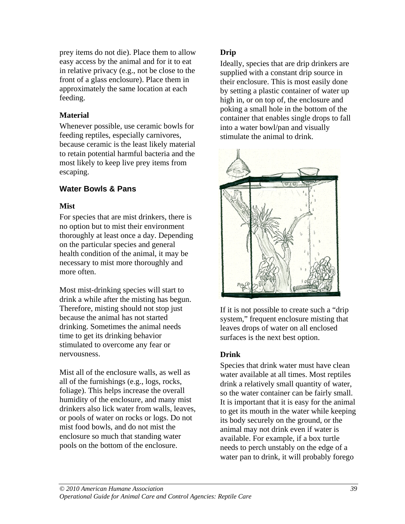prey items do not die). Place them to allow easy access by the animal and for it to eat in relative privacy (e.g., not be close to the front of a glass enclosure). Place them in approximately the same location at each feeding.

#### **Material**

Whenever possible, use ceramic bowls for feeding reptiles, especially carnivores, because ceramic is the least likely material to retain potential harmful bacteria and the most likely to keep live prey items from escaping.

#### **Water Bowls & Pans**

#### **Mist**

For species that are mist drinkers, there is no option but to mist their environment thoroughly at least once a day. Depending on the particular species and general health condition of the animal, it may be necessary to mist more thoroughly and more often.

Most mist-drinking species will start to drink a while after the misting has begun. Therefore, misting should not stop just because the animal has not started drinking. Sometimes the animal needs time to get its drinking behavior stimulated to overcome any fear or nervousness.

Mist all of the enclosure walls, as well as all of the furnishings (e.g., logs, rocks, foliage). This helps increase the overall humidity of the enclosure, and many mist drinkers also lick water from walls, leaves, or pools of water on rocks or logs. Do not mist food bowls, and do not mist the enclosure so much that standing water pools on the bottom of the enclosure.

#### **Drip**

Ideally, species that are drip drinkers are supplied with a constant drip source in their enclosure. This is most easily done by setting a plastic container of water up high in, or on top of, the enclosure and poking a small hole in the bottom of the container that enables single drops to fall into a water bowl/pan and visually stimulate the animal to drink.



If it is not possible to create such a "drip system," frequent enclosure misting that leaves drops of water on all enclosed surfaces is the next best option.

#### **Drink**

Species that drink water must have clean water available at all times. Most reptiles drink a relatively small quantity of water, so the water container can be fairly small. It is important that it is easy for the animal to get its mouth in the water while keeping its body securely on the ground, or the animal may not drink even if water is available. For example, if a box turtle needs to perch unstably on the edge of a water pan to drink, it will probably forego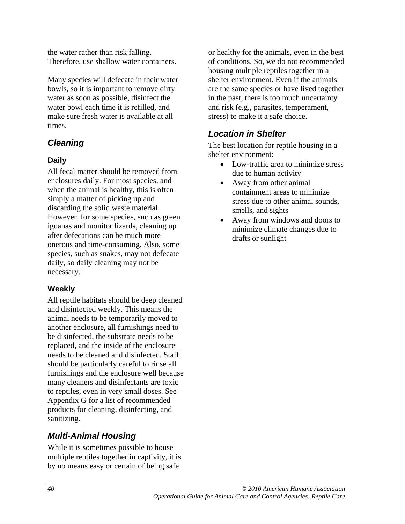the water rather than risk falling. Therefore, use shallow water containers.

Many species will defecate in their water bowls, so it is important to remove dirty water as soon as possible, disinfect the water bowl each time it is refilled, and make sure fresh water is available at all times.

### *Cleaning*

#### **Daily**

All fecal matter should be removed from enclosures daily. For most species, and when the animal is healthy, this is often simply a matter of picking up and discarding the solid waste material. However, for some species, such as green iguanas and monitor lizards, cleaning up after defecations can be much more onerous and time-consuming. Also, some species, such as snakes, may not defecate daily, so daily cleaning may not be necessary.

#### **Weekly**

All reptile habitats should be deep cleaned and disinfected weekly. This means the animal needs to be temporarily moved to another enclosure, all furnishings need to be disinfected, the substrate needs to be replaced, and the inside of the enclosure needs to be cleaned and disinfected. Staff should be particularly careful to rinse all furnishings and the enclosure well because many cleaners and disinfectants are toxic to reptiles, even in very small doses. See Appendix G for a list of recommended products for cleaning, disinfecting, and sanitizing.

### *Multi-Animal Housing*

While it is sometimes possible to house multiple reptiles together in captivity, it is by no means easy or certain of being safe

or healthy for the animals, even in the best of conditions. So, we do not recommended housing multiple reptiles together in a shelter environment. Even if the animals are the same species or have lived together in the past, there is too much uncertainty and risk (e.g., parasites, temperament, stress) to make it a safe choice.

### *Location in Shelter*

The best location for reptile housing in a shelter environment:

- Low-traffic area to minimize stress due to human activity
- Away from other animal containment areas to minimize stress due to other animal sounds, smells, and sights
- Away from windows and doors to minimize climate changes due to drafts or sunlight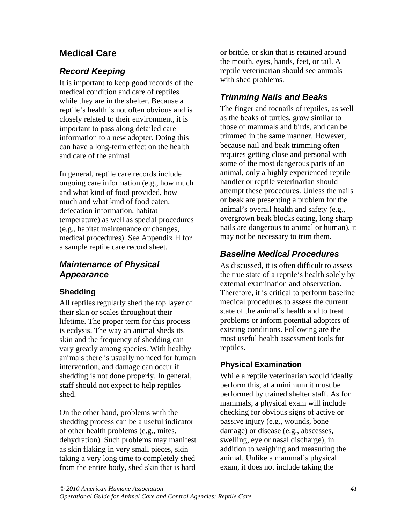## **Medical Care**

### *Record Keeping*

It is important to keep good records of the medical condition and care of reptiles while they are in the shelter. Because a reptile's health is not often obvious and is closely related to their environment, it is important to pass along detailed care information to a new adopter. Doing this can have a long-term effect on the health and care of the animal.

In general, reptile care records include ongoing care information (e.g., how much and what kind of food provided, how much and what kind of food eaten. defecation information, habitat temperature) as well as special procedures (e.g., habitat maintenance or changes, medical procedures). See Appendix H for a sample reptile care record sheet.

### *Maintenance of Physical Appearance*

#### **Shedding**

All reptiles regularly shed the top layer of their skin or scales throughout their lifetime. The proper term for this process is ecdysis. The way an animal sheds its skin and the frequency of shedding can vary greatly among species. With healthy animals there is usually no need for human intervention, and damage can occur if shedding is not done properly. In general, staff should not expect to help reptiles shed.

On the other hand, problems with the shedding process can be a useful indicator of other health problems (e.g., mites, dehydration). Such problems may manifest as skin flaking in very small pieces, skin taking a very long time to completely shed from the entire body, shed skin that is hard

or brittle, or skin that is retained around the mouth, eyes, hands, feet, or tail. A reptile veterinarian should see animals with shed problems.

## *Trimming Nails and Beaks*

The finger and toenails of reptiles, as well as the beaks of turtles, grow similar to those of mammals and birds, and can be trimmed in the same manner. However, because nail and beak trimming often requires getting close and personal with some of the most dangerous parts of an animal, only a highly experienced reptile handler or reptile veterinarian should attempt these procedures. Unless the nails or beak are presenting a problem for the animal's overall health and safety (e.g., overgrown beak blocks eating, long sharp nails are dangerous to animal or human), it may not be necessary to trim them.

## *Baseline Medical Procedures*

As discussed, it is often difficult to assess the true state of a reptile's health solely by external examination and observation. Therefore, it is critical to perform baseline medical procedures to assess the current state of the animal's health and to treat problems or inform potential adopters of existing conditions. Following are the most useful health assessment tools for reptiles.

#### **Physical Examination**

While a reptile veterinarian would ideally perform this, at a minimum it must be performed by trained shelter staff. As for mammals, a physical exam will include checking for obvious signs of active or passive injury (e.g., wounds, bone damage) or disease (e.g., abscesses, swelling, eye or nasal discharge), in addition to weighing and measuring the animal. Unlike a mammal's physical exam, it does not include taking the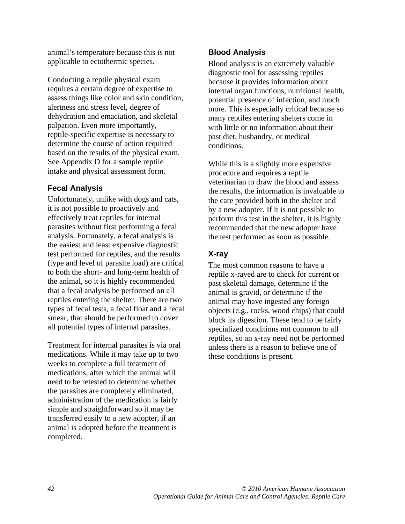animal's temperature because this is not applicable to ectothermic species.

Conducting a reptile physical exam requires a certain degree of expertise to assess things like color and skin condition, alertness and stress level, degree of dehydration and emaciation, and skeletal palpation. Even more importantly, reptile-specific expertise is necessary to determine the course of action required based on the results of the physical exam. See Appendix D for a sample reptile intake and physical assessment form.

#### **Fecal Analysis**

Unfortunately, unlike with dogs and cats, it is not possible to proactively and effectively treat reptiles for internal parasites without first performing a fecal analysis. Fortunately, a fecal analysis is the easiest and least expensive diagnostic test performed for reptiles, and the results (type and level of parasite load) are critical to both the short- and long-term health of the animal, so it is highly recommended that a fecal analysis be performed on all reptiles entering the shelter. There are two types of fecal tests, a fecal float and a fecal smear, that should be performed to cover all potential types of internal parasites.

Treatment for internal parasites is via oral medications. While it may take up to two weeks to complete a full treatment of medications, after which the animal will need to be retested to determine whether the parasites are completely eliminated, administration of the medication is fairly simple and straightforward so it may be transferred easily to a new adopter, if an animal is adopted before the treatment is completed.

#### **Blood Analysis**

Blood analysis is an extremely valuable diagnostic tool for assessing reptiles because it provides information about internal organ functions, nutritional health, potential presence of infection, and much more. This is especially critical because so many reptiles entering shelters come in with little or no information about their past diet, husbandry, or medical conditions.

While this is a slightly more expensive procedure and requires a reptile veterinarian to draw the blood and assess the results, the information is invaluable to the care provided both in the shelter and by a new adopter. If it is not possible to perform this test in the shelter, it is highly recommended that the new adopter have the test performed as soon as possible.

### **X-ray**

The most common reasons to have a reptile x-rayed are to check for current or past skeletal damage, determine if the animal is gravid, or determine if the animal may have ingested any foreign objects (e.g., rocks, wood chips) that could block its digestion. These tend to be fairly specialized conditions not common to all reptiles, so an x-ray need not be performed unless there is a reason to believe one of these conditions is present.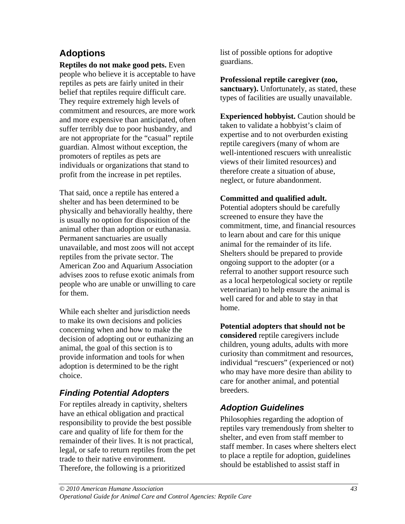## **Adoptions**

**Reptiles do not make good pets.** Even people who believe it is acceptable to have reptiles as pets are fairly united in their belief that reptiles require difficult care. They require extremely high levels of commitment and resources, are more work and more expensive than anticipated, often suffer terribly due to poor husbandry, and are not appropriate for the "casual" reptile guardian. Almost without exception, the promoters of reptiles as pets are individuals or organizations that stand to profit from the increase in pet reptiles.

That said, once a reptile has entered a shelter and has been determined to be physically and behaviorally healthy, there is usually no option for disposition of the animal other than adoption or euthanasia. Permanent sanctuaries are usually unavailable, and most zoos will not accept reptiles from the private sector. The American Zoo and Aquarium Association advises zoos to refuse exotic animals from people who are unable or unwilling to care for them.

While each shelter and jurisdiction needs to make its own decisions and policies concerning when and how to make the decision of adopting out or euthanizing an animal, the goal of this section is to provide information and tools for when adoption is determined to be the right choice.

### *Finding Potential Adopters*

For reptiles already in captivity, shelters have an ethical obligation and practical responsibility to provide the best possible care and quality of life for them for the remainder of their lives. It is not practical, legal, or safe to return reptiles from the pet trade to their native environment. Therefore, the following is a prioritized

list of possible options for adoptive guardians.

**Professional reptile caregiver (zoo, sanctuary).** Unfortunately, as stated, these types of facilities are usually unavailable.

**Experienced hobbyist.** Caution should be taken to validate a hobbyist's claim of expertise and to not overburden existing reptile caregivers (many of whom are well-intentioned rescuers with unrealistic views of their limited resources) and therefore create a situation of abuse, neglect, or future abandonment.

#### **Committed and qualified adult.**

Potential adopters should be carefully screened to ensure they have the commitment, time, and financial resources to learn about and care for this unique animal for the remainder of its life. Shelters should be prepared to provide ongoing support to the adopter (or a referral to another support resource such as a local herpetological society or reptile veterinarian) to help ensure the animal is well cared for and able to stay in that home.

**Potential adopters that should not be** 

**considered** reptile caregivers include children, young adults, adults with more curiosity than commitment and resources, individual "rescuers" (experienced or not) who may have more desire than ability to care for another animal, and potential breeders.

#### *Adoption Guidelines*

Philosophies regarding the adoption of reptiles vary tremendously from shelter to shelter, and even from staff member to staff member. In cases where shelters elect to place a reptile for adoption, guidelines should be established to assist staff in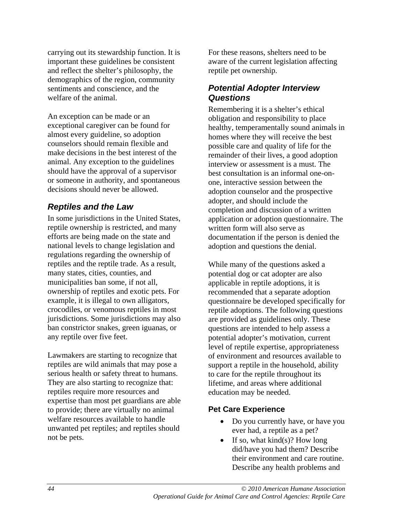carrying out its stewardship function. It is important these guidelines be consistent and reflect the shelter's philosophy, the demographics of the region, community sentiments and conscience, and the welfare of the animal.

An exception can be made or an exceptional caregiver can be found for almost every guideline, so adoption counselors should remain flexible and make decisions in the best interest of the animal. Any exception to the guidelines should have the approval of a supervisor or someone in authority, and spontaneous decisions should never be allowed.

#### *Reptiles and the Law*

In some jurisdictions in the United States, reptile ownership is restricted, and many efforts are being made on the state and national levels to change legislation and regulations regarding the ownership of reptiles and the reptile trade. As a result, many states, cities, counties, and municipalities ban some, if not all, ownership of reptiles and exotic pets. For example, it is illegal to own alligators, crocodiles, or venomous reptiles in most jurisdictions. Some jurisdictions may also ban constrictor snakes, green iguanas, or any reptile over five feet.

Lawmakers are starting to recognize that reptiles are wild animals that may pose a serious health or safety threat to humans. They are also starting to recognize that: reptiles require more resources and expertise than most pet guardians are able to provide; there are virtually no animal welfare resources available to handle unwanted pet reptiles; and reptiles should not be pets.

For these reasons, shelters need to be aware of the current legislation affecting reptile pet ownership.

#### *Potential Adopter Interview Questions*

Remembering it is a shelter's ethical obligation and responsibility to place healthy, temperamentally sound animals in homes where they will receive the best possible care and quality of life for the remainder of their lives, a good adoption interview or assessment is a must. The best consultation is an informal one-onone, interactive session between the adoption counselor and the prospective adopter, and should include the completion and discussion of a written application or adoption questionnaire. The written form will also serve as documentation if the person is denied the adoption and questions the denial.

While many of the questions asked a potential dog or cat adopter are also applicable in reptile adoptions, it is recommended that a separate adoption questionnaire be developed specifically for reptile adoptions. The following questions are provided as guidelines only. These questions are intended to help assess a potential adopter's motivation, current level of reptile expertise, appropriateness of environment and resources available to support a reptile in the household, ability to care for the reptile throughout its lifetime, and areas where additional education may be needed.

#### **Pet Care Experience**

- Do you currently have, or have you ever had, a reptile as a pet?
- If so, what  $kind(s)$ ? How long did/have you had them? Describe their environment and care routine. Describe any health problems and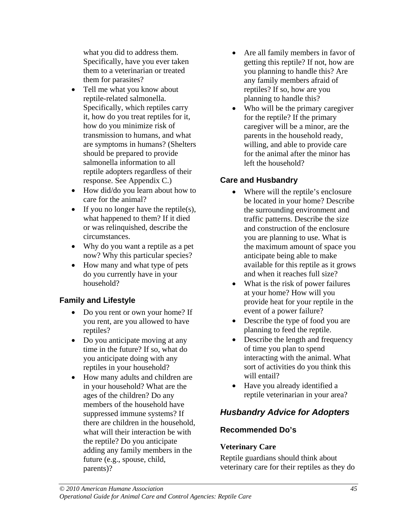what you did to address them. Specifically, have you ever taken them to a veterinarian or treated them for parasites?

- Tell me what you know about reptile-related salmonella. Specifically, which reptiles carry it, how do you treat reptiles for it, how do you minimize risk of transmission to humans, and what are symptoms in humans? (Shelters should be prepared to provide salmonella information to all reptile adopters regardless of their response. See Appendix C.)
- How did/do you learn about how to care for the animal?
- If you no longer have the reptile(s), what happened to them? If it died or was relinquished, describe the circumstances.
- Why do you want a reptile as a pet now? Why this particular species?
- How many and what type of pets do you currently have in your household?

#### **Family and Lifestyle**

- Do you rent or own your home? If you rent, are you allowed to have reptiles?
- Do you anticipate moving at any time in the future? If so, what do you anticipate doing with any reptiles in your household?
- How many adults and children are in your household? What are the ages of the children? Do any members of the household have suppressed immune systems? If there are children in the household, what will their interaction be with the reptile? Do you anticipate adding any family members in the future (e.g., spouse, child, parents)?
- Are all family members in favor of getting this reptile? If not, how are you planning to handle this? Are any family members afraid of reptiles? If so, how are you planning to handle this?
- Who will be the primary caregiver for the reptile? If the primary caregiver will be a minor, are the parents in the household ready, willing, and able to provide care for the animal after the minor has left the household?

#### **Care and Husbandry**

- Where will the reptile's enclosure be located in your home? Describe the surrounding environment and traffic patterns. Describe the size and construction of the enclosure you are planning to use. What is the maximum amount of space you anticipate being able to make available for this reptile as it grows and when it reaches full size?
- What is the risk of power failures at your home? How will you provide heat for your reptile in the event of a power failure?
- Describe the type of food you are planning to feed the reptile.
- Describe the length and frequency of time you plan to spend interacting with the animal. What sort of activities do you think this will entail?
- Have you already identified a reptile veterinarian in your area?

## *Husbandry Advice for Adopters*

#### **Recommended Do's**

#### **Veterinary Care**

Reptile guardians should think about veterinary care for their reptiles as they do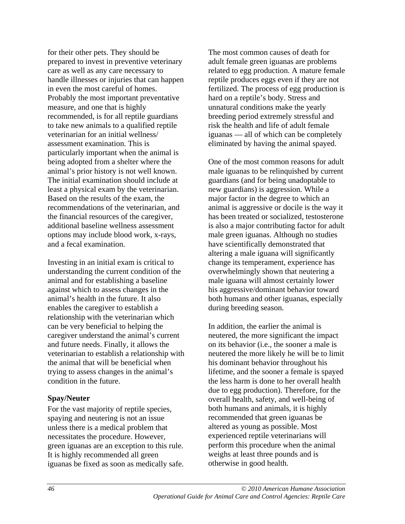for their other pets. They should be prepared to invest in preventive veterinary care as well as any care necessary to handle illnesses or injuries that can happen in even the most careful of homes. Probably the most important preventative measure, and one that is highly recommended, is for all reptile guardians to take new animals to a qualified reptile veterinarian for an initial wellness/ assessment examination. This is particularly important when the animal is being adopted from a shelter where the animal's prior history is not well known. The initial examination should include at least a physical exam by the veterinarian. Based on the results of the exam, the recommendations of the veterinarian, and the financial resources of the caregiver, additional baseline wellness assessment options may include blood work, x-rays, and a fecal examination.

Investing in an initial exam is critical to understanding the current condition of the animal and for establishing a baseline against which to assess changes in the animal's health in the future. It also enables the caregiver to establish a relationship with the veterinarian which can be very beneficial to helping the caregiver understand the animal's current and future needs. Finally, it allows the veterinarian to establish a relationship with the animal that will be beneficial when trying to assess changes in the animal's condition in the future.

#### **Spay/Neuter**

For the vast majority of reptile species, spaying and neutering is not an issue unless there is a medical problem that necessitates the procedure. However, green iguanas are an exception to this rule. It is highly recommended all green iguanas be fixed as soon as medically safe. The most common causes of death for adult female green iguanas are problems related to egg production. A mature female reptile produces eggs even if they are not fertilized. The process of egg production is hard on a reptile's body. Stress and unnatural conditions make the yearly breeding period extremely stressful and risk the health and life of adult female iguanas — all of which can be completely eliminated by having the animal spayed.

One of the most common reasons for adult male iguanas to be relinquished by current guardians (and for being unadoptable to new guardians) is aggression. While a major factor in the degree to which an animal is aggressive or docile is the way it has been treated or socialized, testosterone is also a major contributing factor for adult male green iguanas. Although no studies have scientifically demonstrated that altering a male iguana will significantly change its temperament, experience has overwhelmingly shown that neutering a male iguana will almost certainly lower his aggressive/dominant behavior toward both humans and other iguanas, especially during breeding season.

In addition, the earlier the animal is neutered, the more significant the impact on its behavior (i.e., the sooner a male is neutered the more likely he will be to limit his dominant behavior throughout his lifetime, and the sooner a female is spayed the less harm is done to her overall health due to egg production). Therefore, for the overall health, safety, and well-being of both humans and animals, it is highly recommended that green iguanas be altered as young as possible. Most experienced reptile veterinarians will perform this procedure when the animal weighs at least three pounds and is otherwise in good health.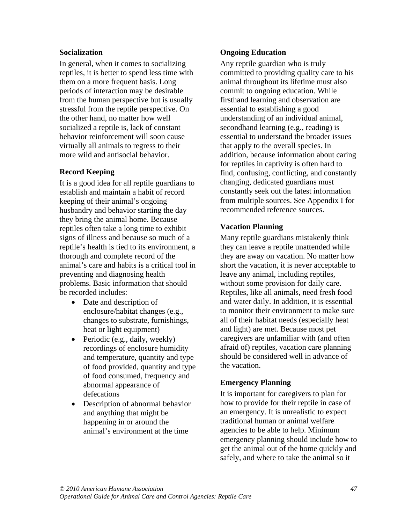#### **Socialization**

In general, when it comes to socializing reptiles, it is better to spend less time with them on a more frequent basis. Long periods of interaction may be desirable from the human perspective but is usually stressful from the reptile perspective. On the other hand, no matter how well socialized a reptile is, lack of constant behavior reinforcement will soon cause virtually all animals to regress to their more wild and antisocial behavior.

#### **Record Keeping**

It is a good idea for all reptile guardians to establish and maintain a habit of record keeping of their animal's ongoing husbandry and behavior starting the day they bring the animal home. Because reptiles often take a long time to exhibit signs of illness and because so much of a reptile's health is tied to its environment, a thorough and complete record of the animal's care and habits is a critical tool in preventing and diagnosing health problems. Basic information that should be recorded includes:

- Date and description of enclosure/habitat changes (e.g., changes to substrate, furnishings, heat or light equipment)
- Periodic (e.g., daily, weekly) recordings of enclosure humidity and temperature, quantity and type of food provided, quantity and type of food consumed, frequency and abnormal appearance of defecations
- Description of abnormal behavior and anything that might be happening in or around the animal's environment at the time

#### **Ongoing Education**

Any reptile guardian who is truly committed to providing quality care to his animal throughout its lifetime must also commit to ongoing education. While firsthand learning and observation are essential to establishing a good understanding of an individual animal, secondhand learning (e.g., reading) is essential to understand the broader issues that apply to the overall species. In addition, because information about caring for reptiles in captivity is often hard to find, confusing, conflicting, and constantly changing, dedicated guardians must constantly seek out the latest information from multiple sources. See Appendix I for recommended reference sources.

#### **Vacation Planning**

Many reptile guardians mistakenly think they can leave a reptile unattended while they are away on vacation. No matter how short the vacation, it is never acceptable to leave any animal, including reptiles, without some provision for daily care. Reptiles, like all animals, need fresh food and water daily. In addition, it is essential to monitor their environment to make sure all of their habitat needs (especially heat and light) are met. Because most pet caregivers are unfamiliar with (and often afraid of) reptiles, vacation care planning should be considered well in advance of the vacation.

#### **Emergency Planning**

It is important for caregivers to plan for how to provide for their reptile in case of an emergency. It is unrealistic to expect traditional human or animal welfare agencies to be able to help. Minimum emergency planning should include how to get the animal out of the home quickly and safely, and where to take the animal so it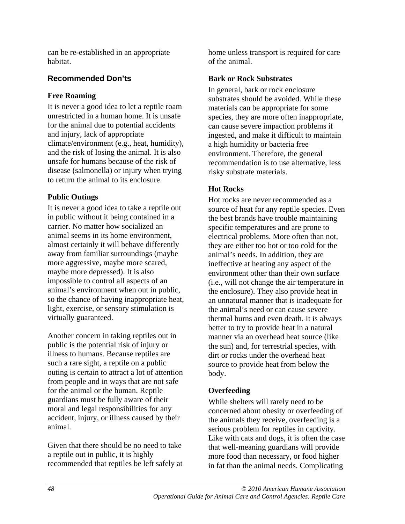can be re-established in an appropriate habitat.

#### **Recommended Don'ts**

#### **Free Roaming**

It is never a good idea to let a reptile roam unrestricted in a human home. It is unsafe for the animal due to potential accidents and injury, lack of appropriate climate/environment (e.g., heat, humidity), and the risk of losing the animal. It is also unsafe for humans because of the risk of disease (salmonella) or injury when trying to return the animal to its enclosure.

#### **Public Outings**

It is never a good idea to take a reptile out in public without it being contained in a carrier. No matter how socialized an animal seems in its home environment, almost certainly it will behave differently away from familiar surroundings (maybe more aggressive, maybe more scared, maybe more depressed). It is also impossible to control all aspects of an animal's environment when out in public, so the chance of having inappropriate heat, light, exercise, or sensory stimulation is virtually guaranteed.

Another concern in taking reptiles out in public is the potential risk of injury or illness to humans. Because reptiles are such a rare sight, a reptile on a public outing is certain to attract a lot of attention from people and in ways that are not safe for the animal or the human. Reptile guardians must be fully aware of their moral and legal responsibilities for any accident, injury, or illness caused by their animal.

Given that there should be no need to take a reptile out in public, it is highly recommended that reptiles be left safely at home unless transport is required for care of the animal.

#### **Bark or Rock Substrates**

In general, bark or rock enclosure substrates should be avoided. While these materials can be appropriate for some species, they are more often inappropriate, can cause severe impaction problems if ingested, and make it difficult to maintain a high humidity or bacteria free environment. Therefore, the general recommendation is to use alternative, less risky substrate materials.

#### **Hot Rocks**

Hot rocks are never recommended as a source of heat for any reptile species. Even the best brands have trouble maintaining specific temperatures and are prone to electrical problems. More often than not, they are either too hot or too cold for the animal's needs. In addition, they are ineffective at heating any aspect of the environment other than their own surface (i.e., will not change the air temperature in the enclosure). They also provide heat in an unnatural manner that is inadequate for the animal's need or can cause severe thermal burns and even death. It is always better to try to provide heat in a natural manner via an overhead heat source (like the sun) and, for terrestrial species, with dirt or rocks under the overhead heat source to provide heat from below the body.

#### **Overfeeding**

While shelters will rarely need to be concerned about obesity or overfeeding of the animals they receive, overfeeding is a serious problem for reptiles in captivity. Like with cats and dogs, it is often the case that well-meaning guardians will provide more food than necessary, or food higher in fat than the animal needs. Complicating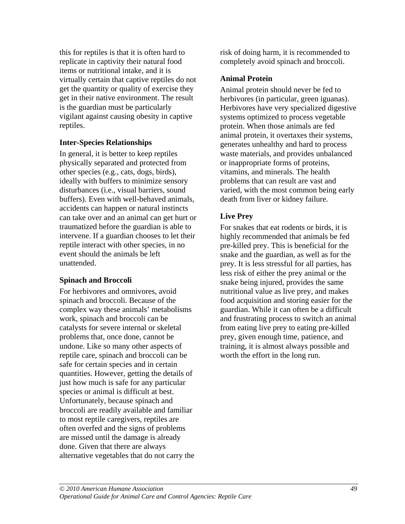this for reptiles is that it is often hard to replicate in captivity their natural food items or nutritional intake, and it is virtually certain that captive reptiles do not get the quantity or quality of exercise they get in their native environment. The result is the guardian must be particularly vigilant against causing obesity in captive reptiles.

#### **Inter-Species Relationships**

In general, it is better to keep reptiles physically separated and protected from other species (e.g., cats, dogs, birds), ideally with buffers to minimize sensory disturbances (i.e., visual barriers, sound buffers). Even with well-behaved animals, accidents can happen or natural instincts can take over and an animal can get hurt or traumatized before the guardian is able to intervene. If a guardian chooses to let their reptile interact with other species, in no event should the animals be left unattended.

#### **Spinach and Broccoli**

For herbivores and omnivores, avoid spinach and broccoli. Because of the complex way these animals' metabolisms work, spinach and broccoli can be catalysts for severe internal or skeletal problems that, once done, cannot be undone. Like so many other aspects of reptile care, spinach and broccoli can be safe for certain species and in certain quantities. However, getting the details of just how much is safe for any particular species or animal is difficult at best. Unfortunately, because spinach and broccoli are readily available and familiar to most reptile caregivers, reptiles are often overfed and the signs of problems are missed until the damage is already done. Given that there are always alternative vegetables that do not carry the risk of doing harm, it is recommended to completely avoid spinach and broccoli.

#### **Animal Protein**

Animal protein should never be fed to herbivores (in particular, green iguanas). Herbivores have very specialized digestive systems optimized to process vegetable protein. When those animals are fed animal protein, it overtaxes their systems, generates unhealthy and hard to process waste materials, and provides unbalanced or inappropriate forms of proteins, vitamins, and minerals. The health problems that can result are vast and varied, with the most common being early death from liver or kidney failure.

#### **Live Prey**

For snakes that eat rodents or birds, it is highly recommended that animals be fed pre-killed prey. This is beneficial for the snake and the guardian, as well as for the prey. It is less stressful for all parties, has less risk of either the prey animal or the snake being injured, provides the same nutritional value as live prey, and makes food acquisition and storing easier for the guardian. While it can often be a difficult and frustrating process to switch an animal from eating live prey to eating pre-killed prey, given enough time, patience, and training, it is almost always possible and worth the effort in the long run.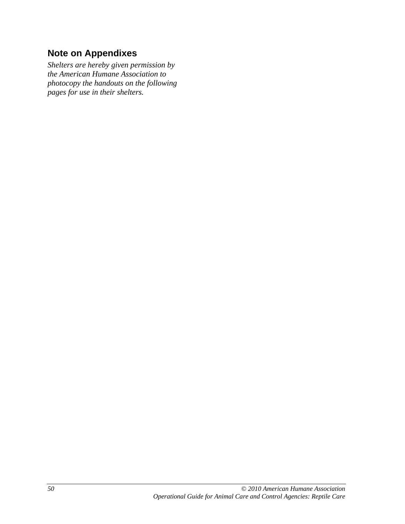## **Note on Appendixes**

*Shelters are hereby given permission by the American Humane Association to photocopy the handouts on the following pages for use in their shelters.*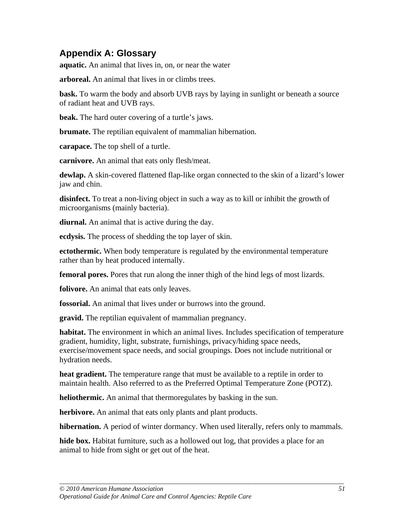## **Appendix A: Glossary**

**aquatic.** An animal that lives in, on, or near the water

**arboreal.** An animal that lives in or climbs trees.

**bask.** To warm the body and absorb UVB rays by laying in sunlight or beneath a source of radiant heat and UVB rays.

**beak.** The hard outer covering of a turtle's jaws.

**brumate.** The reptilian equivalent of mammalian hibernation.

**carapace.** The top shell of a turtle.

**carnivore.** An animal that eats only flesh/meat.

**dewlap.** A skin-covered flattened flap-like organ connected to the skin of a lizard's lower jaw and chin.

**disinfect.** To treat a non-living object in such a way as to kill or inhibit the growth of microorganisms (mainly bacteria).

**diurnal.** An animal that is active during the day.

**ecdysis.** The process of shedding the top layer of skin.

**ectothermic.** When body temperature is regulated by the environmental temperature rather than by heat produced internally.

**femoral pores.** Pores that run along the inner thigh of the hind legs of most lizards.

**folivore.** An animal that eats only leaves.

**fossorial.** An animal that lives under or burrows into the ground.

**gravid.** The reptilian equivalent of mammalian pregnancy.

**habitat.** The environment in which an animal lives. Includes specification of temperature gradient, humidity, light, substrate, furnishings, privacy/hiding space needs, exercise/movement space needs, and social groupings. Does not include nutritional or hydration needs.

**heat gradient.** The temperature range that must be available to a reptile in order to maintain health. Also referred to as the Preferred Optimal Temperature Zone (POTZ).

**heliothermic.** An animal that thermoregulates by basking in the sun.

**herbivore.** An animal that eats only plants and plant products.

**hibernation.** A period of winter dormancy. When used literally, refers only to mammals.

**hide box.** Habitat furniture, such as a hollowed out log, that provides a place for an animal to hide from sight or get out of the heat.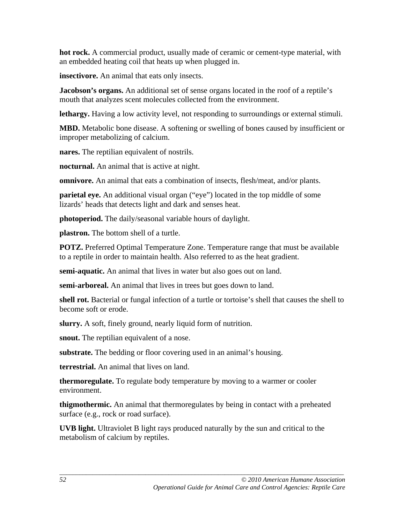**hot rock.** A commercial product, usually made of ceramic or cement-type material, with an embedded heating coil that heats up when plugged in.

**insectivore.** An animal that eats only insects.

**Jacobson's organs.** An additional set of sense organs located in the roof of a reptile's mouth that analyzes scent molecules collected from the environment.

**lethargy.** Having a low activity level, not responding to surroundings or external stimuli.

**MBD.** Metabolic bone disease. A softening or swelling of bones caused by insufficient or improper metabolizing of calcium.

**nares.** The reptilian equivalent of nostrils.

**nocturnal.** An animal that is active at night.

**omnivore.** An animal that eats a combination of insects, flesh/meat, and/or plants.

**parietal eye.** An additional visual organ ("eye") located in the top middle of some lizards' heads that detects light and dark and senses heat.

**photoperiod.** The daily/seasonal variable hours of daylight.

**plastron.** The bottom shell of a turtle.

**POTZ.** Preferred Optimal Temperature Zone. Temperature range that must be available to a reptile in order to maintain health. Also referred to as the heat gradient.

**semi-aquatic.** An animal that lives in water but also goes out on land.

**semi-arboreal.** An animal that lives in trees but goes down to land.

**shell rot.** Bacterial or fungal infection of a turtle or tortoise's shell that causes the shell to become soft or erode.

**slurry.** A soft, finely ground, nearly liquid form of nutrition.

**snout.** The reptilian equivalent of a nose.

**substrate.** The bedding or floor covering used in an animal's housing.

**terrestrial.** An animal that lives on land.

**thermoregulate.** To regulate body temperature by moving to a warmer or cooler environment.

**thigmothermic.** An animal that thermoregulates by being in contact with a preheated surface (e.g., rock or road surface).

**UVB light.** Ultraviolet B light rays produced naturally by the sun and critical to the metabolism of calcium by reptiles.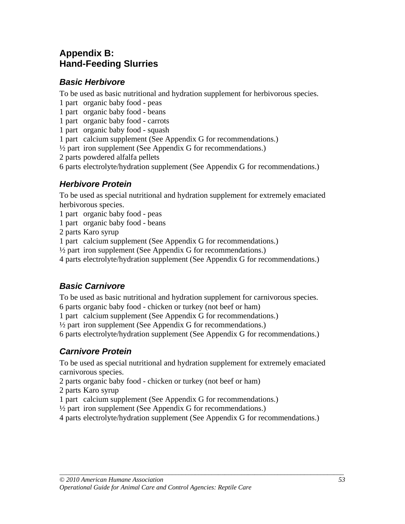## **Appendix B: Hand-Feeding Slurries**

#### *Basic Herbivore*

To be used as basic nutritional and hydration supplement for herbivorous species.

- 1 part organic baby food peas
- 1 part organic baby food beans

1 part organic baby food - carrots

- 1 part organic baby food squash
- 1 part calcium supplement (See Appendix G for recommendations.)
- $\frac{1}{2}$  part iron supplement (See Appendix G for recommendations.)

2 parts powdered alfalfa pellets

6 parts electrolyte/hydration supplement (See Appendix G for recommendations.)

#### *Herbivore Protein*

To be used as special nutritional and hydration supplement for extremely emaciated herbivorous species.

1 part organic baby food - peas

1 part organic baby food - beans

2 parts Karo syrup

1 part calcium supplement (See Appendix G for recommendations.)

 $\frac{1}{2}$  part iron supplement (See Appendix G for recommendations.)

4 parts electrolyte/hydration supplement (See Appendix G for recommendations.)

#### *Basic Carnivore*

To be used as basic nutritional and hydration supplement for carnivorous species.

6 parts organic baby food - chicken or turkey (not beef or ham)

1 part calcium supplement (See Appendix G for recommendations.)

 $\frac{1}{2}$  part iron supplement (See Appendix G for recommendations.)

6 parts electrolyte/hydration supplement (See Appendix G for recommendations.)

#### *Carnivore Protein*

To be used as special nutritional and hydration supplement for extremely emaciated carnivorous species.

2 parts organic baby food - chicken or turkey (not beef or ham)

- 2 parts Karo syrup
- 1 part calcium supplement (See Appendix G for recommendations.)

 $\frac{1}{2}$  part iron supplement (See Appendix G for recommendations.)

4 parts electrolyte/hydration supplement (See Appendix G for recommendations.)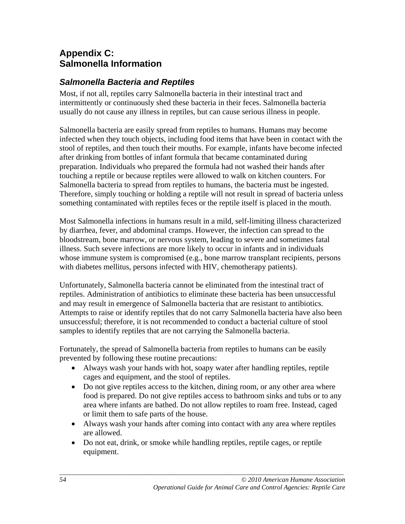## **Appendix C: Salmonella Information**

### *Salmonella Bacteria and Reptiles*

Most, if not all, reptiles carry Salmonella bacteria in their intestinal tract and intermittently or continuously shed these bacteria in their feces. Salmonella bacteria usually do not cause any illness in reptiles, but can cause serious illness in people.

Salmonella bacteria are easily spread from reptiles to humans. Humans may become infected when they touch objects, including food items that have been in contact with the stool of reptiles, and then touch their mouths. For example, infants have become infected after drinking from bottles of infant formula that became contaminated during preparation. Individuals who prepared the formula had not washed their hands after touching a reptile or because reptiles were allowed to walk on kitchen counters. For Salmonella bacteria to spread from reptiles to humans, the bacteria must be ingested. Therefore, simply touching or holding a reptile will not result in spread of bacteria unless something contaminated with reptiles feces or the reptile itself is placed in the mouth.

Most Salmonella infections in humans result in a mild, self-limiting illness characterized by diarrhea, fever, and abdominal cramps. However, the infection can spread to the bloodstream, bone marrow, or nervous system, leading to severe and sometimes fatal illness. Such severe infections are more likely to occur in infants and in individuals whose immune system is compromised (e.g., bone marrow transplant recipients, persons with diabetes mellitus, persons infected with HIV, chemotherapy patients).

Unfortunately, Salmonella bacteria cannot be eliminated from the intestinal tract of reptiles. Administration of antibiotics to eliminate these bacteria has been unsuccessful and may result in emergence of Salmonella bacteria that are resistant to antibiotics. Attempts to raise or identify reptiles that do not carry Salmonella bacteria have also been unsuccessful; therefore, it is not recommended to conduct a bacterial culture of stool samples to identify reptiles that are not carrying the Salmonella bacteria.

Fortunately, the spread of Salmonella bacteria from reptiles to humans can be easily prevented by following these routine precautions:

- Always wash your hands with hot, soapy water after handling reptiles, reptile cages and equipment, and the stool of reptiles.
- Do not give reptiles access to the kitchen, dining room, or any other area where food is prepared. Do not give reptiles access to bathroom sinks and tubs or to any area where infants are bathed. Do not allow reptiles to roam free. Instead, caged or limit them to safe parts of the house.
- Always wash your hands after coming into contact with any area where reptiles are allowed.
- Do not eat, drink, or smoke while handling reptiles, reptile cages, or reptile equipment.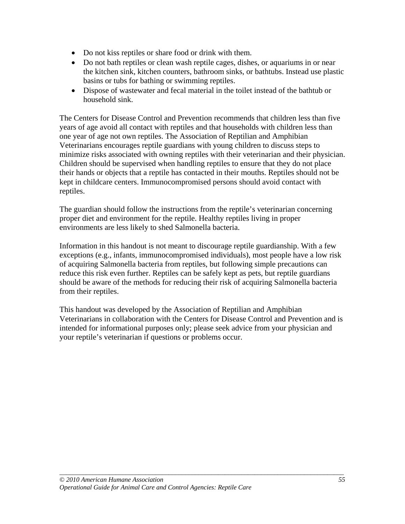- Do not kiss reptiles or share food or drink with them.
- Do not bath reptiles or clean wash reptile cages, dishes, or aquariums in or near the kitchen sink, kitchen counters, bathroom sinks, or bathtubs. Instead use plastic basins or tubs for bathing or swimming reptiles.
- Dispose of wastewater and fecal material in the toilet instead of the bathtub or household sink.

The Centers for Disease Control and Prevention recommends that children less than five years of age avoid all contact with reptiles and that households with children less than one year of age not own reptiles. The Association of Reptilian and Amphibian Veterinarians encourages reptile guardians with young children to discuss steps to minimize risks associated with owning reptiles with their veterinarian and their physician. Children should be supervised when handling reptiles to ensure that they do not place their hands or objects that a reptile has contacted in their mouths. Reptiles should not be kept in childcare centers. Immunocompromised persons should avoid contact with reptiles.

The guardian should follow the instructions from the reptile's veterinarian concerning proper diet and environment for the reptile. Healthy reptiles living in proper environments are less likely to shed Salmonella bacteria.

Information in this handout is not meant to discourage reptile guardianship. With a few exceptions (e.g., infants, immunocompromised individuals), most people have a low risk of acquiring Salmonella bacteria from reptiles, but following simple precautions can reduce this risk even further. Reptiles can be safely kept as pets, but reptile guardians should be aware of the methods for reducing their risk of acquiring Salmonella bacteria from their reptiles.

This handout was developed by the Association of Reptilian and Amphibian Veterinarians in collaboration with the Centers for Disease Control and Prevention and is intended for informational purposes only; please seek advice from your physician and your reptile's veterinarian if questions or problems occur.

*\_\_\_\_\_\_\_\_\_\_\_\_\_\_\_\_\_\_\_\_\_\_\_\_\_\_\_\_\_\_\_\_\_\_\_\_\_\_\_\_\_\_\_\_\_\_\_\_\_\_\_\_\_\_\_\_\_\_\_\_\_\_\_\_\_\_\_\_\_\_\_\_\_\_\_\_\_\_\_\_\_\_\_\_\_\_*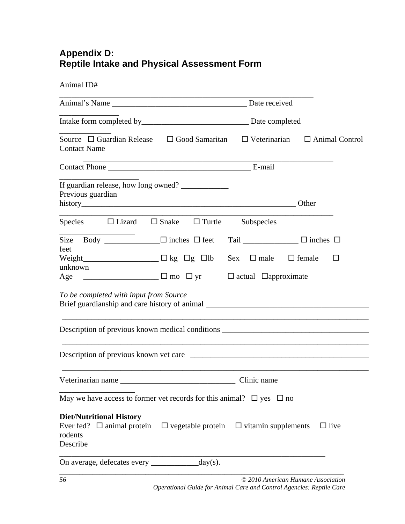## **Appendix D: Reptile Intake and Physical Assessment Form**

Animal ID#

| Source $\Box$ Guardian Release $\Box$ Good Samaritan<br><b>Contact Name</b>                      | $\Box$ Veterinarian<br>$\Box$ Animal Control                                                                                                                                                                                             |
|--------------------------------------------------------------------------------------------------|------------------------------------------------------------------------------------------------------------------------------------------------------------------------------------------------------------------------------------------|
|                                                                                                  |                                                                                                                                                                                                                                          |
| If guardian release, how long owned?<br>Previous guardian                                        |                                                                                                                                                                                                                                          |
| Species $\Box$ Lizard $\Box$ Snake $\Box$ Turtle                                                 | Subspecies                                                                                                                                                                                                                               |
| Size Body $\Box$ inches $\Box$ feet<br>feet<br>unknown<br>To be completed with input from Source | Tail _____________ $\Box$ inches $\Box$<br>$Sex \square$ male<br>$\Box$ female<br>$\Box$<br>Age ___________________ □ mo □ yr □ actual □approximate<br>Brief guardianship and care history of animal ___________________________________ |
|                                                                                                  |                                                                                                                                                                                                                                          |
| May we have access to former vet records for this animal? $\Box$ yes $\Box$ no                   |                                                                                                                                                                                                                                          |
| <b>Diet/Nutritional History</b><br>rodents<br>Describe                                           | Ever fed? $\Box$ animal protein $\Box$ vegetable protein $\Box$ vitamin supplements<br>$\Box$ live                                                                                                                                       |
| On average, defecates every _______________ day(s).                                              |                                                                                                                                                                                                                                          |
| 56                                                                                               | © 2010 American Humane Association                                                                                                                                                                                                       |

 *Operational Guide for Animal Care and Control Agencies: Reptile Care*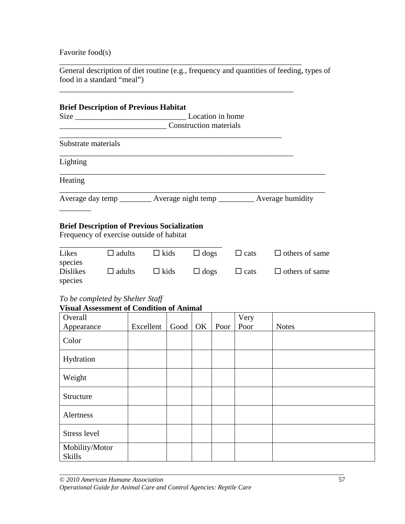Favorite food(s)

General description of diet routine (e.g., frequency and quantities of feeding, types of food in a standard "meal")

\_\_\_\_\_\_\_\_\_\_\_\_\_\_\_\_\_\_\_\_\_\_\_\_\_\_\_\_\_\_\_\_\_\_\_\_\_\_\_\_\_\_\_\_\_\_\_\_\_\_\_\_\_\_\_\_\_\_\_\_\_

\_\_\_\_\_\_\_\_\_\_\_\_\_\_\_\_\_\_\_\_\_\_\_\_\_\_\_\_\_\_\_\_\_\_\_\_\_\_\_\_\_\_\_\_\_\_\_\_\_\_\_\_\_\_\_\_\_\_\_

|                                                                                                         | Location in home |                               |      |             |             |              |                       |  |  |  |  |  |
|---------------------------------------------------------------------------------------------------------|------------------|-------------------------------|------|-------------|-------------|--------------|-----------------------|--|--|--|--|--|
|                                                                                                         |                  | <b>Construction materials</b> |      |             |             |              |                       |  |  |  |  |  |
| Substrate materials                                                                                     |                  |                               |      |             |             |              |                       |  |  |  |  |  |
| Lighting                                                                                                |                  |                               |      |             |             |              |                       |  |  |  |  |  |
| Heating                                                                                                 |                  |                               |      |             |             |              |                       |  |  |  |  |  |
| Average day temp ___________ Average night temp ____________ Average humidity                           |                  |                               |      |             |             |              |                       |  |  |  |  |  |
| <b>Brief Description of Previous Socialization</b><br>Frequency of exercise outside of habitat<br>Likes | $\Box$ adults    | $\Box$ kids                   |      |             | $\Box$ dogs | $\Box$ cats  | $\Box$ others of same |  |  |  |  |  |
| species<br><b>Dislikes</b><br>species                                                                   | $\Box$ adults    | $\Box$ kids                   |      | $\Box$ dogs |             | $\Box$ cats  | $\Box$ others of same |  |  |  |  |  |
| To be completed by Shelter Staff<br><b>Visual Assessment of Condition of Animal</b>                     |                  |                               |      |             |             |              |                       |  |  |  |  |  |
| Overall<br>Appearance                                                                                   |                  | Excellent                     | Good | OK          | Poor        | Very<br>Poor | <b>Notes</b>          |  |  |  |  |  |
| Color                                                                                                   |                  |                               |      |             |             |              |                       |  |  |  |  |  |
| Hydration                                                                                               |                  |                               |      |             |             |              |                       |  |  |  |  |  |
| Weight                                                                                                  |                  |                               |      |             |             |              |                       |  |  |  |  |  |

| Weight                          |  |  |  |
|---------------------------------|--|--|--|
| Structure                       |  |  |  |
| Alertness                       |  |  |  |
| Stress level                    |  |  |  |
| Mobility/Motor<br><b>Skills</b> |  |  |  |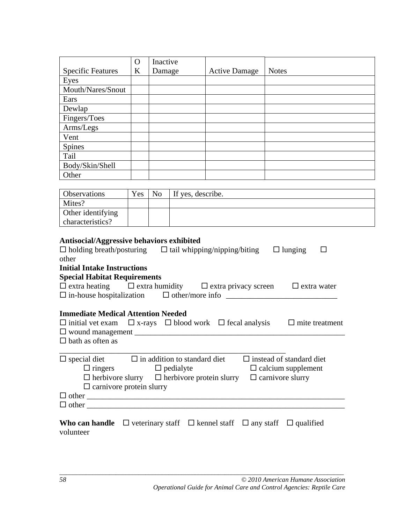|                                                                                                                                                                                                                                                                                                                                                                                                                                                                                                   | $\Omega$ | Inactive       |                   |                      |              |  |  |  |  |
|---------------------------------------------------------------------------------------------------------------------------------------------------------------------------------------------------------------------------------------------------------------------------------------------------------------------------------------------------------------------------------------------------------------------------------------------------------------------------------------------------|----------|----------------|-------------------|----------------------|--------------|--|--|--|--|
| <b>Specific Features</b>                                                                                                                                                                                                                                                                                                                                                                                                                                                                          | $\bf K$  | Damage         |                   | <b>Active Damage</b> | <b>Notes</b> |  |  |  |  |
| Eyes                                                                                                                                                                                                                                                                                                                                                                                                                                                                                              |          |                |                   |                      |              |  |  |  |  |
| Mouth/Nares/Snout                                                                                                                                                                                                                                                                                                                                                                                                                                                                                 |          |                |                   |                      |              |  |  |  |  |
| Ears                                                                                                                                                                                                                                                                                                                                                                                                                                                                                              |          |                |                   |                      |              |  |  |  |  |
| Dewlap                                                                                                                                                                                                                                                                                                                                                                                                                                                                                            |          |                |                   |                      |              |  |  |  |  |
| Fingers/Toes                                                                                                                                                                                                                                                                                                                                                                                                                                                                                      |          |                |                   |                      |              |  |  |  |  |
| Arms/Legs                                                                                                                                                                                                                                                                                                                                                                                                                                                                                         |          |                |                   |                      |              |  |  |  |  |
| Vent                                                                                                                                                                                                                                                                                                                                                                                                                                                                                              |          |                |                   |                      |              |  |  |  |  |
| <b>Spines</b>                                                                                                                                                                                                                                                                                                                                                                                                                                                                                     |          |                |                   |                      |              |  |  |  |  |
| Tail                                                                                                                                                                                                                                                                                                                                                                                                                                                                                              |          |                |                   |                      |              |  |  |  |  |
| Body/Skin/Shell                                                                                                                                                                                                                                                                                                                                                                                                                                                                                   |          |                |                   |                      |              |  |  |  |  |
| Other                                                                                                                                                                                                                                                                                                                                                                                                                                                                                             |          |                |                   |                      |              |  |  |  |  |
|                                                                                                                                                                                                                                                                                                                                                                                                                                                                                                   |          |                |                   |                      |              |  |  |  |  |
| Observations                                                                                                                                                                                                                                                                                                                                                                                                                                                                                      | Yes      | N <sub>0</sub> | If yes, describe. |                      |              |  |  |  |  |
| Mites?                                                                                                                                                                                                                                                                                                                                                                                                                                                                                            |          |                |                   |                      |              |  |  |  |  |
| Other identifying                                                                                                                                                                                                                                                                                                                                                                                                                                                                                 |          |                |                   |                      |              |  |  |  |  |
| characteristics?                                                                                                                                                                                                                                                                                                                                                                                                                                                                                  |          |                |                   |                      |              |  |  |  |  |
| $\Box$ holding breath/posturing $\Box$ tail whipping/nipping/biting<br>$\Box$ lunging<br>□<br>other<br><b>Initial Intake Instructions</b><br><b>Special Habitat Requirements</b><br>$\Box$ extra heating $\Box$ extra humidity $\Box$ extra privacy screen<br>$\Box$ extra water<br>$\Box$ in-house hospitalization $\Box$ other/more info<br><b>Immediate Medical Attention Needed</b><br>$\Box$ initial vet exam $\Box$ x-rays $\Box$ blood work $\Box$ fecal analysis<br>$\Box$ mite treatment |          |                |                   |                      |              |  |  |  |  |
| $\Box$ bath as often as                                                                                                                                                                                                                                                                                                                                                                                                                                                                           |          |                |                   |                      |              |  |  |  |  |
| $\Box$ special diet<br>$\Box$ in addition to standard diet<br>$\square$ instead of standard diet<br>$\Box$ ringers<br>$\Box$ pedialyte<br>$\Box$ calcium supplement<br>$\Box$ herbivore slurry $\Box$ herbivore protein slurry<br>$\Box$ carnivore slurry<br>$\Box$ carnivore protein slurry<br>$\Box$ other                                                                                                                                                                                      |          |                |                   |                      |              |  |  |  |  |
| <b>Who can handle</b> $\Box$ veterinary staff $\Box$ kennel staff $\Box$ any staff $\Box$ qualified<br>volunteer                                                                                                                                                                                                                                                                                                                                                                                  |          |                |                   |                      |              |  |  |  |  |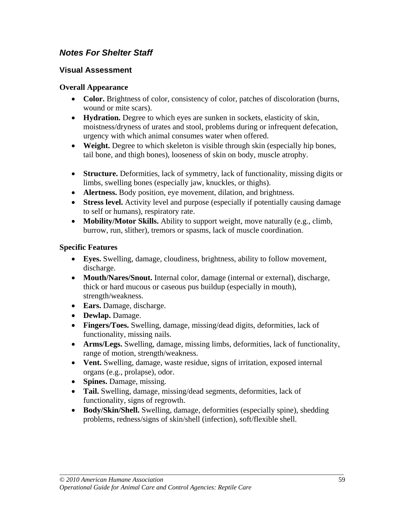#### *Notes For Shelter Staff*

#### **Visual Assessment**

#### **Overall Appearance**

- **Color.** Brightness of color, consistency of color, patches of discoloration (burns, wound or mite scars).
- **Hydration.** Degree to which eyes are sunken in sockets, elasticity of skin, moistness/dryness of urates and stool, problems during or infrequent defecation, urgency with which animal consumes water when offered.
- **Weight.** Degree to which skeleton is visible through skin (especially hip bones, tail bone, and thigh bones), looseness of skin on body, muscle atrophy.
- **Structure.** Deformities, lack of symmetry, lack of functionality, missing digits or limbs, swelling bones (especially jaw, knuckles, or thighs).
- **Alertness.** Body position, eye movement, dilation, and brightness.
- **Stress level.** Activity level and purpose (especially if potentially causing damage to self or humans), respiratory rate.
- **Mobility/Motor Skills.** Ability to support weight, move naturally (e.g., climb, burrow, run, slither), tremors or spasms, lack of muscle coordination.

#### **Specific Features**

- **Eyes.** Swelling, damage, cloudiness, brightness, ability to follow movement, discharge.
- **Mouth/Nares/Snout.** Internal color, damage (internal or external), discharge, thick or hard mucous or caseous pus buildup (especially in mouth), strength/weakness.
- **Ears.** Damage, discharge.
- **Dewlap.** Damage.
- **Fingers/Toes.** Swelling, damage, missing/dead digits, deformities, lack of functionality, missing nails.
- **Arms/Legs.** Swelling, damage, missing limbs, deformities, lack of functionality, range of motion, strength/weakness.
- **Vent.** Swelling, damage, waste residue, signs of irritation, exposed internal organs (e.g., prolapse), odor.
- **Spines.** Damage, missing.
- **Tail.** Swelling, damage, missing/dead segments, deformities, lack of functionality, signs of regrowth.
- **Body/Skin/Shell.** Swelling, damage, deformities (especially spine), shedding problems, redness/signs of skin/shell (infection), soft/flexible shell.

*\_\_\_\_\_\_\_\_\_\_\_\_\_\_\_\_\_\_\_\_\_\_\_\_\_\_\_\_\_\_\_\_\_\_\_\_\_\_\_\_\_\_\_\_\_\_\_\_\_\_\_\_\_\_\_\_\_\_\_\_\_\_\_\_\_\_\_\_\_\_\_\_\_\_\_\_\_\_\_\_\_\_\_\_\_\_*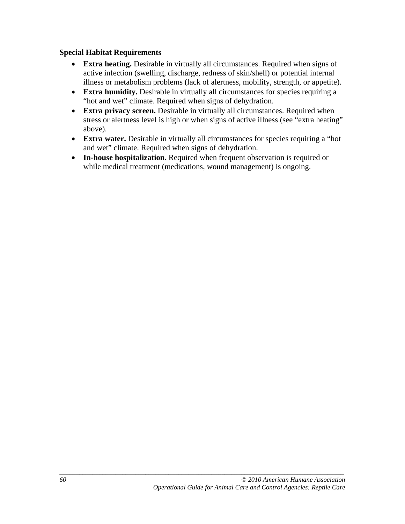#### **Special Habitat Requirements**

- **Extra heating.** Desirable in virtually all circumstances. Required when signs of active infection (swelling, discharge, redness of skin/shell) or potential internal illness or metabolism problems (lack of alertness, mobility, strength, or appetite).
- **Extra humidity.** Desirable in virtually all circumstances for species requiring a "hot and wet" climate. Required when signs of dehydration.
- **Extra privacy screen.** Desirable in virtually all circumstances. Required when stress or alertness level is high or when signs of active illness (see "extra heating" above).
- **Extra water.** Desirable in virtually all circumstances for species requiring a "hot" and wet" climate. Required when signs of dehydration.
- **In-house hospitalization.** Required when frequent observation is required or while medical treatment (medications, wound management) is ongoing.

*\_\_\_\_\_\_\_\_\_\_\_\_\_\_\_\_\_\_\_\_\_\_\_\_\_\_\_\_\_\_\_\_\_\_\_\_\_\_\_\_\_\_\_\_\_\_\_\_\_\_\_\_\_\_\_\_\_\_\_\_\_\_\_\_\_\_\_\_\_\_\_\_\_\_\_\_\_\_\_\_\_\_\_\_\_\_*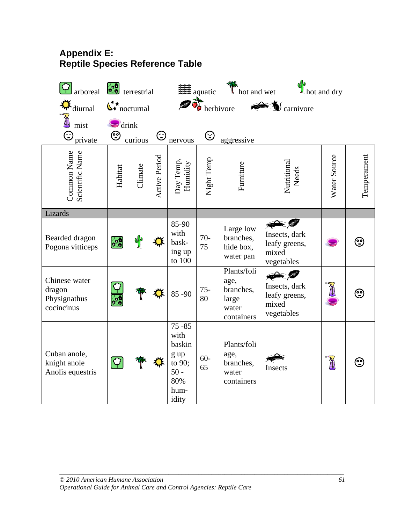## **Appendix E: Reptile Species Reference Table**

| arboreal                                              | terrestrial                         |         |               |                                                                                 | 2 aquatic    | Thot and wet                                                     | $\mathbf{P}_{hot}$ and dry                                                         |              |             |
|-------------------------------------------------------|-------------------------------------|---------|---------------|---------------------------------------------------------------------------------|--------------|------------------------------------------------------------------|------------------------------------------------------------------------------------|--------------|-------------|
| diurnal                                               | $\mathbb{C}^{\star\star}$ nocturnal |         |               | gà,                                                                             |              | herbivore                                                        | $\blacktriangleright$ $\bigcirc$ carnivore                                         |              |             |
| ☺<br>private                                          | $\bigcirc$ drink<br>☺               | curious | $\odot$       | nervous                                                                         | $\odot$      | aggressive                                                       |                                                                                    |              |             |
| Common Name<br>Scientific Name                        | Habitat                             | Climate | Active Period | Day Temp,<br>Humidity                                                           | Night Temp   | Furniture                                                        | Nutritional<br>Needs                                                               | Water Source | Temperament |
| Lizards                                               |                                     |         |               |                                                                                 |              |                                                                  |                                                                                    |              |             |
| Bearded dragon<br>Pogona vitticeps                    | $\frac{1}{2}$                       | op      | ⋉             | 85-90<br>with<br>bask-<br>ing up<br>to 100                                      | $70-$<br>75  | Large low<br>branches,<br>hide box,<br>water pan                 | Insects, dark<br>leafy greens,<br>mixed<br>vegetables                              |              | ☺           |
| Chinese water<br>dragon<br>Physignathus<br>cocincinus | $\alpha_0$                          |         | ₩             | $85 - 90$                                                                       | $75 -$<br>80 | Plants/foli<br>age,<br>branches,<br>large<br>water<br>containers | $\blacktriangleright$ (5)<br>Insects, dark<br>leafy greens,<br>mixed<br>vegetables |              | ☺           |
| Cuban anole,<br>knight anole<br>Anolis equestris      | $[\cosh$                            |         |               | $75 - 85$<br>with<br>baskin<br>g up<br>to 90;<br>$50 -$<br>80%<br>hum-<br>idity | $60-$<br>65  | Plants/foli<br>age,<br>branches,<br>water<br>containers          | Insects                                                                            | T            | $\odot$     |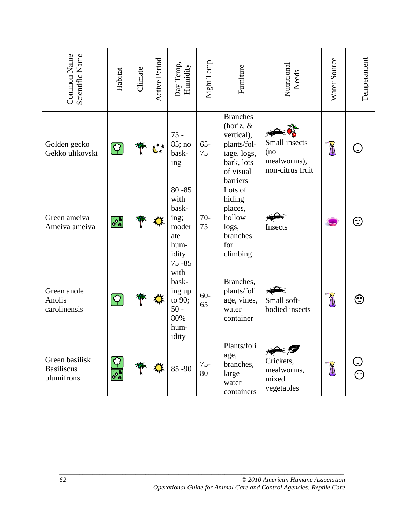| Scientific Name<br>Common Name                    | Habitat           | Climate | Active Period | Day Temp,<br>Humidity                                                            | Night Temp   | Furniture                                                                                                       | Nutritional<br>Needs                                    | Water Source     | Temperament |
|---------------------------------------------------|-------------------|---------|---------------|----------------------------------------------------------------------------------|--------------|-----------------------------------------------------------------------------------------------------------------|---------------------------------------------------------|------------------|-------------|
| Golden gecko<br>Gekko ulikovski                   | $[\cot2]$         |         | ╚∗            | $75 -$<br>85; no<br>bask-<br>ing                                                 | $65 -$<br>75 | <b>Branches</b><br>(horiz. &<br>vertical),<br>plants/fol-<br>iage, logs,<br>bark, lots<br>of visual<br>barriers | Small insects<br>(no<br>mealworms),<br>non-citrus fruit | $\sum_{i=1}^{n}$ | ⊖           |
| Green ameiva<br>Ameiva ameiva                     | $\bullet \bullet$ |         | ₩             | $80 - 85$<br>with<br>bask-<br>ing;<br>moder<br>ate<br>hum-<br>idity              | $70-$<br>75  | Lots of<br>hiding<br>places,<br>hollow<br>logs,<br>branches<br>for<br>climbing                                  | Insects                                                 |                  |             |
| Green anole<br>Anolis<br>carolinensis             |                   |         |               | $75 - 85$<br>with<br>bask-<br>ing up<br>to 90;<br>$50 -$<br>80%<br>hum-<br>idity | $60 -$<br>65 | Branches,<br>plants/foli<br>age, vines,<br>water<br>container                                                   | Small soft-<br>bodied insects                           | T                | ☺           |
| Green basilisk<br><b>Basiliscus</b><br>plumifrons | ွဂ္               |         | ₩             | 85-90                                                                            | $75 -$<br>80 | Plants/foli<br>age,<br>branches,<br>large<br>water<br>containers                                                | Crickets,<br>mealworms,<br>mixed<br>vegetables          | $\sum_{i=1}^{n}$ | Ξ           |
| 62<br>© 2010 American Humane Association          |                   |         |               |                                                                                  |              |                                                                                                                 |                                                         |                  |             |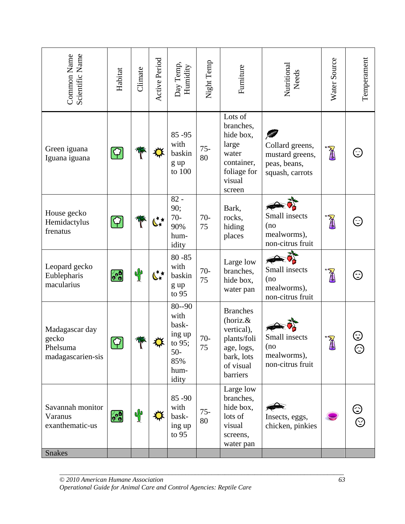| Scientific Name<br>Common Name                                                                             | Habitat                | Climate       | Active Period              | Day Temp,<br>Humidity                                                           | Night Temp   | Furniture                                                                                                     | Nutritional<br>Needs                                                  | Water Source                                                                                                                                                                                                                                                                                                                                  | Temperament    |
|------------------------------------------------------------------------------------------------------------|------------------------|---------------|----------------------------|---------------------------------------------------------------------------------|--------------|---------------------------------------------------------------------------------------------------------------|-----------------------------------------------------------------------|-----------------------------------------------------------------------------------------------------------------------------------------------------------------------------------------------------------------------------------------------------------------------------------------------------------------------------------------------|----------------|
| Green iguana<br>Iguana iguana                                                                              | $ \mathcal{G} $        |               |                            | 85-95<br>with<br>baskin<br>g up<br>to $100\,$                                   | $75 -$<br>80 | Lots of<br>branches,<br>hide box,<br>large<br>water<br>container,<br>foliage for<br>visual<br>screen          | Collard greens,<br>mustard greens,<br>peas, beans,<br>squash, carrots | <b>Allen</b>                                                                                                                                                                                                                                                                                                                                  | ⋸              |
| House gecko<br>Hemidactylus<br>frenatus                                                                    | $\boxed{\rm Q}$        |               | $\zeta^{\star\star}_\star$ | $82 -$<br>90;<br>$70-$<br>90%<br>hum-<br>idity                                  | $70-$<br>75  | Bark,<br>rocks,<br>hiding<br>places                                                                           | Small insects<br>(no<br>mealworms),<br>non-citrus fruit               | À                                                                                                                                                                                                                                                                                                                                             | ⊖              |
| Leopard gecko<br>Eublepharis<br>macularius                                                                 | $\bullet$              | $\mathbb{P}$  | $\mathfrak{C}^\star$       | $80 - 85$<br>with<br>baskin<br>g up<br>to 95                                    | $70-$<br>75  | Large low<br>branches,<br>hide box,<br>water pan                                                              | Small insects<br>(no<br>mealworms),<br>non-citrus fruit               | À                                                                                                                                                                                                                                                                                                                                             | ⊖              |
| Madagascar day<br>gecko<br>Phelsuma<br>madagascarien-sis                                                   | $\bigcirc$             | ľ             |                            | $80 - 90$<br>with<br>bask-<br>ing up<br>to 95;<br>$50-$<br>85%<br>hum-<br>idity | $70-$<br>75  | <b>Branches</b><br>(horiz.&<br>vertical),<br>plants/foli<br>age, logs,<br>bark, lots<br>of visual<br>barriers | Small insects<br>(no<br>mealworms),<br>non-citrus fruit               | $\begin{picture}(20,20) \put(0,0){\line(1,0){155}} \put(15,0){\line(1,0){155}} \put(15,0){\line(1,0){155}} \put(15,0){\line(1,0){155}} \put(15,0){\line(1,0){155}} \put(15,0){\line(1,0){155}} \put(15,0){\line(1,0){155}} \put(15,0){\line(1,0){155}} \put(15,0){\line(1,0){155}} \put(15,0){\line(1,0){155}} \put(15,0){\line(1,0){155}} \$ | ٤<br>$\approx$ |
| Savannah monitor<br>Varanus<br>exanthematic-us                                                             | $\bullet$ <sup>0</sup> | $\frac{1}{2}$ |                            | 85-90<br>with<br>bask-<br>ing up<br>to $95$                                     | $75 -$<br>80 | Large low<br>branches,<br>hide box,<br>lots of<br>visual<br>screens,<br>water pan                             | Insects, eggs,<br>chicken, pinkies                                    |                                                                                                                                                                                                                                                                                                                                               |                |
| <b>Snakes</b>                                                                                              |                        |               |                            |                                                                                 |              |                                                                                                               |                                                                       |                                                                                                                                                                                                                                                                                                                                               |                |
| © 2010 American Humane Association<br>Operational Guide for Animal Care and Control Agencies: Reptile Care |                        |               |                            |                                                                                 |              |                                                                                                               |                                                                       | 63                                                                                                                                                                                                                                                                                                                                            |                |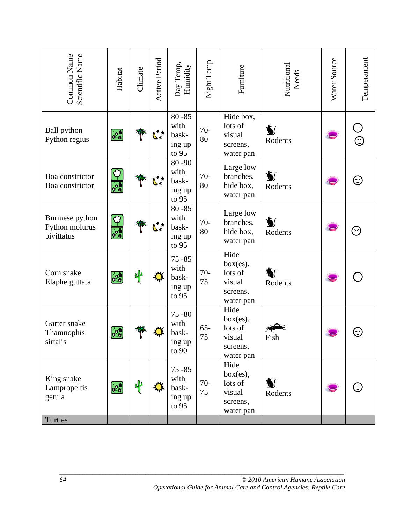| Scientific Name<br>Common Name                                                                                   | Habitat                   | Climate       | Active Period | Day Temp,<br>Humidity                           | Night Temp   | Furniture                                                      | Nutritional<br>Needs | Water Source | Temperament |  |
|------------------------------------------------------------------------------------------------------------------|---------------------------|---------------|---------------|-------------------------------------------------|--------------|----------------------------------------------------------------|----------------------|--------------|-------------|--|
| <b>Ball</b> python<br>Python regius                                                                              | $\bullet$ <sup>0</sup>    |               | ╚∗*           | $80 - 85$<br>with<br>bask-<br>ing up<br>to 95   | $70-$<br>80  | Hide box,<br>lots of<br>visual<br>screens,<br>water pan        | ≸∫<br>Rodents        |              | $\odot$     |  |
| Boa constrictor<br>Boa constrictor                                                                               | $\frac{1}{2}$             | W             | ╚∗            | 80-90<br>with<br>bask-<br>ing up<br>to 95       | $70-$<br>80  | Large low<br>branches,<br>hide box,<br>water pan               | ≸∫<br>Rodents        |              |             |  |
| Burmese python<br>Python molurus<br>bivittatus                                                                   | $\overline{\mathbf{c}_2}$ | W             | ╚҉            | $80 - 85$<br>with<br>bask-<br>ing up<br>to 95   | $70-$<br>80  | Large low<br>branches,<br>hide box,<br>water pan               | ₩<br>Rodents         |              | $\odot$     |  |
| Corn snake<br>Elaphe guttata                                                                                     | $\mathbf{c}^{\bullet}$    | $\frac{1}{2}$ | ∰             | $75 - 85$<br>with<br>bask-<br>ing up<br>to $95$ | $70-$<br>75  | Hide<br>box(es),<br>lots of<br>visual<br>screens,<br>water pan | V<br>Rodents         |              | ⊖           |  |
| Garter snake<br>Thamnophis<br>sirtalis                                                                           | $\bullet$ <sup>0</sup>    |               |               | $75 - 80$<br>with<br>bask-<br>ing up<br>to $90$ | $65 -$<br>75 | Hide<br>box(es),<br>lots of<br>visual<br>screens,<br>water pan | Fish                 |              |             |  |
| King snake<br>Lampropeltis<br>getula                                                                             | $\bullet$ <sup>9</sup>    | of            |               | $75 - 85$<br>with<br>bask-<br>ing up<br>to $95$ | $70-$<br>75  | Hide<br>box(es),<br>lots of<br>visual<br>screens,<br>water pan | ð<br>Rodents         |              |             |  |
| Turtles                                                                                                          |                           |               |               |                                                 |              |                                                                |                      |              |             |  |
| 64<br>© 2010 American Humane Association<br>Operational Guide for Animal Care and Control Agencies: Reptile Care |                           |               |               |                                                 |              |                                                                |                      |              |             |  |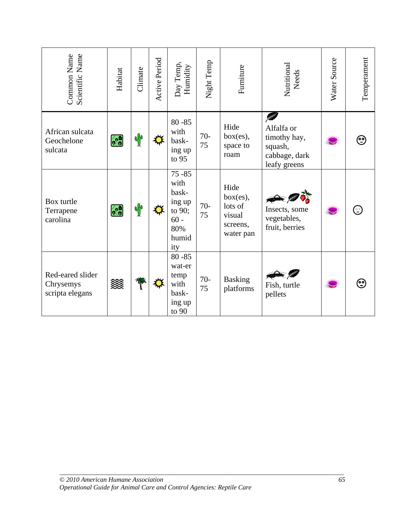| Scientific Name<br>Common Name                                                                             | Habitat           | Climate      | Active Period | Day Temp,<br>Humidity                                                           | Night Temp  | Furniture                                                      | Nutritional<br>Needs                                                        | Water Source | Temperament |
|------------------------------------------------------------------------------------------------------------|-------------------|--------------|---------------|---------------------------------------------------------------------------------|-------------|----------------------------------------------------------------|-----------------------------------------------------------------------------|--------------|-------------|
| African sulcata<br>Geochelone<br>sulcata                                                                   | $\bullet \bullet$ | $\mathbb{P}$ | ⋉             | $80 - 85$<br>with<br>bask-<br>ing up<br>to 95                                   | $70-$<br>75 | Hide<br>box(es),<br>space to<br>roam                           | ß<br>Alfalfa or<br>timothy hay,<br>squash,<br>cabbage, dark<br>leafy greens |              | ☺           |
| Box turtle<br>Terrapene<br>carolina                                                                        | $\frac{1}{2}$     | $\mathbb{P}$ | ⋉             | $75 - 85$<br>with<br>bask-<br>ing up<br>to 90;<br>$60 -$<br>80%<br>humid<br>ity | $70-$<br>75 | Hide<br>box(es),<br>lots of<br>visual<br>screens,<br>water pan | Insects, some<br>vegetables,<br>fruit, berries                              |              | ⊖           |
| Red-eared slider<br>Chrysemys<br>scripta elegans                                                           | 燚                 | W            | ⋉             | $80 - 85$<br>wat-er<br>temp<br>with<br>bask-<br>ing up<br>to $90$               | $70-$<br>75 | <b>Basking</b><br>platforms                                    | Fish, turtle<br>pellets                                                     |              | ☺           |
|                                                                                                            |                   |              |               |                                                                                 |             |                                                                |                                                                             |              |             |
| © 2010 American Humane Association<br>Operational Guide for Animal Care and Control Agencies: Reptile Care |                   |              |               |                                                                                 |             |                                                                |                                                                             | 65           |             |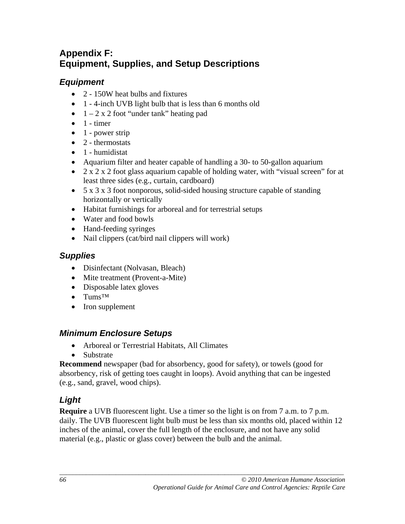# **Appendix F: Equipment, Supplies, and Setup Descriptions**

# *Equipment*

- 2 150W heat bulbs and fixtures
- 1 4-inch UVB light bulb that is less than 6 months old
- $\bullet$  1 2 x 2 foot "under tank" heating pad
- $\bullet$  1 timer
- $\bullet$  1 power strip
- $\bullet$  2 thermostats
- 1 humidistat
- Aquarium filter and heater capable of handling a 30- to 50-gallon aquarium
- 2 x 2 x 2 foot glass aquarium capable of holding water, with "visual screen" for at least three sides (e.g., curtain, cardboard)
- 5 x 3 x 3 foot nonporous, solid-sided housing structure capable of standing horizontally or vertically
- Habitat furnishings for arboreal and for terrestrial setups
- Water and food bowls
- Hand-feeding syringes
- Nail clippers (cat/bird nail clippers will work)

# *Supplies*

- Disinfectant (Nolvasan, Bleach)
- Mite treatment (Provent-a-Mite)
- Disposable latex gloves
- Tums™
- Iron supplement

# *Minimum Enclosure Setups*

- Arboreal or Terrestrial Habitats, All Climates
- Substrate

**Recommend** newspaper (bad for absorbency, good for safety), or towels (good for absorbency, risk of getting toes caught in loops). Avoid anything that can be ingested (e.g., sand, gravel, wood chips).

# *Light*

**Require** a UVB fluorescent light. Use a timer so the light is on from 7 a.m. to 7 p.m. daily. The UVB fluorescent light bulb must be less than six months old, placed within 12 inches of the animal, cover the full length of the enclosure, and not have any solid material (e.g., plastic or glass cover) between the bulb and the animal.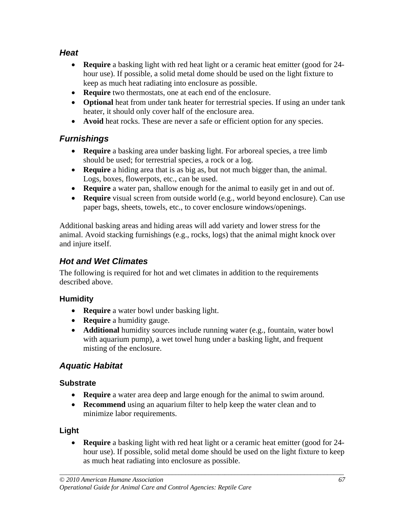# *Heat*

- **Require** a basking light with red heat light or a ceramic heat emitter (good for 24 hour use). If possible, a solid metal dome should be used on the light fixture to keep as much heat radiating into enclosure as possible.
- **Require** two thermostats, one at each end of the enclosure.
- **Optional** heat from under tank heater for terrestrial species. If using an under tank heater, it should only cover half of the enclosure area.
- **Avoid** heat rocks. These are never a safe or efficient option for any species.

# *Furnishings*

- **Require** a basking area under basking light. For arboreal species, a tree limb should be used; for terrestrial species, a rock or a log.
- **Require** a hiding area that is as big as, but not much bigger than, the animal. Logs, boxes, flowerpots, etc., can be used.
- **Require** a water pan, shallow enough for the animal to easily get in and out of.
- **Require** visual screen from outside world (e.g., world beyond enclosure). Can use paper bags, sheets, towels, etc., to cover enclosure windows/openings.

Additional basking areas and hiding areas will add variety and lower stress for the animal. Avoid stacking furnishings (e.g., rocks, logs) that the animal might knock over and injure itself.

## *Hot and Wet Climates*

The following is required for hot and wet climates in addition to the requirements described above.

## **Humidity**

- **Require** a water bowl under basking light.
- **Require** a humidity gauge.
- **Additional** humidity sources include running water (e.g., fountain, water bowl with aquarium pump), a wet towel hung under a basking light, and frequent misting of the enclosure.

## *Aquatic Habitat*

## **Substrate**

- **Require** a water area deep and large enough for the animal to swim around.
- **Recommend** using an aquarium filter to help keep the water clean and to minimize labor requirements.

## **Light**

• **Require** a basking light with red heat light or a ceramic heat emitter (good for 24 hour use). If possible, solid metal dome should be used on the light fixture to keep as much heat radiating into enclosure as possible.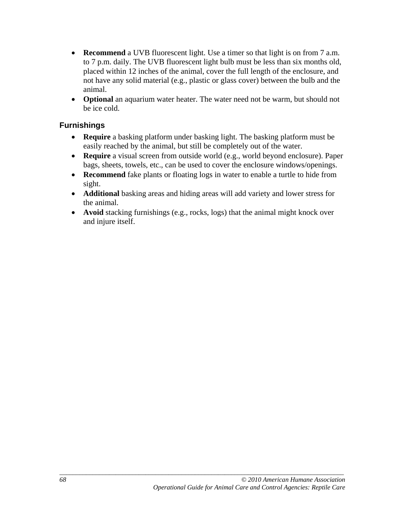- **Recommend** a UVB fluorescent light. Use a timer so that light is on from 7 a.m. to 7 p.m. daily. The UVB fluorescent light bulb must be less than six months old, placed within 12 inches of the animal, cover the full length of the enclosure, and not have any solid material (e.g., plastic or glass cover) between the bulb and the animal.
- **Optional** an aquarium water heater. The water need not be warm, but should not be ice cold.

## **Furnishings**

- **Require** a basking platform under basking light. The basking platform must be easily reached by the animal, but still be completely out of the water.
- **Require** a visual screen from outside world (e.g., world beyond enclosure). Paper bags, sheets, towels, etc., can be used to cover the enclosure windows/openings.
- **Recommend** fake plants or floating logs in water to enable a turtle to hide from sight.
- **Additional** basking areas and hiding areas will add variety and lower stress for the animal.
- **Avoid** stacking furnishings (e.g., rocks, logs) that the animal might knock over and injure itself.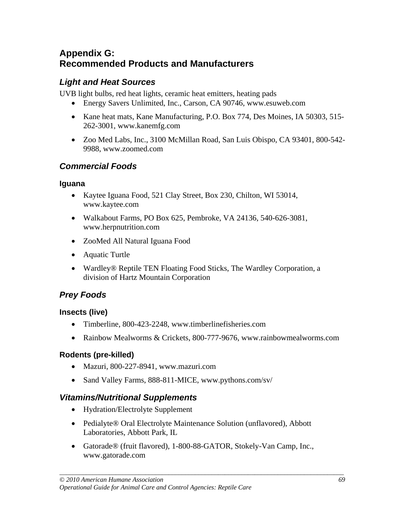# **Appendix G: Recommended Products and Manufacturers**

# *Light and Heat Sources*

UVB light bulbs, red heat lights, ceramic heat emitters, heating pads

- Energy Savers Unlimited, Inc., Carson, CA 90746, www.esuweb.com
- Kane heat mats, Kane Manufacturing, P.O. Box 774, Des Moines, IA 50303, 515-262-3001, www.kanemfg.com
- Zoo Med Labs, Inc., 3100 McMillan Road, San Luis Obispo, CA 93401, 800-542- 9988, www.zoomed.com

# *Commercial Foods*

## **Iguana**

- Kaytee Iguana Food, 521 Clay Street, Box 230, Chilton, WI 53014, www.kaytee.com
- Walkabout Farms, PO Box 625, Pembroke, VA 24136, 540-626-3081, www.herpnutrition.com
- ZooMed All Natural Iguana Food
- Aquatic Turtle
- Wardley<sup>®</sup> Reptile TEN Floating Food Sticks, The Wardley Corporation, a division of Hartz Mountain Corporation

# *Prey Foods*

## **Insects (live)**

- Timberline, 800-423-2248, www.timberlinefisheries.com
- Rainbow Mealworms & Crickets, 800-777-9676, www.rainbowmealworms.com

## **Rodents (pre-killed)**

- Mazuri, 800-227-8941, www.mazuri.com
- Sand Valley Farms, 888-811-MICE, www.pythons.com/sv/

## *Vitamins/Nutritional Supplements*

- Hydration/Electrolyte Supplement
- Pedialyte® Oral Electrolyte Maintenance Solution (unflavored), Abbott Laboratories, Abbott Park, IL
- Gatorade® (fruit flavored), 1-800-88-GATOR, Stokely-Van Camp, Inc., www.gatorade.com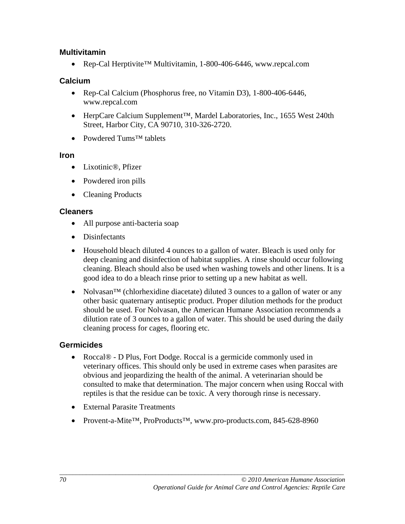## **Multivitamin**

• Rep-Cal Herptivite™ Multivitamin, 1-800-406-6446, www.repcal.com

#### **Calcium**

- Rep-Cal Calcium (Phosphorus free, no Vitamin D3), 1-800-406-6446, www.repcal.com
- HerpCare Calcium Supplement™, Mardel Laboratories, Inc., 1655 West 240th Street, Harbor City, CA 90710, 310-326-2720.
- Powdered Tums™ tablets

#### **Iron**

- Lixotinic®, Pfizer
- Powdered iron pills
- Cleaning Products

#### **Cleaners**

- All purpose anti-bacteria soap
- Disinfectants
- Household bleach diluted 4 ounces to a gallon of water. Bleach is used only for deep cleaning and disinfection of habitat supplies. A rinse should occur following cleaning. Bleach should also be used when washing towels and other linens. It is a good idea to do a bleach rinse prior to setting up a new habitat as well.
- Nolvasan<sup>™</sup> (chlorhexidine diacetate) diluted 3 ounces to a gallon of water or any other basic quaternary antiseptic product. Proper dilution methods for the product should be used. For Nolvasan, the American Humane Association recommends a dilution rate of 3 ounces to a gallon of water. This should be used during the daily cleaning process for cages, flooring etc.

## **Germicides**

- Roccal® D Plus, Fort Dodge. Roccal is a germicide commonly used in veterinary offices. This should only be used in extreme cases when parasites are obvious and jeopardizing the health of the animal. A veterinarian should be consulted to make that determination. The major concern when using Roccal with reptiles is that the residue can be toxic. A very thorough rinse is necessary.
- External Parasite Treatments
- Provent-a-Mite™, ProProducts™, www.pro-products.com, 845-628-8960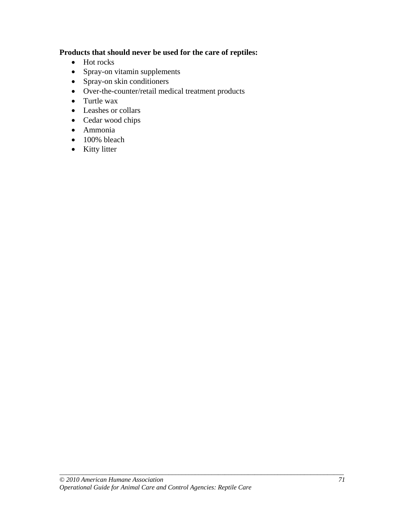## **Products that should never be used for the care of reptiles:**

- Hot rocks
- Spray-on vitamin supplements
- Spray-on skin conditioners
- Over-the-counter/retail medical treatment products
- Turtle wax
- Leashes or collars
- Cedar wood chips
- Ammonia
- 100% bleach
- Kitty litter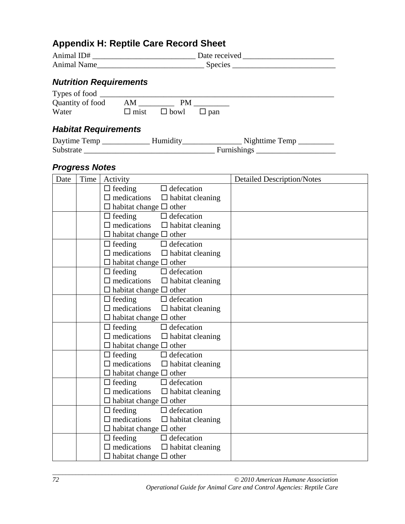# **Appendix H: Reptile Care Record Sheet**

| Animal ID#         | Date received  |
|--------------------|----------------|
| <b>Animal Name</b> | <b>Species</b> |

# *Nutrition Requirements*

| Types of food    |      |                                    |  |  |
|------------------|------|------------------------------------|--|--|
| Quantity of food | – AM | PМ                                 |  |  |
| Water            |      | $\Box$ mist $\Box$ bowl $\Box$ pan |  |  |

# *Habitat Requirements*

| Daytime Temp | Humidity | Nighttime Temp     |
|--------------|----------|--------------------|
| Substrate    |          | <b>Furnishings</b> |

# *Progress Notes*

| Date | Time | Activity                                      | <b>Detailed Description/Notes</b> |
|------|------|-----------------------------------------------|-----------------------------------|
|      |      | $\Box$ feeding<br>$\Box$ defecation           |                                   |
|      |      | $\Box$ medications<br>$\Box$ habitat cleaning |                                   |
|      |      | $\Box$ habitat change $\Box$ other            |                                   |
|      |      | $\Box$ defecation<br>$\Box$ feeding           |                                   |
|      |      | $\Box$ medications $\Box$ habitat cleaning    |                                   |
|      |      | $\Box$ habitat change $\Box$ other            |                                   |
|      |      | $\Box$ defecation<br>$\Box$ feeding           |                                   |
|      |      | $\Box$ medications $\Box$ habitat cleaning    |                                   |
|      |      | $\Box$ habitat change $\Box$ other            |                                   |
|      |      | $\Box$ defecation<br>$\Box$ feeding           |                                   |
|      |      | $\Box$ medications<br>$\Box$ habitat cleaning |                                   |
|      |      | $\Box$ habitat change $\Box$ other            |                                   |
|      |      | $\Box$ defecation<br>$\Box$ feeding           |                                   |
|      |      | $\Box$ medications $\Box$ habitat cleaning    |                                   |
|      |      | $\Box$ habitat change $\Box$ other            |                                   |
|      |      | $\Box$ defecation<br>$\Box$ feeding           |                                   |
|      |      | $\Box$ medications $\Box$ habitat cleaning    |                                   |
|      |      | $\Box$ habitat change $\Box$ other            |                                   |
|      |      | $\Box$ defecation<br>$\Box$ feeding           |                                   |
|      |      | $\Box$ medications $\Box$ habitat cleaning    |                                   |
|      |      | $\Box$ habitat change $\Box$ other            |                                   |
|      |      | $\Box$ defecation<br>$\Box$ feeding           |                                   |
|      |      | $\Box$ medications $\Box$ habitat cleaning    |                                   |
|      |      | $\Box$ habitat change $\Box$ other            |                                   |
|      |      | $\Box$ defecation<br>$\Box$ feeding           |                                   |
|      |      | $\Box$ medications<br>$\Box$ habitat cleaning |                                   |
|      |      | $\Box$ habitat change $\Box$ other            |                                   |
|      |      | $\Box$ defecation<br>$\Box$ feeding           |                                   |
|      |      | $\Box$ medications<br>$\Box$ habitat cleaning |                                   |
|      |      | $\Box$ habitat change $\Box$ other            |                                   |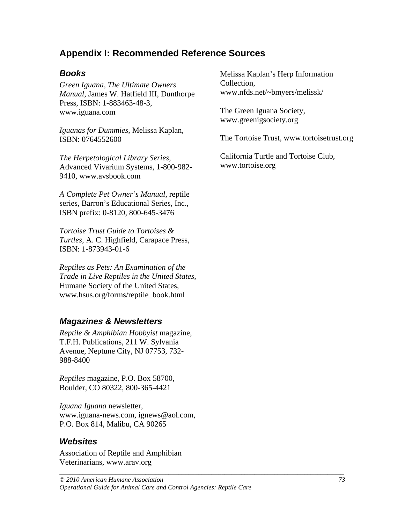# **Appendix I: Recommended Reference Sources**

## *Books*

*Green Iguana, The Ultimate Owners Manual*, James W. Hatfield III, Dunthorpe Press, ISBN: 1-883463-48-3, www.iguana.com

*Iguanas for Dummies*, Melissa Kaplan, ISBN: 0764552600

*The Herpetological Library Series*, Advanced Vivarium Systems, 1-800-982- 9410, www.avsbook.com

*A Complete Pet Owner's Manual*, reptile series, Barron's Educational Series, Inc., ISBN prefix: 0-8120, 800-645-3476

*Tortoise Trust Guide to Tortoises & Turtles*, A. C. Highfield, Carapace Press, ISBN: 1-873943-01-6

*Reptiles as Pets: An Examination of the Trade in Live Reptiles in the United States*, Humane Society of the United States, www.hsus.org/forms/reptile\_book.html

## *Magazines & Newsletters*

*Reptile & Amphibian Hobbyist* magazine, T.F.H. Publications, 211 W. Sylvania Avenue, Neptune City, NJ 07753, 732- 988-8400

*Reptiles* magazine, P.O. Box 58700, Boulder, CO 80322, 800-365-4421

*Iguana Iguana* newsletter, www.iguana-news.com, ignews@aol.com, P.O. Box 814, Malibu, CA 90265

## *Websites*

Association of Reptile and Amphibian Veterinarians, www.arav.org

Melissa Kaplan's Herp Information Collection, www.nfds.net/~bmyers/melissk/

The Green Iguana Society, www.greenigsociety.org

The Tortoise Trust, www.tortoisetrust.org

California Turtle and Tortoise Club, www.tortoise.org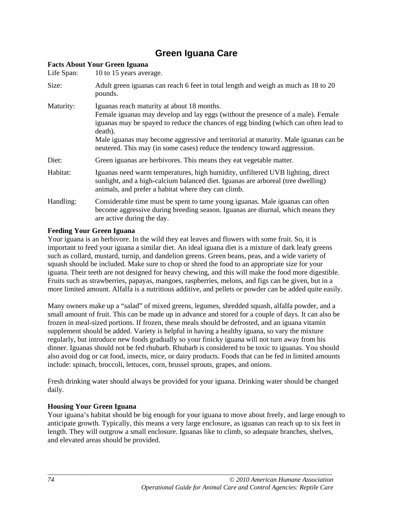# **Green Iguana Care**

| <b>Facts About Your Green Iguana</b> |                                                                                                                                                                                                                                                                                                                                                                                                      |  |  |
|--------------------------------------|------------------------------------------------------------------------------------------------------------------------------------------------------------------------------------------------------------------------------------------------------------------------------------------------------------------------------------------------------------------------------------------------------|--|--|
| Life Span:                           | 10 to 15 years average.                                                                                                                                                                                                                                                                                                                                                                              |  |  |
| Size:                                | Adult green iguanas can reach 6 feet in total length and weigh as much as 18 to 20<br>pounds.                                                                                                                                                                                                                                                                                                        |  |  |
| Maturity:                            | Iguanas reach maturity at about 18 months.<br>Female iguanas may develop and lay eggs (without the presence of a male). Female<br>iguanas may be spayed to reduce the chances of egg binding (which can often lead to<br>death).<br>Male iguanas may become aggressive and territorial at maturity. Male iguanas can be<br>neutered. This may (in some cases) reduce the tendency toward aggression. |  |  |
| Diet:                                | Green iguanas are herbivores. This means they eat vegetable matter.                                                                                                                                                                                                                                                                                                                                  |  |  |
| Habitat:                             | Iguanas need warm temperatures, high humidity, unfiltered UVB lighting, direct<br>sunlight, and a high-calcium balanced diet. Iguanas are arboreal (tree dwelling)<br>animals, and prefer a habitat where they can climb.                                                                                                                                                                            |  |  |
| Handling:                            | Considerable time must be spent to tame young iguanas. Male iguanas can often<br>become aggressive during breeding season. Iguanas are diurnal, which means they<br>are active during the day.                                                                                                                                                                                                       |  |  |

#### **Feeding Your Green Iguana**

Your iguana is an herbivore. In the wild they eat leaves and flowers with some fruit. So, it is important to feed your iguana a similar diet. An ideal iguana diet is a mixture of dark leafy greens such as collard, mustard, turnip, and dandelion greens. Green beans, peas, and a wide variety of squash should be included. Make sure to chop or shred the food to an appropriate size for your iguana. Their teeth are not designed for heavy chewing, and this will make the food more digestible. Fruits such as strawberries, papayas, mangoes, raspberries, melons, and figs can be given, but in a more limited amount. Alfalfa is a nutritious additive, and pellets or powder can be added quite easily.

Many owners make up a "salad" of mixed greens, legumes, shredded squash, alfalfa powder, and a small amount of fruit. This can be made up in advance and stored for a couple of days. It can also be frozen in meal-sized portions. If frozen, these meals should be defrosted, and an iguana vitamin supplement should be added. Variety is helpful in having a healthy iguana, so vary the mixture regularly, but introduce new foods gradually so your finicky iguana will not turn away from his dinner. Iguanas should not be fed rhubarb. Rhubarb is considered to be toxic to iguanas. You should also avoid dog or cat food, insects, mice, or dairy products. Foods that can be fed in limited amounts include: spinach, broccoli, lettuces, corn, brussel sprouts, grapes, and onions.

Fresh drinking water should always be provided for your iguana. Drinking water should be changed daily.

#### **Housing Your Green Iguana**

Your iguana's habitat should be big enough for your iguana to move about freely, and large enough to anticipate growth. Typically, this means a very large enclosure, as iguanas can reach up to six feet in length. They will outgrow a small enclosure. Iguanas like to climb, so adequate branches, shelves, and elevated areas should be provided.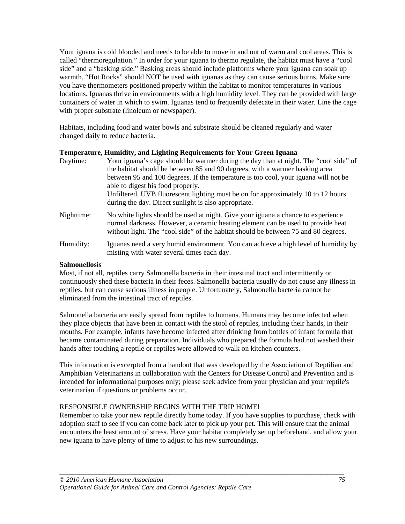Your iguana is cold blooded and needs to be able to move in and out of warm and cool areas. This is called "thermoregulation." In order for your iguana to thermo regulate, the habitat must have a "cool side" and a "basking side." Basking areas should include platforms where your iguana can soak up warmth. "Hot Rocks" should NOT be used with iguanas as they can cause serious burns. Make sure you have thermometers positioned properly within the habitat to monitor temperatures in various locations. Iguanas thrive in environments with a high humidity level. They can be provided with large containers of water in which to swim. Iguanas tend to frequently defecate in their water. Line the cage with proper substrate (linoleum or newspaper).

Habitats, including food and water bowls and substrate should be cleaned regularly and water changed daily to reduce bacteria.

#### **Temperature, Humidity, and Lighting Requirements for Your Green Iguana**

| Daytime:   | Your iguana's cage should be warmer during the day than at night. The "cool side" of<br>the habitat should be between 85 and 90 degrees, with a warmer basking area<br>between 95 and 100 degrees. If the temperature is too cool, your iguana will not be<br>able to digest his food properly.<br>Unfiltered, UVB fluorescent lighting must be on for approximately 10 to 12 hours<br>during the day. Direct sunlight is also appropriate. |
|------------|---------------------------------------------------------------------------------------------------------------------------------------------------------------------------------------------------------------------------------------------------------------------------------------------------------------------------------------------------------------------------------------------------------------------------------------------|
| Nighttime: | No white lights should be used at night. Give your iguana a chance to experience<br>normal darkness. However, a ceramic heating element can be used to provide heat<br>without light. The "cool side" of the habitat should be between 75 and 80 degrees.                                                                                                                                                                                   |
| Humidity:  | Iguanas need a very humid environment. You can achieve a high level of humidity by<br>misting with water several times each day.                                                                                                                                                                                                                                                                                                            |

#### **Salmonellosis**

Most, if not all, reptiles carry Salmonella bacteria in their intestinal tract and intermittently or continuously shed these bacteria in their feces. Salmonella bacteria usually do not cause any illness in reptiles, but can cause serious illness in people. Unfortunately, Salmonella bacteria cannot be eliminated from the intestinal tract of reptiles.

Salmonella bacteria are easily spread from reptiles to humans. Humans may become infected when they place objects that have been in contact with the stool of reptiles, including their hands, in their mouths. For example, infants have become infected after drinking from bottles of infant formula that became contaminated during preparation. Individuals who prepared the formula had not washed their hands after touching a reptile or reptiles were allowed to walk on kitchen counters.

This information is excerpted from a handout that was developed by the Association of Reptilian and Amphibian Veterinarians in collaboration with the Centers for Disease Control and Prevention and is intended for informational purposes only; please seek advice from your physician and your reptile's veterinarian if questions or problems occur.

#### RESPONSIBLE OWNERSHIP BEGINS WITH THE TRIP HOME!

Remember to take your new reptile directly home today. If you have supplies to purchase, check with adoption staff to see if you can come back later to pick up your pet. This will ensure that the animal encounters the least amount of stress. Have your habitat completely set up beforehand, and allow your new iguana to have plenty of time to adjust to his new surroundings.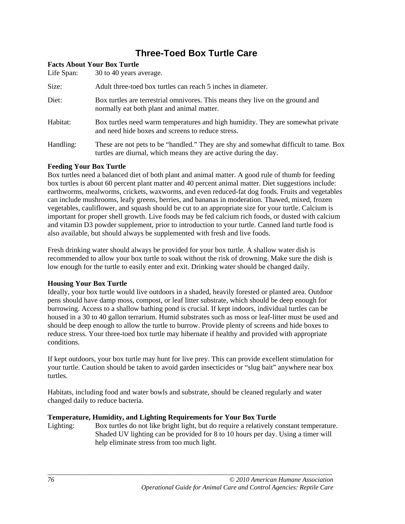# **Three-Toed Box Turtle Care**

| Life Span: | <b>Facts About Your Box Turtle</b><br>30 to 40 years average.                                                                                            |
|------------|----------------------------------------------------------------------------------------------------------------------------------------------------------|
| Size:      | Adult three-toed box turtles can reach 5 inches in diameter.                                                                                             |
| Diet:      | Box turtles are terrestrial omnivores. This means they live on the ground and<br>normally eat both plant and animal matter.                              |
| Habitat:   | Box turtles need warm temperatures and high humidity. They are somewhat private<br>and need hide boxes and screens to reduce stress.                     |
| Handling:  | These are not pets to be "handled." They are shy and somewhat difficult to tame. Box<br>turtles are diurnal, which means they are active during the day. |

#### **Feeding Your Box Turtle**

Box turtles need a balanced diet of both plant and animal matter. A good rule of thumb for feeding box turtles is about 60 percent plant matter and 40 percent animal matter. Diet suggestions include: earthworms, mealworms, crickets, waxworms, and even reduced-fat dog foods. Fruits and vegetables can include mushrooms, leafy greens, berries, and bananas in moderation. Thawed, mixed, frozen vegetables, cauliflower, and squash should be cut to an appropriate size for your turtle. Calcium is important for proper shell growth. Live foods may be fed calcium rich foods, or dusted with calcium and vitamin D3 powder supplement, prior to introduction to your turtle. Canned land turtle food is also available, but should always be supplemented with fresh and live foods.

Fresh drinking water should always be provided for your box turtle. A shallow water dish is recommended to allow your box turtle to soak without the risk of drowning. Make sure the dish is low enough for the turtle to easily enter and exit. Drinking water should be changed daily.

#### **Housing Your Box Turtle**

Ideally, your box turtle would live outdoors in a shaded, heavily forested or planted area. Outdoor pens should have damp moss, compost, or leaf litter substrate, which should be deep enough for burrowing. Access to a shallow bathing pond is crucial. If kept indoors, individual turtles can be housed in a 30 to 40 gallon terrarium. Humid substrates such as moss or leaf-litter must be used and should be deep enough to allow the turtle to burrow. Provide plenty of screens and hide boxes to reduce stress. Your three-toed box turtle may hibernate if healthy and provided with appropriate conditions.

If kept outdoors, your box turtle may hunt for live prey. This can provide excellent stimulation for your turtle. Caution should be taken to avoid garden insecticides or "slug bait" anywhere near box turtles.

Habitats, including food and water bowls and substrate, should be cleaned regularly and water changed daily to reduce bacteria.

#### **Temperature, Humidity, and Lighting Requirements for Your Box Turtle**

Lighting: Box turtles do not like bright light, but do require a relatively constant temperature. Shaded UV lighting can be provided for 8 to 10 hours per day. Using a timer will help eliminate stress from too much light.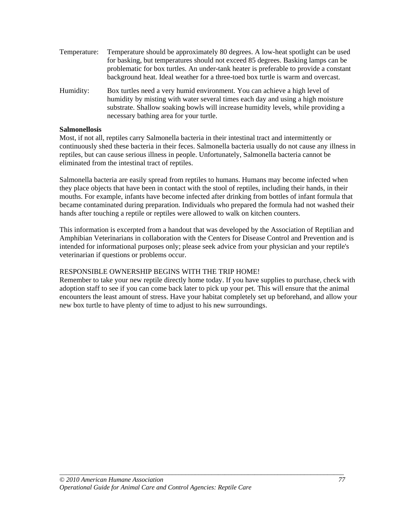- Temperature: Temperature should be approximately 80 degrees. A low-heat spotlight can be used for basking, but temperatures should not exceed 85 degrees. Basking lamps can be problematic for box turtles. An under-tank heater is preferable to provide a constant background heat. Ideal weather for a three-toed box turtle is warm and overcast.
- Humidity: Box turtles need a very humid environment. You can achieve a high level of humidity by misting with water several times each day and using a high moisture substrate. Shallow soaking bowls will increase humidity levels, while providing a necessary bathing area for your turtle.

#### **Salmonellosis**

Most, if not all, reptiles carry Salmonella bacteria in their intestinal tract and intermittently or continuously shed these bacteria in their feces. Salmonella bacteria usually do not cause any illness in reptiles, but can cause serious illness in people. Unfortunately, Salmonella bacteria cannot be eliminated from the intestinal tract of reptiles.

Salmonella bacteria are easily spread from reptiles to humans. Humans may become infected when they place objects that have been in contact with the stool of reptiles, including their hands, in their mouths. For example, infants have become infected after drinking from bottles of infant formula that became contaminated during preparation. Individuals who prepared the formula had not washed their hands after touching a reptile or reptiles were allowed to walk on kitchen counters.

This information is excerpted from a handout that was developed by the Association of Reptilian and Amphibian Veterinarians in collaboration with the Centers for Disease Control and Prevention and is intended for informational purposes only; please seek advice from your physician and your reptile's veterinarian if questions or problems occur.

#### RESPONSIBLE OWNERSHIP BEGINS WITH THE TRIP HOME!

Remember to take your new reptile directly home today. If you have supplies to purchase, check with adoption staff to see if you can come back later to pick up your pet. This will ensure that the animal encounters the least amount of stress. Have your habitat completely set up beforehand, and allow your new box turtle to have plenty of time to adjust to his new surroundings.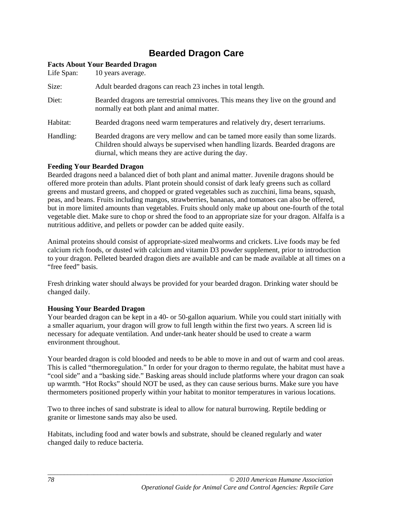# **Bearded Dragon Care**

| Life Span: | <b>Facts About Your Bearded Dragon</b><br>10 years average.                                                                                                                                                                |
|------------|----------------------------------------------------------------------------------------------------------------------------------------------------------------------------------------------------------------------------|
| Size:      | Adult bearded dragons can reach 23 inches in total length.                                                                                                                                                                 |
| Diet:      | Bearded dragons are terrestrial omnivores. This means they live on the ground and<br>normally eat both plant and animal matter.                                                                                            |
| Habitat:   | Bearded dragons need warm temperatures and relatively dry, desert terrariums.                                                                                                                                              |
| Handling:  | Bearded dragons are very mellow and can be tamed more easily than some lizards.<br>Children should always be supervised when handling lizards. Bearded dragons are<br>diurnal, which means they are active during the day. |

#### **Feeding Your Bearded Dragon**

Bearded dragons need a balanced diet of both plant and animal matter. Juvenile dragons should be offered more protein than adults. Plant protein should consist of dark leafy greens such as collard greens and mustard greens, and chopped or grated vegetables such as zucchini, lima beans, squash, peas, and beans. Fruits including mangos, strawberries, bananas, and tomatoes can also be offered, but in more limited amounts than vegetables. Fruits should only make up about one-fourth of the total vegetable diet. Make sure to chop or shred the food to an appropriate size for your dragon. Alfalfa is a nutritious additive, and pellets or powder can be added quite easily.

Animal proteins should consist of appropriate-sized mealworms and crickets. Live foods may be fed calcium rich foods, or dusted with calcium and vitamin D3 powder supplement, prior to introduction to your dragon. Pelleted bearded dragon diets are available and can be made available at all times on a "free feed" basis.

Fresh drinking water should always be provided for your bearded dragon. Drinking water should be changed daily.

#### **Housing Your Bearded Dragon**

Your bearded dragon can be kept in a 40- or 50-gallon aquarium. While you could start initially with a smaller aquarium, your dragon will grow to full length within the first two years. A screen lid is necessary for adequate ventilation. And under-tank heater should be used to create a warm environment throughout.

Your bearded dragon is cold blooded and needs to be able to move in and out of warm and cool areas. This is called "thermoregulation." In order for your dragon to thermo regulate, the habitat must have a "cool side" and a "basking side." Basking areas should include platforms where your dragon can soak up warmth. "Hot Rocks" should NOT be used, as they can cause serious burns. Make sure you have thermometers positioned properly within your habitat to monitor temperatures in various locations.

Two to three inches of sand substrate is ideal to allow for natural burrowing. Reptile bedding or granite or limestone sands may also be used.

Habitats, including food and water bowls and substrate, should be cleaned regularly and water changed daily to reduce bacteria.